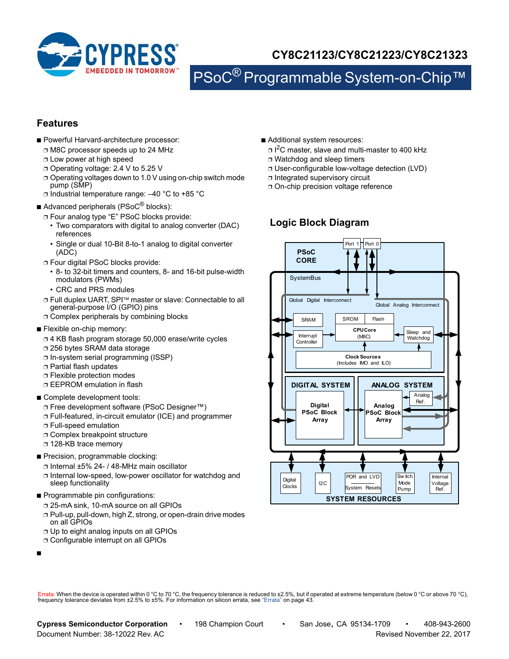

# **CY8C21123/CY8C21223/CY8C21323**

PSoC<sup>®</sup> Programmable System-on-Chip™

## **Features**

- Powerful Harvard-architecture processor:
	- ❐ M8C processor speeds up to 24 MHz
	- ❐ Low power at high speed
	- ❐ Operating voltage: 2.4 V to 5.25 V
	- ❐ Operating voltages down to 1.0 V using on-chip switch mode pump (SMP)
	- ❐ Industrial temperature range: –40 °C to +85 °C
- Advanced peripherals (PSoC<sup>®</sup> blocks):
	- ❐ Four analog type "E" PSoC blocks provide:
		- Two comparators with digital to analog converter (DAC) references
		- Single or dual 10-Bit 8-to-1 analog to digital converter (ADC)
	- ❐ Four digital PSoC blocks provide:
	- 8- to 32-bit timers and counters, 8- and 16-bit pulse-width modulators (PWMs)
	- CRC and PRS modules
	- □ Full duplex UART, SPI™ master or slave: Connectable to all general-purpose I/O (GPIO) pins
	- ❐ Complex peripherals by combining blocks
- Flexible on-chip memory:
	- ❐ 4 KB flash program storage 50,000 erase/write cycles
	- ❐ 256 bytes SRAM data storage
	- ❐ In-system serial programming (ISSP)
	- ❐ Partial flash updates
	- ❐ Flexible protection modes
	- ❐ EEPROM emulation in flash
- Complete development tools:
	- ❐ Free development software (PSoC Designer™)
	- ❐ Full-featured, in-circuit emulator (ICE) and programmer
	- ❐ Full-speed emulation
	- ❐ Complex breakpoint structure
	- ❐ 128-KB trace memory
- Precision, programmable clocking:
	- ❐ Internal ±5% 24- / 48-MHz main oscillator
	- ❐ Internal low-speed, low-power oscillator for watchdog and sleep functionality
- Programmable pin configurations:
	- ❐ 25-mA sink, 10-mA source on all GPIOs
	- ❐ Pull-up, pull-down, high Z, strong, or open-drain drive modes on all GPIOs
	- ❐ Up to eight analog inputs on all GPIOs
	- ❐ Configurable interrupt on all GPIOs
- ■
- Additional system resources:
	- ❐ I 2C master, slave and multi-master to 400 kHz
- ❐ Watchdog and sleep timers
- ❐ User-configurable low-voltage detection (LVD)
- ❐ Integrated supervisory circuit
- ❐ On-chip precision voltage reference

## **Logic Block Diagram**



Errata: When the device is operated within 0 °C to 70 °C, the frequency tolerance is reduced to ±2.5%, but if operated at extreme temperature (below 0 °C or above 70 °C),<br>frequency tolerance deviates from ±2.5% to ±5%. For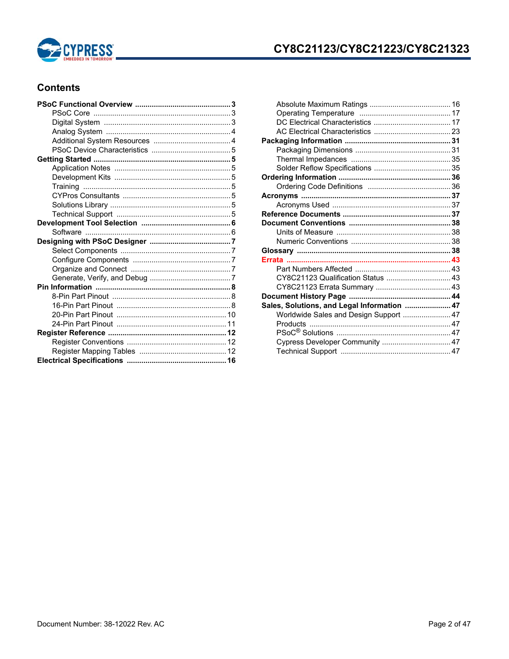

## **Contents**

| CY8C21123 Qualification Status  43          |  |
|---------------------------------------------|--|
|                                             |  |
|                                             |  |
| Sales, Solutions, and Legal Information  47 |  |
| Worldwide Sales and Design Support  47      |  |
|                                             |  |
|                                             |  |
| Cypress Developer Community  47             |  |
|                                             |  |
|                                             |  |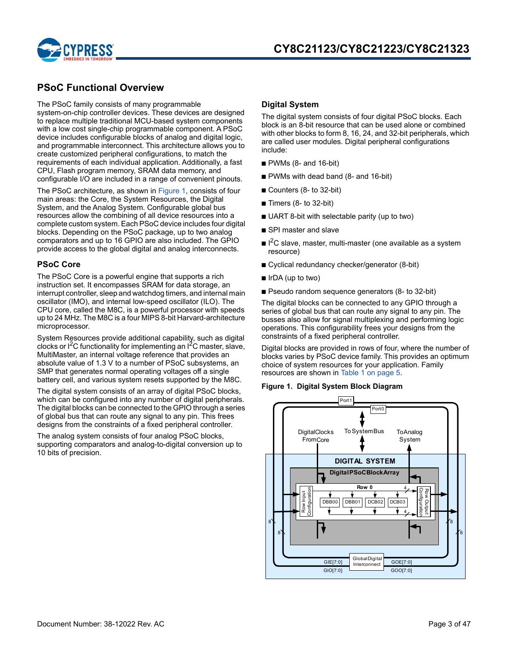

## **PSoC Functional Overview**

The PSoC family consists of many programmable system-on-chip controller devices. These devices are designed to replace multiple traditional MCU-based system components with a low cost single-chip programmable component. A PSoC device includes configurable blocks of analog and digital logic, and programmable interconnect. This architecture allows you to create customized peripheral configurations, to match the requirements of each individual application. Additionally, a fast CPU, Flash program memory, SRAM data memory, and configurable I/O are included in a range of convenient pinouts.

The PSoC architecture, as shown in Figure 1, consists of four main areas: the Core, the System Resources, the Digital System, and the Analog System. Configurable global bus resources allow the combining of all device resources into a complete custom system. Each PSoC device includes four digital blocks. Depending on the PSoC package, up to two analog comparators and up to 16 GPIO are also included. The GPIO provide access to the global digital and analog interconnects.

### **PSoC Core**

The PSoC Core is a powerful engine that supports a rich instruction set. It encompasses SRAM for data storage, an interrupt controller, sleep and watchdog timers, and internal main oscillator (IMO), and internal low-speed oscillator (ILO). The CPU core, called the M8C, is a powerful processor with speeds up to 24 MHz. The M8C is a four MIPS 8-bit Harvard-architecture microprocessor.

System Resources provide additional capability, such as digital clocks or  ${}^{12}C$  functionality for implementing an  ${}^{12}C$  master, slave, MultiMaster, an internal voltage reference that provides an absolute value of 1.3 V to a number of PSoC subsystems, an SMP that generates normal operating voltages off a single battery cell, and various system resets supported by the M8C.

The digital system consists of an array of digital PSoC blocks, which can be configured into any number of digital peripherals. The digital blocks can be connected to the GPIO through a series of global bus that can route any signal to any pin. This frees designs from the constraints of a fixed peripheral controller.

The analog system consists of four analog PSoC blocks, supporting comparators and analog-to-digital conversion up to 10 bits of precision.

### **Digital System**

The digital system consists of four digital PSoC blocks. Each block is an 8-bit resource that can be used alone or combined with other blocks to form 8, 16, 24, and 32-bit peripherals, which are called user modules. Digital peripheral configurations include:

- PWMs (8- and 16-bit)
- PWMs with dead band (8- and 16-bit)
- Counters (8- to 32-bit)
- $\blacksquare$  Timers (8- to 32-bit)
- UART 8-bit with selectable parity (up to two)
- SPI master and slave
- $\blacksquare$  I<sup>2</sup>C slave, master, multi-master (one available as a system resource)
- Cyclical redundancy checker/generator (8-bit)
- IrDA (up to two)
- Pseudo random sequence generators (8- to 32-bit)

The digital blocks can be connected to any GPIO through a series of global bus that can route any signal to any pin. The busses also allow for signal multiplexing and performing logic operations. This configurability frees your designs from the constraints of a fixed peripheral controller.

Digital blocks are provided in rows of four, where the number of blocks varies by PSoC device family. This provides an optimum choice of system resources for your application. Family resources are shown in Table 1 on page 5.

#### **Figure 1. Digital System Block Diagram**

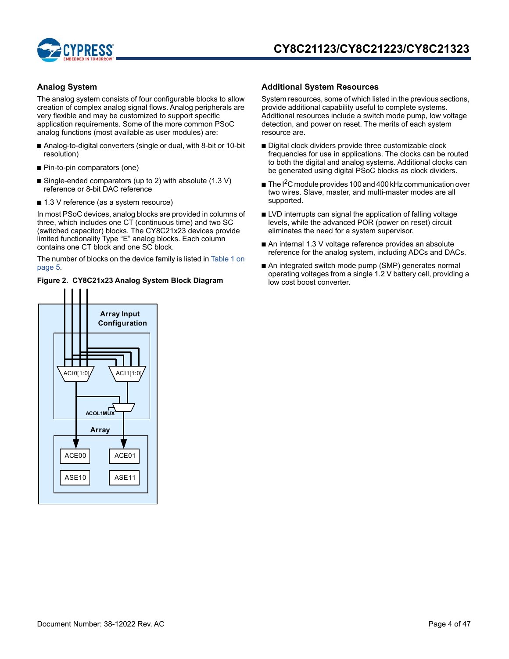

### **Analog System**

The analog system consists of four configurable blocks to allow creation of complex analog signal flows. Analog peripherals are very flexible and may be customized to support specific application requirements. Some of the more common PSoC analog functions (most available as user modules) are:

- Analog-to-digital converters (single or dual, with 8-bit or 10-bit resolution)
- Pin-to-pin comparators (one)
- Single-ended comparators (up to 2) with absolute (1.3 V) reference or 8-bit DAC reference
- 1.3 V reference (as a system resource)

In most PSoC devices, analog blocks are provided in columns of three, which includes one CT (continuous time) and two SC (switched capacitor) blocks. The CY8C21x23 devices provide limited functionality Type "E" analog blocks. Each column contains one CT block and one SC block.

The number of blocks on the device family is listed in Table 1 on page 5.

### **Figure 2. CY8C21x23 Analog System Block Diagram**

### **Additional System Resources**

System resources, some of which listed in the previous sections, provide additional capability useful to complete systems. Additional resources include a switch mode pump, low voltage detection, and power on reset. The merits of each system resource are.

- Digital clock dividers provide three customizable clock frequencies for use in applications. The clocks can be routed to both the digital and analog systems. Additional clocks can be generated using digital PSoC blocks as clock dividers.
- $\blacksquare$  The I<sup>2</sup>C module provides 100 and 400 kHz communication over two wires. Slave, master, and multi-master modes are all supported.
- LVD interrupts can signal the application of falling voltage levels, while the advanced POR (power on reset) circuit eliminates the need for a system supervisor.
- An internal 1.3 V voltage reference provides an absolute reference for the analog system, including ADCs and DACs.
- An integrated switch mode pump (SMP) generates normal operating voltages from a single 1.2 V battery cell, providing a low cost boost converter.

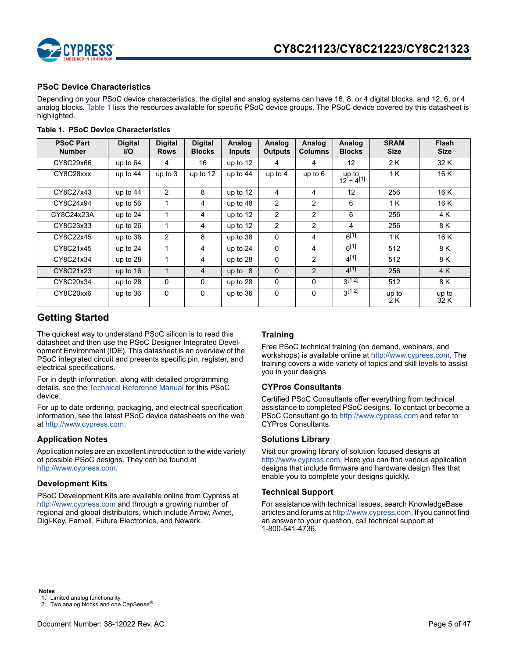

### **PSoC Device Characteristics**

Depending on your PSoC device characteristics, the digital and analog systems can have 16, 8, or 4 digital blocks, and 12, 6, or 4 analog blocks. Table 1 lists the resources available for specific PSoC device groups. The PSoC device covered by this datasheet is highlighted.

| <b>PSoC Part</b><br><b>Number</b> | <b>Digital</b><br><b>I/O</b> | <b>Digital</b><br><b>Rows</b> | <b>Digital</b><br><b>Blocks</b> | Analog<br><b>Inputs</b> | Analog<br><b>Outputs</b> | Analog<br><b>Columns</b> | Analog<br><b>Blocks</b> | <b>SRAM</b><br><b>Size</b> | <b>Flash</b><br><b>Size</b> |
|-----------------------------------|------------------------------|-------------------------------|---------------------------------|-------------------------|--------------------------|--------------------------|-------------------------|----------------------------|-----------------------------|
| CY8C29x66                         | up to 64                     | 4                             | 16                              | up to 12                | 4                        | 4                        | 12                      | 2 K                        | 32 K                        |
| CY8C28xxx                         | up to $44$                   | up to $3$                     | up to 12                        | up to 44                | up to $4$                | up to $6$                | up to<br>$12 + 4^{[1]}$ | 1 K                        | 16 K                        |
| CY8C27x43                         | up to 44                     | $\overline{2}$                | 8                               | up to 12                | 4                        | 4                        | 12                      | 256                        | 16 K                        |
| CY8C24x94                         | up to 56                     |                               | 4                               | up to 48                | $\overline{2}$           | 2                        | 6                       | 1 K                        | 16 K                        |
| CY8C24x23A                        | up to 24                     |                               | 4                               | up to 12                | 2                        | 2                        | 6                       | 256                        | 4 K                         |
| CY8C23x33                         | up to 26                     | 1                             | 4                               | up to 12                | $\overline{2}$           | 2                        | 4                       | 256                        | 8 K                         |
| CY8C22x45                         | up to 38                     | 2                             | 8                               | up to 38                | $\Omega$                 | 4                        | $6^{[1]}$               | 1 K                        | 16 K                        |
| CY8C21x45                         | up to $24$                   | 1                             | 4                               | up to $24$              | $\Omega$                 | 4                        | $6^{[1]}$               | 512                        | 8 K                         |
| CY8C21x34                         | up to 28                     | 1                             | 4                               | up to 28                | $\Omega$                 | 2                        | $4^{[1]}$               | 512                        | 8 K                         |
| CY8C21x23                         | up to 16                     | $\mathbf{1}$                  | 4                               | up to $8$               | $\mathbf 0$              | 2                        | $4^{[1]}$               | 256                        | 4 K                         |
| CY8C20x34                         | up to 28                     | 0                             | 0                               | up to 28                | $\Omega$                 | $\Omega$                 | $3^{[1,2]}$             | 512                        | 8 K                         |
| CY8C20xx6                         | up to 36                     | 0                             | 0                               | up to 36                | 0                        | $\Omega$                 | $3^{[1,2]}$             | up to<br>2 K               | up to<br>32 K               |

### **Table 1. PSoC Device Characteristics**

## **Getting Started**

The quickest way to understand PSoC silicon is to read this datasheet and then use the PSoC Designer Integrated Development Environment (IDE). This datasheet is an overview of the PSoC integrated circuit and presents specific pin, register, and electrical specifications.

For in depth information, along with detailed programming details, see the Technical Reference Manual for this PSoC device.

For up to date ordering, packaging, and electrical specification information, see the latest PSoC device datasheets on the web at http://www.cypress.com.

### **Application Notes**

Application notes are an excellent introduction to the wide variety of possible PSoC designs. They can be found at http://www.cypress.com.

### **Development Kits**

PSoC Development Kits are available online from Cypress at http://www.cypress.com and through a growing number of regional and global distributors, which include Arrow, Avnet, Digi-Key, Farnell, Future Electronics, and Newark.

### **Training**

Free PSoC technical training (on demand, webinars, and workshops) is available online at http://www.cypress.com. The training covers a wide variety of topics and skill levels to assist you in your designs.

### **CYPros Consultants**

Certified PSoC Consultants offer everything from technical assistance to completed PSoC designs. To contact or become a PSoC Consultant go to http://www.cypress.com and refer to CYPros Consultants.

### **Solutions Library**

Visit our growing library of solution focused designs at http://www.cypress.com. Here you can find various application designs that include firmware and hardware design files that enable you to complete your designs quickly.

### **Technical Support**

For assistance with technical issues, search KnowledgeBase articles and forums at http://www.cypress.com. If you cannot find an answer to your question, call technical support at 1-800-541-4736.

**Notes**

1. Limited analog functionality.

<sup>2.</sup> Two analog blocks and one CapSense®.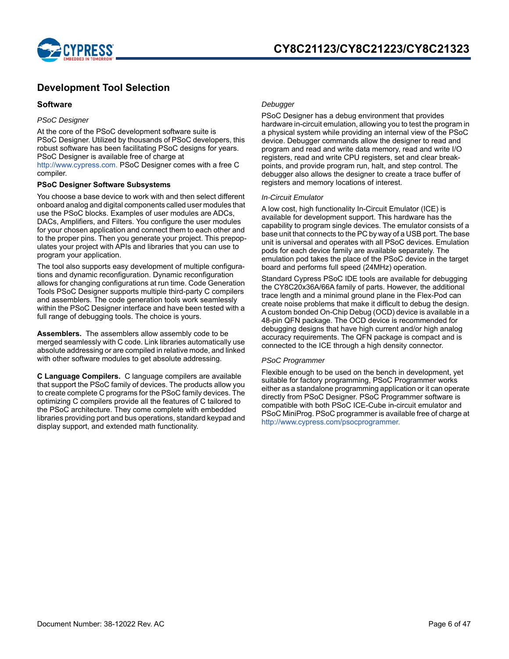

## **Development Tool Selection**

### **Software**

### *PSoC Designer*

At the core of the PSoC development software suite is PSoC Designer. Utilized by thousands of PSoC developers, this robust software has been facilitating PSoC designs for years. PSoC Designer is available free of charge at http://www.cypress.com. PSoC Designer comes with a free C compiler.

### **PSoC Designer Software Subsystems**

You choose a base device to work with and then select different onboard analog and digital components called user modules that use the PSoC blocks. Examples of user modules are ADCs, DACs, Amplifiers, and Filters. You configure the user modules for your chosen application and connect them to each other and to the proper pins. Then you generate your project. This prepopulates your project with APIs and libraries that you can use to program your application.

The tool also supports easy development of multiple configurations and dynamic reconfiguration. Dynamic reconfiguration allows for changing configurations at run time. Code Generation Tools PSoC Designer supports multiple third-party C compilers and assemblers. The code generation tools work seamlessly within the PSoC Designer interface and have been tested with a full range of debugging tools. The choice is yours.

**Assemblers.** The assemblers allow assembly code to be merged seamlessly with C code. Link libraries automatically use absolute addressing or are compiled in relative mode, and linked with other software modules to get absolute addressing.

**C Language Compilers.** C language compilers are available that support the PSoC family of devices. The products allow you to create complete C programs for the PSoC family devices. The optimizing C compilers provide all the features of C tailored to the PSoC architecture. They come complete with embedded libraries providing port and bus operations, standard keypad and display support, and extended math functionality.

### *Debugger*

PSoC Designer has a debug environment that provides hardware in-circuit emulation, allowing you to test the program in a physical system while providing an internal view of the PSoC device. Debugger commands allow the designer to read and program and read and write data memory, read and write I/O registers, read and write CPU registers, set and clear breakpoints, and provide program run, halt, and step control. The debugger also allows the designer to create a trace buffer of registers and memory locations of interest.

### *In-Circuit Emulator*

A low cost, high functionality In-Circuit Emulator (ICE) is available for development support. This hardware has the capability to program single devices. The emulator consists of a base unit that connects to the PC by way of a USB port. The base unit is universal and operates with all PSoC devices. Emulation pods for each device family are available separately. The emulation pod takes the place of the PSoC device in the target board and performs full speed (24MHz) operation.

Standard Cypress PSoC IDE tools are available for debugging the CY8C20x36A/66A family of parts. However, the additional trace length and a minimal ground plane in the Flex-Pod can create noise problems that make it difficult to debug the design. A custom bonded On-Chip Debug (OCD) device is available in a 48-pin QFN package. The OCD device is recommended for debugging designs that have high current and/or high analog accuracy requirements. The QFN package is compact and is connected to the ICE through a high density connector.

### *PSoC Programmer*

Flexible enough to be used on the bench in development, yet suitable for factory programming, PSoC Programmer works either as a standalone programming application or it can operate directly from PSoC Designer. PSoC Programmer software is compatible with both PSoC ICE-Cube in-circuit emulator and PSoC MiniProg. PSoC programmer is available free of charge at http://www.cypress.com/psocprogrammer.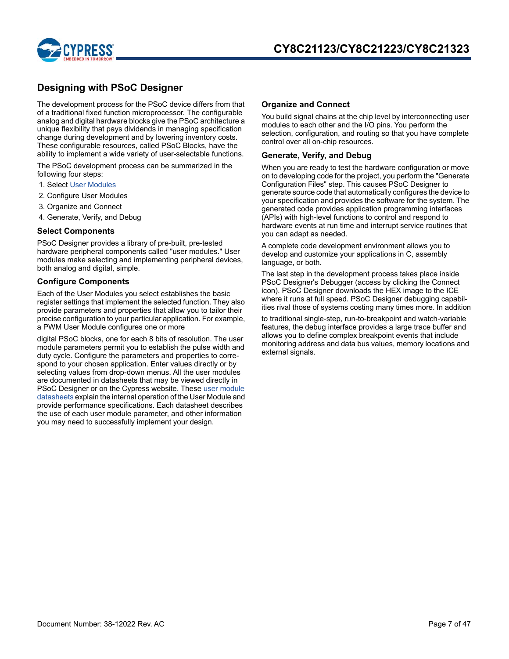

## **Designing with PSoC Designer**

The development process for the PSoC device differs from that of a traditional fixed function microprocessor. The configurable analog and digital hardware blocks give the PSoC architecture a unique flexibility that pays dividends in managing specification change during development and by lowering inventory costs. These configurable resources, called PSoC Blocks, have the ability to implement a wide variety of user-selectable functions.

The PSoC development process can be summarized in the following four steps:

- 1. Select User Modules
- 2. Configure User Modules
- 3. Organize and Connect
- 4. Generate, Verify, and Debug

### **Select Components**

PSoC Designer provides a library of pre-built, pre-tested hardware peripheral components called "user modules." User modules make selecting and implementing peripheral devices, both analog and digital, simple.

### **Configure Components**

Each of the User Modules you select establishes the basic register settings that implement the selected function. They also provide parameters and properties that allow you to tailor their precise configuration to your particular application. For example, a PWM User Module configures one or more

digital PSoC blocks, one for each 8 bits of resolution. The user module parameters permit you to establish the pulse width and duty cycle. Configure the parameters and properties to correspond to your chosen application. Enter values directly or by selecting values from drop-down menus. All the user modules are documented in datasheets that may be viewed directly in PSoC Designer or on the Cypress website. These user module datasheets explain the internal operation of the User Module and provide performance specifications. Each datasheet describes the use of each user module parameter, and other information you may need to successfully implement your design.

### **Organize and Connect**

You build signal chains at the chip level by interconnecting user modules to each other and the I/O pins. You perform the selection, configuration, and routing so that you have complete control over all on-chip resources.

### **Generate, Verify, and Debug**

When you are ready to test the hardware configuration or move on to developing code for the project, you perform the "Generate Configuration Files" step. This causes PSoC Designer to generate source code that automatically configures the device to your specification and provides the software for the system. The generated code provides application programming interfaces (APIs) with high-level functions to control and respond to hardware events at run time and interrupt service routines that you can adapt as needed.

A complete code development environment allows you to develop and customize your applications in C, assembly language, or both.

The last step in the development process takes place inside PSoC Designer's Debugger (access by clicking the Connect icon). PSoC Designer downloads the HEX image to the ICE where it runs at full speed. PSoC Designer debugging capabilities rival those of systems costing many times more. In addition

to traditional single-step, run-to-breakpoint and watch-variable features, the debug interface provides a large trace buffer and allows you to define complex breakpoint events that include monitoring address and data bus values, memory locations and external signals.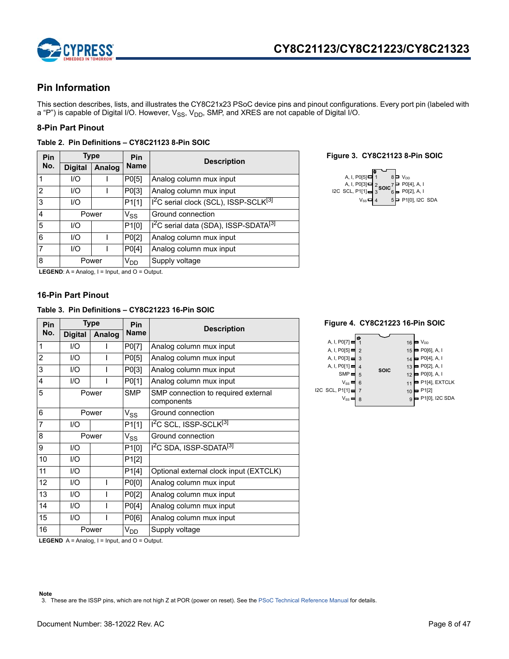

## **Pin Information**

This section describes, lists, and illustrates the CY8C21x23 PSoC device pins and pinout configurations. Every port pin (labeled with a "P") is capable of Digital I/O. However,  $V_{SS}$ ,  $V_{DD}$ , SMP, and XRES are not capable of Digital I/O.

### **8-Pin Part Pinout**

| Table 2. Pin Definitions - CY8C21123 8-Pin SOIC |  |
|-------------------------------------------------|--|
|                                                 |  |

| Type<br><b>Pin</b> |                |               | Pin                        | <b>Description</b>                                            |  |  |  |
|--------------------|----------------|---------------|----------------------------|---------------------------------------------------------------|--|--|--|
| No.                | <b>Digital</b> | <b>Analog</b> | <b>Name</b>                |                                                               |  |  |  |
|                    | I/O            |               | P0[5]                      | Analog column mux input                                       |  |  |  |
| $\overline{2}$     | 1/O            | P0[3]         |                            | Analog column mux input                                       |  |  |  |
| 3                  | 1/O            |               |                            | 1 <sup>2</sup> C serial clock (SCL), ISSP-SCLK <sup>[3]</sup> |  |  |  |
| 4                  | Power          |               | $\mathsf{V}_{\mathsf{SS}}$ | Ground connection                                             |  |  |  |
| 5                  | 1/O            |               | P1[0]                      | I <sup>2</sup> C serial data (SDA), ISSP-SDATA <sup>[3]</sup> |  |  |  |
| 6                  | 1/O            |               | P0[2]                      | Analog column mux input                                       |  |  |  |
| 7                  | 1/O            |               | P0[4]                      | Analog column mux input                                       |  |  |  |
| 8                  | Power          |               | V <sub>DD</sub>            | Supply voltage                                                |  |  |  |

### **Name Description Figure 3. CY8C21123 8-Pin SOIC**



**LEGEND**:  $A =$  Analog,  $I =$  Input, and  $O =$  Output.

### **16-Pin Part Pinout**

### **Table 3. Pin Definitions – CY8C21223 16-Pin SOIC**

| Pin            |                | Type          | Pin         | <b>Description</b>                                |  |  |  |
|----------------|----------------|---------------|-------------|---------------------------------------------------|--|--|--|
| No.            | <b>Digital</b> | <b>Analog</b> | <b>Name</b> |                                                   |  |  |  |
| 1              | 1/O            |               | P0[7]       | Analog column mux input                           |  |  |  |
| $\overline{c}$ | 1/O            |               | P0[5]       | Analog column mux input                           |  |  |  |
| 3              | 1/O            |               | P0[3]       | Analog column mux input                           |  |  |  |
| 4              | 1/O            |               | P0[1]       | Analog column mux input                           |  |  |  |
| 5              | Power          |               | <b>SMP</b>  | SMP connection to required external<br>components |  |  |  |
| 6              | Power          |               | $V_{SS}$    | Ground connection                                 |  |  |  |
| $\overline{7}$ | 1/O            |               | P1[1]       | 1 <sup>2</sup> C SCL, ISSP-SCLK <sup>[3]</sup>    |  |  |  |
| 8              | Power          |               | $V_{SS}$    | Ground connection                                 |  |  |  |
| 9              | 1/O            |               | P1[0]       | I <sup>2</sup> C SDA, ISSP-SDATA <sup>[3]</sup>   |  |  |  |
| 10             | 1/O            |               | P1[2]       |                                                   |  |  |  |
| 11             | 1/O            |               | P1[4]       | Optional external clock input (EXTCLK)            |  |  |  |
| 12             | 1/O            | I             | P0[0]       | Analog column mux input                           |  |  |  |
| 13             | 1/O            |               | P0[2]       | Analog column mux input                           |  |  |  |
| 14             | 1/O            |               | P0[4]       | Analog column mux input                           |  |  |  |
| 15             | 1/O            |               | P0[6]       | Analog column mux input                           |  |  |  |
| 16             |                | Power         | $V_{DD}$    | Supply voltage                                    |  |  |  |

#### **Name Description Figure 4. CY8C21223 16-Pin SOIC**

| ≏<br>A, I, P0[7]<br>$V_{DD}$<br>16<br>A, I, P0[5]<br>P0[6], A, I<br>$\overline{2}$<br>15<br>A, I, P0[3]<br>P0[4], A, I<br>3<br>14<br>A, I, $PO[1] \equiv$<br>$P0[2]$ , A, I<br>13<br>$\overline{4}$<br><b>SOIC</b><br>SMP <sub>I</sub><br><b>PO[0]</b> , A, I<br>12<br>5<br>$V_{SS}$<br>P1[4], EXTCLK<br>6<br>11<br>I2C SCL, P1[1]<br>P1[2]<br>10<br>P1[0], I2C SDA<br>$V_{SS}$<br>8<br>$\mathbf{Q}$ |
|------------------------------------------------------------------------------------------------------------------------------------------------------------------------------------------------------------------------------------------------------------------------------------------------------------------------------------------------------------------------------------------------------|
|------------------------------------------------------------------------------------------------------------------------------------------------------------------------------------------------------------------------------------------------------------------------------------------------------------------------------------------------------------------------------------------------------|

**LEGEND**  $A =$  Analog,  $I =$  Input, and  $O =$  Output.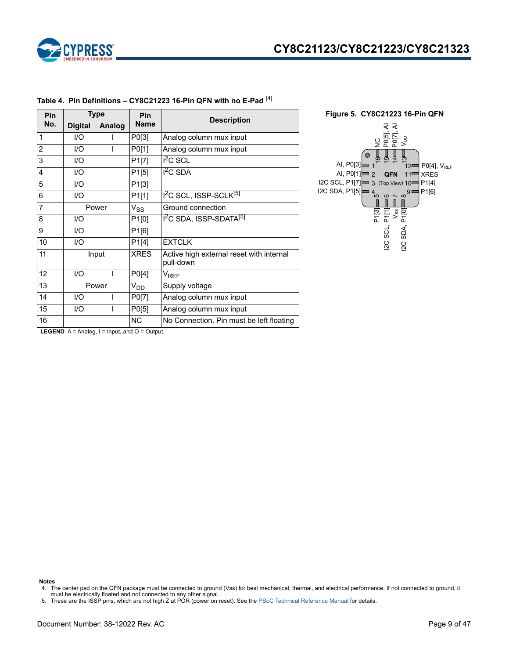

| <b>Type</b><br>Pin |        | Pin                     | <b>Description</b>                                    |  |  |  |
|--------------------|--------|-------------------------|-------------------------------------------------------|--|--|--|
| <b>Digital</b>     | Analog | <b>Name</b>             |                                                       |  |  |  |
| 1/O                |        | P0[3]                   | Analog column mux input                               |  |  |  |
| 1/O                |        | P0[1]                   | Analog column mux input                               |  |  |  |
| 1/O                |        | P1[7]                   | $I2C$ SCL                                             |  |  |  |
| 1/O                |        | P1[5]                   | $12C$ SDA                                             |  |  |  |
| 1/O                |        | P <sub>1</sub> [3]      |                                                       |  |  |  |
| 1/O                |        | P1[1]                   | I <sup>2</sup> C SCL, ISSP-SCLK <sup>[5]</sup>        |  |  |  |
| Power              |        | $V_{SS}$                | Ground connection                                     |  |  |  |
| 1/O                |        | P1[0]                   | I <sup>2</sup> C SDA, ISSP-SDATA <sup>[5]</sup>       |  |  |  |
| 1/O                |        | P1[6]                   |                                                       |  |  |  |
| I/O                |        | P <sub>1</sub> [4]      | <b>EXTCLK</b>                                         |  |  |  |
| Input              |        | <b>XRES</b>             | Active high external reset with internal<br>pull-down |  |  |  |
| $\overline{U}$     |        | PO[4]                   | V <sub>REF</sub>                                      |  |  |  |
|                    |        | V <sub>DD</sub>         | Supply voltage                                        |  |  |  |
| 1/O                |        | P0[7]                   | Analog column mux input                               |  |  |  |
| I/O                |        | P0[5]                   | Analog column mux input                               |  |  |  |
|                    |        | <b>NC</b>               | No Connection. Pin must be left floating              |  |  |  |
|                    |        | Power<br>$\blacksquare$ |                                                       |  |  |  |

### **Table 4. Pin Definitions – CY8C21223 16-Pin QFN with no E-Pad** [4]



**LEGEND**  $A =$  Analog,  $I =$  Input, and  $O =$  Output.

#### **Notes**

<sup>4.</sup> The center pad on the QFN package must be connected to ground (Vss) for best mechanical, thermal, and electrical performance. If not connected to ground, it must be electrically floated and not connected to any other signal. 5. These are the ISSP pins, which are not high Z at POR (power on reset). See the PSoC Technical Reference Manual for details.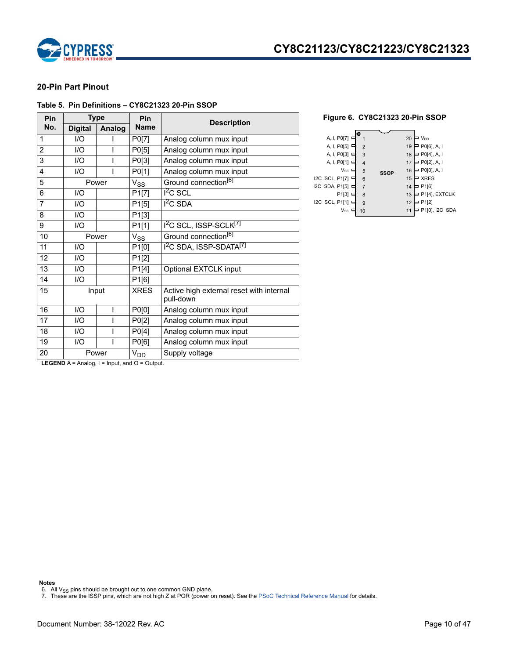

# **CY8C21123/CY8C21223/CY8C21323**

### **20-Pin Part Pinout**

#### **Table 5. Pin Definitions – CY8C21323 20-Pin SSOP**

| Pin            |                                                            | <b>Type</b> | Pin         | <b>Description</b>                                    |  |  |  |  |
|----------------|------------------------------------------------------------|-------------|-------------|-------------------------------------------------------|--|--|--|--|
| No.            | <b>Digital</b>                                             | Analog      | <b>Name</b> |                                                       |  |  |  |  |
| 1              | I/O                                                        |             | P0[7]       | Analog column mux input                               |  |  |  |  |
| $\overline{2}$ | I/O                                                        |             | P0[5]       | Analog column mux input                               |  |  |  |  |
| 3              | I/O                                                        |             | P0[3]       | Analog column mux input                               |  |  |  |  |
| 4              | I/O                                                        |             | P0[1]       | Analog column mux input                               |  |  |  |  |
| 5              |                                                            | Power       | $V_{SS}$    | Ground connection <sup>[6]</sup>                      |  |  |  |  |
| 6              | I/O                                                        |             | P1[7]       | $1^2C$ SCL                                            |  |  |  |  |
| $\overline{7}$ | I/O                                                        |             | P1[5]       | $12C$ SDA                                             |  |  |  |  |
| 8              | I/O                                                        |             | P1[3]       |                                                       |  |  |  |  |
| 9              | I/O                                                        |             | P1[1]       | I <sup>2</sup> C SCL, ISSP-SCLK <sup>[7]</sup>        |  |  |  |  |
| 10             |                                                            | Power       | $V_{SS}$    | Ground connection <sup>[6]</sup>                      |  |  |  |  |
| 11             | I/O                                                        |             | P1[0]       | 1 <sup>2</sup> C SDA, ISSP-SDATA <sup>[7]</sup>       |  |  |  |  |
| 12             | 1/O                                                        |             | P1[2]       |                                                       |  |  |  |  |
| 13             | 1/O                                                        |             | P1[4]       | Optional EXTCLK input                                 |  |  |  |  |
| 14             | I/O                                                        |             | P1[6]       |                                                       |  |  |  |  |
| 15             |                                                            | Input       | <b>XRES</b> | Active high external reset with internal<br>pull-down |  |  |  |  |
| 16             | 1/O                                                        | ı           | P0[0]       | Analog column mux input                               |  |  |  |  |
| 17             | I/O                                                        |             | P0[2]       | Analog column mux input                               |  |  |  |  |
| 18             | I/O                                                        |             | P0[4]       | Analog column mux input                               |  |  |  |  |
| 19             | I/O                                                        |             | P0[6]       | Analog column mux input                               |  |  |  |  |
| 20             |                                                            | Power       | $V_{DD}$    | Supply voltage                                        |  |  |  |  |
|                | <b>LEGEND</b> $A =$ Analog. $I =$ Input. and $O =$ Output. |             |             |                                                       |  |  |  |  |



**LEGEND**  $A =$  Analog,  $I =$  Input, and  $O =$  Output.

**Notes**

6. All V<sub>SS</sub> pins should be brought out to one common GND plane.<br>7. These are the ISSP pins, which are not high Z at POR (power on reset). See the PSoC Technical Reference Manual for details.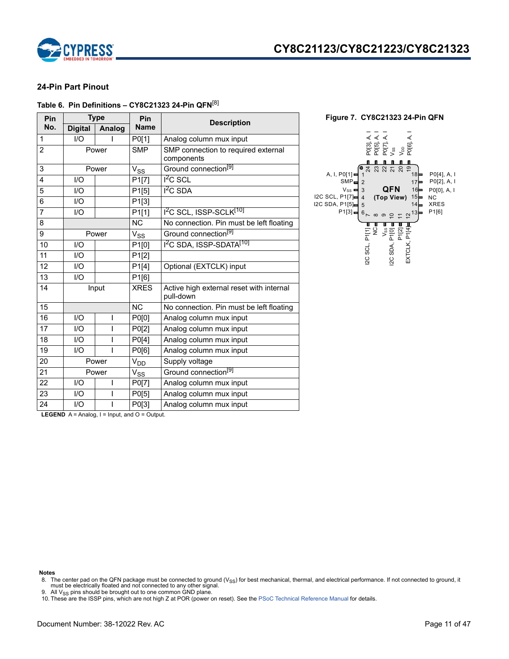

### **24-Pin Part Pinout**

### **Table 6. Pin Definitions – CY8C21323 24-Pin QFN**[8]

| Pin            |                | <b>Type</b>   | Pin                        | <b>Description</b>                                    |
|----------------|----------------|---------------|----------------------------|-------------------------------------------------------|
| No.            | <b>Digital</b> | <b>Analog</b> | <b>Name</b>                |                                                       |
| $\mathbf{1}$   | I/O            |               | P0[1]                      | Analog column mux input                               |
| $\overline{2}$ |                | Power         | <b>SMP</b>                 | SMP connection to required external<br>components     |
| 3              |                | Power         | $\mathsf{V}_{\mathsf{SS}}$ | Ground connection <sup>[9]</sup>                      |
| 4              | I/O            |               | P <sub>1</sub> [7]         | $12C$ SCL                                             |
| 5              | I/O            |               | P1[5]                      | $I2C$ SDA                                             |
| 6              | I/O            |               | P1[3]                      |                                                       |
| $\overline{7}$ | I/O            |               | P1[1]                      | 1 <sup>2</sup> C SCL, ISSP-SCLK <sup>[10]</sup>       |
| 8              |                |               | <b>NC</b>                  | No connection. Pin must be left floating              |
| 9              | Power          |               | $\mathsf{V}_{\mathsf{SS}}$ | Ground connection <sup>[9]</sup>                      |
| 10             | I/O            |               | P <sub>1[0]</sub>          | 1 <sup>2</sup> C SDA, ISSP-SDATA <sup>[10]</sup>      |
| 11             | 1/O            |               | P1[2]                      |                                                       |
| 12             | I/O            |               | P1[4]                      | Optional (EXTCLK) input                               |
| 13             | I/O            |               | P1[6]                      |                                                       |
| 14             |                | Input         | <b>XRES</b>                | Active high external reset with internal<br>pull-down |
| 15             |                |               | <b>NC</b>                  | No connection. Pin must be left floating              |
| 16             | I/O            | I             | P0[0]                      | Analog column mux input                               |
| 17             | 1/O            | I             | P0[2]                      | Analog column mux input                               |
| 18             | I/O            | ı             | P0[4]                      | Analog column mux input                               |
| 19             | I/O            | ı             | P0[6]                      | Analog column mux input                               |
| 20             |                | Power         | V <sub>DD</sub>            | Supply voltage                                        |
| 21             | Power          |               | $V_{SS}$                   | Ground connection <sup>[9]</sup>                      |
| 22             | I/O            | I             | P0[7]                      | Analog column mux input                               |
| 23             | 1/O            | ı             | P0[5]                      | Analog column mux input                               |
| 24             | I/O            | ı             | P0[3]                      | Analog column mux input                               |



**LEGEND**  $A =$  Analog,  $I =$  Input, and  $O =$  Output.

#### **Notes**

9. All V<sub>SS</sub> pins should be brought out to one common GND plane.

<sup>8.</sup> The center pad on the QFN package must be connected to ground (V<sub>SS</sub>) for best mechanical, thermal, and electrical performance. If not connected to ground, it must be electrically floated and not connected to any other signal.

<sup>10.</sup> These are the ISSP pins, which are not high Z at POR (power on reset). See the PSoC Technical Reference Manual for details.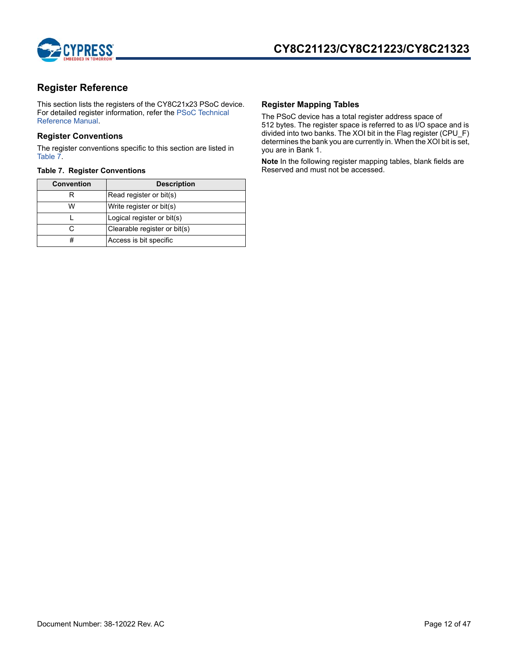

## **Register Reference**

This section lists the registers of the CY8C21x23 PSoC device. For detailed register information, refer the PSoC Technical Reference Manual.

### **Register Conventions**

The register conventions specific to this section are listed in Table 7.

| <b>Convention</b> | <b>Description</b>           |
|-------------------|------------------------------|
|                   | Read register or bit(s)      |
| w                 | Write register or bit(s)     |
|                   | Logical register or bit(s)   |
|                   | Clearable register or bit(s) |
| #                 | Access is bit specific       |

### **Register Mapping Tables**

The PSoC device has a total register address space of 512 bytes. The register space is referred to as I/O space and is divided into two banks. The XOI bit in the Flag register (CPU\_F) determines the bank you are currently in. When the XOI bit is set, you are in Bank 1.

**Note** In the following register mapping tables, blank fields are **Table 7. Register Conventions Reserved and must not be accessed.**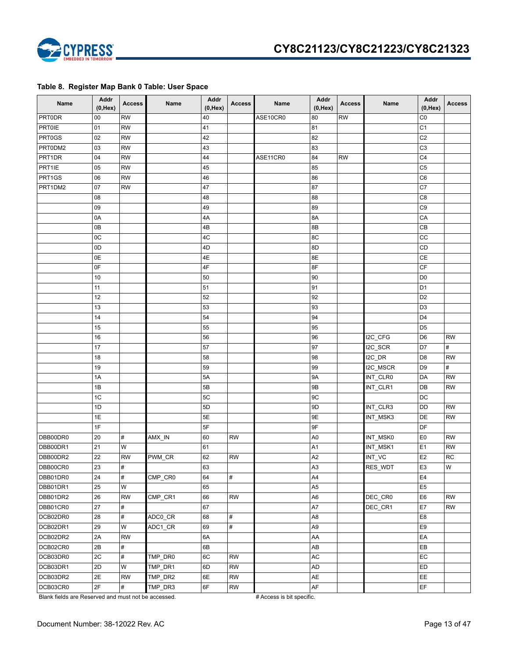

### **Table 8. Register Map Bank 0 Table: User Space**

| Name          | Addr<br>$(0,$ Hex $)$ | <b>Access</b>           | Name                                   | Addr<br>$(0,$ Hex $)$ | <b>Access</b> | Name     | Addr<br>$(0,$ Hex $)$  | <b>Access</b> | Name     | Addr<br>$(0,$ Hex $)$ | <b>Access</b> |
|---------------|-----------------------|-------------------------|----------------------------------------|-----------------------|---------------|----------|------------------------|---------------|----------|-----------------------|---------------|
| PRT0DR        | 00                    | <b>RW</b>               |                                        | 40                    |               | ASE10CR0 | 80                     | <b>RW</b>     |          | CO                    |               |
| <b>PRT0IE</b> | 01                    | <b>RW</b>               |                                        | 41                    |               |          | 81                     |               |          | C <sub>1</sub>        |               |
| PRT0GS        | 02                    | <b>RW</b>               |                                        | 42                    |               |          | 82                     |               |          | C <sub>2</sub>        |               |
| PRT0DM2       | 03                    | <b>RW</b>               |                                        | 43                    |               |          | 83                     |               |          | C <sub>3</sub>        |               |
| PRT1DR        | 04                    | <b>RW</b>               |                                        | 44                    |               | ASE11CR0 | 84                     | <b>RW</b>     |          | C <sub>4</sub>        |               |
| PRT1IE        | 05                    | <b>RW</b>               |                                        | 45                    |               |          | 85                     |               |          | C <sub>5</sub>        |               |
| PRT1GS        | 06                    | <b>RW</b>               |                                        | 46                    |               |          | 86                     |               |          | C <sub>6</sub>        |               |
| PRT1DM2       | 07                    | <b>RW</b>               |                                        | 47                    |               |          | 87                     |               |          | C7                    |               |
|               | 08                    |                         |                                        | 48                    |               |          | 88                     |               |          | C <sub>8</sub>        |               |
|               | 09                    |                         |                                        | 49                    |               |          | 89                     |               |          | C9                    |               |
|               | 0A                    |                         |                                        | 4A                    |               |          | 8A                     |               |          | CA                    |               |
|               | 0B                    |                         |                                        | 4B                    |               |          | 8B                     |               |          | CB                    |               |
|               | 0 <sup>C</sup>        |                         |                                        | 4C                    |               |          | 8C                     |               |          | CC                    |               |
|               | 0D                    |                         |                                        | 4D                    |               |          | 8D                     |               |          | CD                    |               |
|               | 0E                    |                         |                                        | 4E                    |               |          | 8E                     |               |          | $\mathsf{CE}$         |               |
|               | 0F                    |                         |                                        | 4F                    |               |          | 8F                     |               |          | CF                    |               |
|               | 10                    |                         |                                        | 50                    |               |          | 90                     |               |          | D <sub>0</sub>        |               |
|               | 11                    |                         |                                        | 51                    |               |          | 91                     |               |          | D <sub>1</sub>        |               |
|               | 12                    |                         |                                        | 52                    |               |          | 92                     |               |          | D <sub>2</sub>        |               |
|               | 13                    |                         |                                        | 53                    |               |          | 93                     |               |          | D <sub>3</sub>        |               |
|               | 14                    |                         |                                        | 54                    |               |          | 94                     |               |          | D <sub>4</sub>        |               |
|               | 15                    |                         |                                        | 55                    |               |          | 95                     |               |          | D <sub>5</sub>        |               |
|               | 16                    |                         |                                        | 56                    |               |          | 96                     |               | I2C_CFG  | D <sub>6</sub>        | <b>RW</b>     |
|               | 17                    |                         |                                        | 57                    |               |          | 97                     |               | I2C_SCR  | D7                    | $\#$          |
|               | 18                    |                         |                                        | 58                    |               |          | 98                     |               | $IC\_DR$ | D <sub>8</sub>        | <b>RW</b>     |
|               | 19                    |                         |                                        | 59                    |               |          | 99                     |               | I2C_MSCR | D <sub>9</sub>        | $\#$          |
|               | 1A                    |                         |                                        | 5A                    |               |          | <b>9A</b>              |               | INT_CLR0 | <b>DA</b>             | <b>RW</b>     |
|               | 1B                    |                         |                                        | 5B                    |               |          | 9B                     |               | INT_CLR1 | DB                    | <b>RW</b>     |
|               | 1 <sub>C</sub>        |                         |                                        | 5C                    |               |          | 9C                     |               |          | <b>DC</b>             |               |
|               | 1D                    |                         |                                        | 5D                    |               |          | 9D                     |               | INT_CLR3 | <b>DD</b>             | <b>RW</b>     |
|               | 1E                    |                         |                                        | 5E                    |               |          | 9E                     |               | INT_MSK3 | <b>DE</b>             | <b>RW</b>     |
|               | 1F                    |                         |                                        | 5F                    |               |          | 9F                     |               |          | DF                    |               |
| DBB00DR0      | 20                    | $\#$                    | $AMX$ <sub>_</sub> $IN$                | 60                    | <b>RW</b>     |          | A <sub>0</sub>         |               | INT_MSK0 | E <sub>0</sub>        | <b>RW</b>     |
| DBB00DR1      | 21                    | W                       |                                        | 61                    |               |          | A1                     |               | INT_MSK1 | E <sub>1</sub>        | <b>RW</b>     |
| DBB00DR2      | 22                    | <b>RW</b>               | PWM_CR                                 | 62                    | <b>RW</b>     |          | A <sub>2</sub>         |               | INT_VC   | E <sub>2</sub>        | <b>RC</b>     |
| DBB00CR0      | 23                    | $\#$                    |                                        | 63                    |               |          | A3                     |               | RES_WDT  | E <sub>3</sub>        | W             |
| DBB01DR0      | 24                    | #                       | $\overline{\text{CMP\_CR0}}$           | 64                    | #             |          | A4                     |               |          | E4                    |               |
| DBB01DR1      | 25                    | $\overline{\mathsf{W}}$ |                                        | 65                    |               |          | A5                     |               |          | E <sub>5</sub>        |               |
| DBB01DR2      | 26                    | <b>RW</b>               | $\overline{\text{CMP}}_{\text{C}}$ CR1 | 66                    | <b>RW</b>     |          | A6                     |               | DEC_CR0  | E <sub>6</sub>        | ${\sf RW}$    |
| DBB01CR0      | 27                    | $\#$                    |                                        | 67                    |               |          | A7                     |               | DEC_CR1  | E7                    | RW            |
| DCB02DR0      | 28                    | $\#$                    | ADC0_CR                                | 68                    | #             |          | A8                     |               |          | E <sub>8</sub>        |               |
| DCB02DR1      | 29                    | W                       | ADC1_CR                                | 69                    | #             |          | A9                     |               |          | E <sub>9</sub>        |               |
| DCB02DR2      | 2A                    | <b>RW</b>               |                                        | 6A                    |               |          | AA                     |               |          | EA                    |               |
| DCB02CR0      | 2B                    | $\#$                    |                                        | 6B                    |               |          | $\mathsf{A}\mathsf{B}$ |               |          | EB                    |               |
| DCB03DR0      | 2C                    | $\#$                    | TMP_DR0                                | 6C                    | <b>RW</b>     |          | AC                     |               |          | EC                    |               |
| DCB03DR1      | 2D                    | W                       | TMP_DR1                                | 6D                    | <b>RW</b>     |          | AD                     |               |          | <b>ED</b>             |               |
| DCB03DR2      | 2E                    | <b>RW</b>               | TMP_DR2                                | 6E                    | <b>RW</b>     |          | AE                     |               |          | EE                    |               |
| DCB03CR0      | 2F                    | $\#$                    | TMP_DR3                                | 6F                    | <b>RW</b>     |          | AF                     |               |          | EF                    |               |

Blank fields are Reserved and must not be accessed. # Access is bit specific.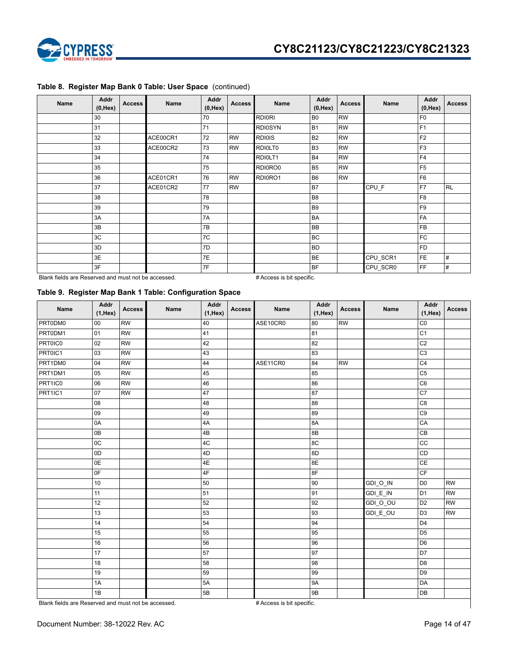

| Name | <b>Addr</b><br>$(0,$ Hex $)$ | <b>Access</b> | Name     | Addr<br>$(0,$ Hex $)$ | <b>Access</b> | Name           | Addr<br>$(0,$ Hex $)$ | <b>Access</b> | Name     | Addr<br>$(0,$ Hex $)$ | <b>Access</b> |
|------|------------------------------|---------------|----------|-----------------------|---------------|----------------|-----------------------|---------------|----------|-----------------------|---------------|
|      | 30                           |               |          | 70                    |               | <b>RDI0RI</b>  | B <sub>0</sub>        | <b>RW</b>     |          | F <sub>0</sub>        |               |
|      | 31                           |               |          | 71                    |               | <b>RDI0SYN</b> | <b>B1</b>             | <b>RW</b>     |          | F <sub>1</sub>        |               |
|      | 32                           |               | ACE00CR1 | 72                    | <b>RW</b>     | <b>RDI0IS</b>  | <b>B2</b>             | <b>RW</b>     |          | F <sub>2</sub>        |               |
|      | 33                           |               | ACE00CR2 | 73                    | <b>RW</b>     | RDI0LT0        | B <sub>3</sub>        | <b>RW</b>     |          | F <sub>3</sub>        |               |
|      | 34                           |               |          | 74                    |               | RDI0LT1        | <b>B4</b>             | <b>RW</b>     |          | F <sub>4</sub>        |               |
|      | 35                           |               |          | 75                    |               | RDI0RO0        | <b>B5</b>             | <b>RW</b>     |          | F <sub>5</sub>        |               |
|      | 36                           |               | ACE01CR1 | 76                    | <b>RW</b>     | RDI0RO1        | B <sub>6</sub>        | <b>RW</b>     |          | F <sub>6</sub>        |               |
|      | 37                           |               | ACE01CR2 | 77                    | <b>RW</b>     |                | B7                    |               | CPU_F    | F7                    | RL            |
|      | 38                           |               |          | 78                    |               |                | B <sub>8</sub>        |               |          | F <sub>8</sub>        |               |
|      | 39                           |               |          | 79                    |               |                | B <sub>9</sub>        |               |          | F <sub>9</sub>        |               |
|      | 3A                           |               |          | 7A                    |               |                | BA                    |               |          | <b>FA</b>             |               |
|      | 3B                           |               |          | 7B                    |               |                | <b>BB</b>             |               |          | <b>FB</b>             |               |
|      | 3C                           |               |          | 7C                    |               |                | <b>BC</b>             |               |          | <b>FC</b>             |               |
|      | 3D                           |               |          | 7D                    |               |                | <b>BD</b>             |               |          | <b>FD</b>             |               |
|      | 3E                           |               |          | 7E                    |               |                | <b>BE</b>             |               | CPU_SCR1 | FE                    | #             |
|      | 3F                           |               |          | 7F                    |               |                | <b>BF</b>             |               | CPU_SCR0 | FF                    | #             |

### **Table 8. Register Map Bank 0 Table: User Space** (continued)

Blank fields are Reserved and must not be accessed. # Access is bit specific.

### **Table 9. Register Map Bank 1 Table: Configuration Space**

| Name                                                | Addr<br>$(1,$ Hex $)$ | <b>Access</b> | Name | Addr<br>$(1,$ Hex $)$ | <b>Access</b> | Name                      | Addr<br>$(1,$ Hex $)$ | <b>Access</b> | Name      | Addr<br>$(1,$ Hex $)$  | <b>Access</b> |
|-----------------------------------------------------|-----------------------|---------------|------|-----------------------|---------------|---------------------------|-----------------------|---------------|-----------|------------------------|---------------|
| PRT0DM0                                             | 00                    | <b>RW</b>     |      | 40                    |               | ASE10CR0                  | 80                    | <b>RW</b>     |           | CO                     |               |
| PRT0DM1                                             | 01                    | <b>RW</b>     |      | 41                    |               |                           | 81                    |               |           | $\overline{C1}$        |               |
| PRT0IC0                                             | 02                    | <b>RW</b>     |      | 42                    |               |                           | 82                    |               |           | C <sub>2</sub>         |               |
| PRT0IC1                                             | 03                    | <b>RW</b>     |      | 43                    |               |                           | 63                    |               |           | C <sub>3</sub>         |               |
| PRT1DM0                                             | 04                    | <b>RW</b>     |      | 44                    |               | ASE11CR0                  | 84                    | <b>RW</b>     |           | C <sub>4</sub>         |               |
| PRT1DM1                                             | 05                    | <b>RW</b>     |      | 45                    |               |                           | 85                    |               |           | C <sub>5</sub>         |               |
| PRT1IC0                                             | 06                    | <b>RW</b>     |      | 46                    |               |                           | 86                    |               |           | C <sub>6</sub>         |               |
| PRT1IC1                                             | 07                    | <b>RW</b>     |      | 47                    |               |                           | 87                    |               |           | C7                     |               |
|                                                     | 08                    |               |      | 48                    |               |                           | 88                    |               |           | C <sub>8</sub>         |               |
|                                                     | 09                    |               |      | 49                    |               |                           | 89                    |               |           | C <sub>9</sub>         |               |
|                                                     | 0A                    |               |      | 4A                    |               |                           | 8A                    |               |           | CA                     |               |
|                                                     | 0B                    |               |      | 4B                    |               |                           | 8B                    |               |           | CB                     |               |
|                                                     | 0C                    |               |      | 4C                    |               |                           | 8C                    |               |           | cc                     |               |
|                                                     | 0D                    |               |      | 4D                    |               |                           | 8D                    |               |           | CD                     |               |
|                                                     | 0E                    |               |      | 4E                    |               |                           | 8E                    |               |           | CE                     |               |
|                                                     | 0F                    |               |      | 4F                    |               |                           | 8F                    |               |           | $\mathsf{C}\mathsf{F}$ |               |
|                                                     | 10                    |               |      | 50                    |               |                           | 90                    |               | GDI_O_IN  | D <sub>0</sub>         | <b>RW</b>     |
|                                                     | 11                    |               |      | 51                    |               |                           | 91                    |               | $GDI_E_N$ | D <sub>1</sub>         | <b>RW</b>     |
|                                                     | 12                    |               |      | 52                    |               |                           | 92                    |               | GDI_O_OU  | D <sub>2</sub>         | <b>RW</b>     |
|                                                     | 13                    |               |      | 53                    |               |                           | 93                    |               | GDI_E_OU  | D <sub>3</sub>         | <b>RW</b>     |
|                                                     | 14                    |               |      | 54                    |               |                           | 94                    |               |           | D <sub>4</sub>         |               |
|                                                     | 15                    |               |      | 55                    |               |                           | 95                    |               |           | D <sub>5</sub>         |               |
|                                                     | 16                    |               |      | 56                    |               |                           | 96                    |               |           | D <sub>6</sub>         |               |
|                                                     | 17                    |               |      | 57                    |               |                           | 97                    |               |           | D7                     |               |
|                                                     | 18                    |               |      | 58                    |               |                           | 98                    |               |           | D <sub>8</sub>         |               |
|                                                     | 19                    |               |      | 59                    |               |                           | 99                    |               |           | D <sub>9</sub>         |               |
|                                                     | 1A                    |               |      | 5A                    |               |                           | 9A                    |               |           | DA                     |               |
|                                                     | 1B                    |               |      | 5B                    |               |                           | 9B                    |               |           | DB                     |               |
| Blank fields are Reserved and must not be accessed. |                       |               |      |                       |               | # Access is bit specific. |                       |               |           |                        |               |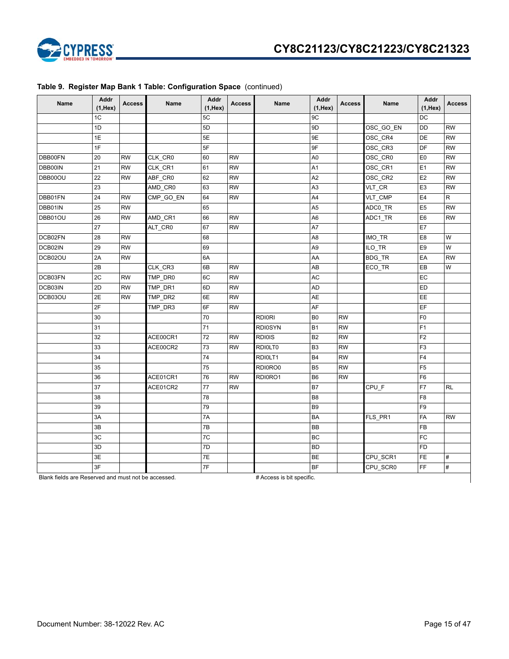

| Name    | Addr<br>$(1,$ Hex $)$ | <b>Access</b> | Name      | Addr<br>$(1,$ Hex $)$ | <b>Access</b> | Name           | Addr<br>$(1,$ Hex $)$ | <b>Access</b> | Name      | Addr<br>$(1,$ Hex $)$ | <b>Access</b> |
|---------|-----------------------|---------------|-----------|-----------------------|---------------|----------------|-----------------------|---------------|-----------|-----------------------|---------------|
|         | 1C                    |               |           | 5C                    |               |                | 9C                    |               |           | DC                    |               |
|         | 1D                    |               |           | 5D                    |               |                | 9D                    |               | OSC_GO_EN | DD                    | <b>RW</b>     |
|         | 1E                    |               |           | 5E                    |               |                | 9E                    |               | OSC_CR4   | DE                    | <b>RW</b>     |
|         | 1F                    |               |           | 5F                    |               |                | 9F                    |               | OSC_CR3   | DF                    | <b>RW</b>     |
| DBB00FN | 20                    | <b>RW</b>     | CLK_CR0   | 60                    | <b>RW</b>     |                | A0                    |               | OSC_CR0   | E <sub>0</sub>        | <b>RW</b>     |
| DBB00IN | 21                    | <b>RW</b>     | CLK_CR1   | 61                    | <b>RW</b>     |                | A1                    |               | OSC_CR1   | E <sub>1</sub>        | <b>RW</b>     |
| DBB00OU | 22                    | <b>RW</b>     | ABF_CR0   | 62                    | <b>RW</b>     |                | A <sub>2</sub>        |               | OSC_CR2   | E <sub>2</sub>        | <b>RW</b>     |
|         | 23                    |               | AMD_CR0   | 63                    | <b>RW</b>     |                | A <sub>3</sub>        |               | VLT_CR    | E <sub>3</sub>        | <b>RW</b>     |
| DBB01FN | 24                    | <b>RW</b>     | CMP_GO_EN | 64                    | <b>RW</b>     |                | A4                    |               | VLT_CMP   | E4                    | $\mathsf{R}$  |
| DBB01IN | 25                    | <b>RW</b>     |           | 65                    |               |                | A5                    |               | ADC0_TR   | E <sub>5</sub>        | <b>RW</b>     |
| DBB01OU | 26                    | RW            | AMD_CR1   | 66                    | <b>RW</b>     |                | A6                    |               | ADC1_TR   | E <sub>6</sub>        | <b>RW</b>     |
|         | 27                    |               | ALT_CR0   | 67                    | <b>RW</b>     |                | A7                    |               |           | E7                    |               |
| DCB02FN | 28                    | <b>RW</b>     |           | 68                    |               |                | A8                    |               | IMO_TR    | E <sub>8</sub>        | W             |
| DCB02IN | 29                    | <b>RW</b>     |           | 69                    |               |                | A <sub>9</sub>        |               | ILO_TR    | E9                    | W             |
| DCB02OU | 2A                    | <b>RW</b>     |           | 6A                    |               |                | AA                    |               | BDG_TR    | EA                    | <b>RW</b>     |
|         | 2B                    |               | CLK CR3   | 6B                    | <b>RW</b>     |                | AB                    |               | ECO_TR    | EB                    | W             |
| DCB03FN | 2C                    | <b>RW</b>     | TMP_DR0   | 6C                    | <b>RW</b>     |                | AC                    |               |           | EC                    |               |
| DCB03IN | 2D                    | <b>RW</b>     | TMP_DR1   | 6D                    | <b>RW</b>     |                | AD                    |               |           | ED                    |               |
| DCB03OU | 2E                    | <b>RW</b>     | TMP_DR2   | 6E                    | <b>RW</b>     |                | AE                    |               |           | EE                    |               |
|         | 2F                    |               | TMP_DR3   | 6F                    | <b>RW</b>     |                | AF                    |               |           | EF                    |               |
|         | 30                    |               |           | 70                    |               | <b>RDI0RI</b>  | B <sub>0</sub>        | <b>RW</b>     |           | F <sub>0</sub>        |               |
|         | 31                    |               |           | 71                    |               | <b>RDI0SYN</b> | <b>B1</b>             | <b>RW</b>     |           | F <sub>1</sub>        |               |
|         | 32                    |               | ACE00CR1  | 72                    | <b>RW</b>     | <b>RDI0IS</b>  | <b>B2</b>             | <b>RW</b>     |           | F <sub>2</sub>        |               |
|         | 33                    |               | ACE00CR2  | 73                    | <b>RW</b>     | RDI0LT0        | B <sub>3</sub>        | <b>RW</b>     |           | F <sub>3</sub>        |               |
|         | 34                    |               |           | 74                    |               | RDI0LT1        | <b>B4</b>             | <b>RW</b>     |           | F4                    |               |
|         | 35                    |               |           | 75                    |               | RDI0RO0        | B <sub>5</sub>        | <b>RW</b>     |           | F <sub>5</sub>        |               |
|         | 36                    |               | ACE01CR1  | 76                    | <b>RW</b>     | RDI0RO1        | B <sub>6</sub>        | <b>RW</b>     |           | F <sub>6</sub>        |               |
|         | 37                    |               | ACE01CR2  | 77                    | <b>RW</b>     |                | B7                    |               | CPU_F     | F7                    | <b>RL</b>     |
|         | 38                    |               |           | 78                    |               |                | B <sub>8</sub>        |               |           | F <sub>8</sub>        |               |
|         | 39                    |               |           | 79                    |               |                | B <sub>9</sub>        |               |           | F <sub>9</sub>        |               |
|         | 3A                    |               |           | 7A                    |               |                | <b>BA</b>             |               | FLS_PR1   | FA                    | <b>RW</b>     |
|         | 3B                    |               |           | 7B                    |               |                | <b>BB</b>             |               |           | FB                    |               |
|         | 3C                    |               |           | 7C                    |               |                | BC                    |               |           | FC                    |               |
|         | 3D                    |               |           | 7D                    |               |                | <b>BD</b>             |               |           | <b>FD</b>             |               |
|         | 3E                    |               |           | 7E                    |               |                | BE                    |               | CPU_SCR1  | FE                    | $\#$          |
|         | 3F                    |               |           | 7F                    |               |                | <b>BF</b>             |               | CPU_SCR0  | FF                    | $\#$          |

### **Table 9. Register Map Bank 1 Table: Configuration Space** (continued)

Blank fields are Reserved and must not be accessed. # Access is bit specific.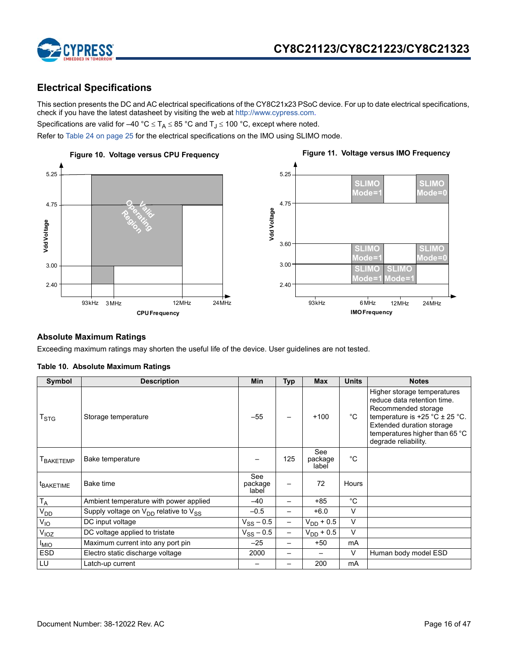

## **Electrical Specifications**

This section presents the DC and AC electrical specifications of the CY8C21x23 PSoC device. For up to date electrical specifications, check if you have the latest datasheet by visiting the web at http://www.cypress.com.

Specifications are valid for –40 °C  $\leq$  T<sub>A</sub>  $\leq$  85 °C and T<sub>J</sub>  $\leq$  100 °C, except where noted.

Refer to Table 24 on page 25 for the electrical specifications on the IMO using SLIMO mode.



### **Absolute Maximum Ratings**

Exceeding maximum ratings may shorten the useful life of the device. User guidelines are not tested.

| Symbol                      | <b>Description</b>                              | <b>Min</b>              | <b>Typ</b>               | Max                     | <b>Units</b> | <b>Notes</b>                                                                                                                                                                                                     |
|-----------------------------|-------------------------------------------------|-------------------------|--------------------------|-------------------------|--------------|------------------------------------------------------------------------------------------------------------------------------------------------------------------------------------------------------------------|
| $\mathsf{T}_{\textsf{STG}}$ | Storage temperature                             | $-55$                   |                          | $+100$                  | °C           | Higher storage temperatures<br>reduce data retention time.<br>Recommended storage<br>temperature is $+25$ °C $\pm$ 25 °C.<br>Extended duration storage<br>temperatures higher than 65 °C<br>degrade reliability. |
| <b>T</b> BAKETEMP           | Bake temperature                                |                         | 125                      | See<br>package<br>label | $^{\circ}C$  |                                                                                                                                                                                                                  |
| <sup>t</sup> BAKETIME       | Bake time                                       | See<br>package<br>label |                          | 72                      | Hours        |                                                                                                                                                                                                                  |
| $T_A$                       | Ambient temperature with power applied          | $-40$                   | -                        | $+85$                   | $^{\circ}C$  |                                                                                                                                                                                                                  |
| $V_{DD}$                    | Supply voltage on $V_{DD}$ relative to $V_{SS}$ | $-0.5$                  | —                        | $+6.0$                  | V            |                                                                                                                                                                                                                  |
| $V_{IO}$                    | DC input voltage                                | $V_{SS}$ – 0.5          | $\overline{\phantom{0}}$ | $V_{DD}$ + 0.5          | V            |                                                                                                                                                                                                                  |
| V <sub>IOZ</sub>            | DC voltage applied to tristate                  | $V_{SS}$ – 0.5          | -                        | $V_{DD}$ + 0.5          | V            |                                                                                                                                                                                                                  |
| <b>IMIO</b>                 | Maximum current into any port pin               | $-25$                   | -                        | $+50$                   | mA           |                                                                                                                                                                                                                  |
| <b>ESD</b>                  | Electro static discharge voltage                | 2000                    | —                        |                         | V            | Human body model ESD                                                                                                                                                                                             |
| LU                          | Latch-up current                                |                         |                          | 200                     | mA           |                                                                                                                                                                                                                  |

### **Table 10. Absolute Maximum Ratings**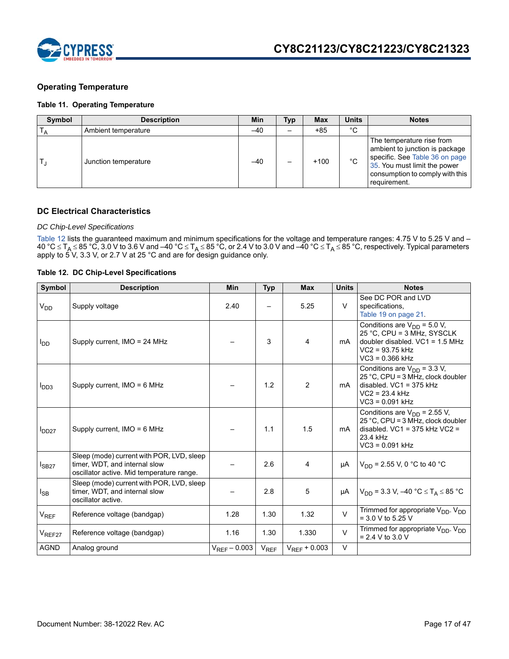

### **Operating Temperature**

### **Table 11. Operating Temperature**

| Symbol | <b>Description</b>   | Min   | Typ | Max    | <b>Units</b> | <b>Notes</b>                                                                                                                                                                     |
|--------|----------------------|-------|-----|--------|--------------|----------------------------------------------------------------------------------------------------------------------------------------------------------------------------------|
|        | Ambient temperature  | $-40$ | -   | $+85$  | °С           |                                                                                                                                                                                  |
|        | Junction temperature | $-40$ |     | $+100$ | $^{\circ}C$  | The temperature rise from<br>ambient to junction is package<br>specific. See Table 36 on page<br>35. You must limit the power<br>consumption to comply with this<br>requirement. |

### **DC Electrical Characteristics**

### *DC Chip-Level Specifications*

Table 12 lists the guaranteed maximum and minimum specifications for the voltage and temperature ranges: 4.75 V to 5.25 V and – 40 °C  $\le$  T<sub>A</sub>  $\le$  85 °C, 3.0 V to 3.6 V and –40 °C  $\le$  T<sub>A</sub>  $\le$  85 °C, or 2.4 V to 3.0 V and –40 °C  $\le$  T<sub>A</sub>  $\le$  85 °C, respectively. Typical parameters apply to 5 V, 3.3 V, or 2.7 V at 25 °C and are for design guidance only.

### **Table 12. DC Chip-Level Specifications**

| Symbol           | <b>Description</b>                                                                                                      | <b>Min</b>        | <b>Typ</b> | <b>Max</b>        | <b>Units</b> | <b>Notes</b>                                                                                                                                   |
|------------------|-------------------------------------------------------------------------------------------------------------------------|-------------------|------------|-------------------|--------------|------------------------------------------------------------------------------------------------------------------------------------------------|
| V <sub>DD</sub>  | Supply voltage                                                                                                          | 2.40              |            | 5.25              | $\vee$       | See DC POR and LVD<br>specifications.<br>Table 19 on page 21.                                                                                  |
| l <sub>DD</sub>  | Supply current, IMO = 24 MHz                                                                                            |                   | 3          | 4                 | mA           | Conditions are $V_{DD}$ = 5.0 V,<br>25 °C, CPU = 3 MHz, SYSCLK<br>doubler disabled. $VC1 = 1.5 MHz$<br>$VC2 = 93.75$ kHz<br>$VC3 = 0.366$ kHz  |
| I <sub>DD3</sub> | Supply current, $IMO = 6 MHz$                                                                                           |                   | 1.2        | 2                 | mA           | Conditions are $V_{DD}$ = 3.3 V,<br>25 °C, CPU = 3 MHz, clock doubler<br>disabled. $VC1 = 375$ kHz<br>$VC2 = 23.4 kHz$<br>$VC3 = 0.091$ kHz    |
| $I_{DD27}$       | Supply current, $IMO = 6 MHz$                                                                                           |                   | 1.1        | 1.5               | mA           | Conditions are $V_{DD}$ = 2.55 V,<br>25 °C, CPU = $3$ MHz, clock doubler<br>disabled. $VC1 = 375$ kHz $VC2 =$<br>23.4 kHz<br>$VC3 = 0.091$ kHz |
| $I_{SB27}$       | Sleep (mode) current with POR, LVD, sleep<br>timer, WDT, and internal slow<br>oscillator active. Mid temperature range. |                   | 2.6        | 4                 | μA           | $V_{DD}$ = 2.55 V, 0 °C to 40 °C                                                                                                               |
| l <sub>SB</sub>  | Sleep (mode) current with POR, LVD, sleep<br>timer, WDT, and internal slow<br>oscillator active.                        |                   | 2.8        | 5                 | μA           | $V_{DD}$ = 3.3 V, –40 °C $\leq T_A \leq 85$ °C                                                                                                 |
| V <sub>REF</sub> | Reference voltage (bandgap)                                                                                             | 1.28              | 1.30       | 1.32              | $\vee$       | Trimmed for appropriate V <sub>DD</sub> . V <sub>DD</sub><br>$= 3.0 V$ to 5.25 V                                                               |
| $V_{REF27}$      | Reference voltage (bandgap)                                                                                             | 1.16              | 1.30       | 1.330             | $\vee$       | Trimmed for appropriate $V_{DD}$ . $V_{DD}$<br>$= 2.4 V$ to 3.0 V                                                                              |
| <b>AGND</b>      | Analog ground                                                                                                           | $V_{RFF} - 0.003$ | $V_{REF}$  | $V_{REF}$ + 0.003 | $\vee$       |                                                                                                                                                |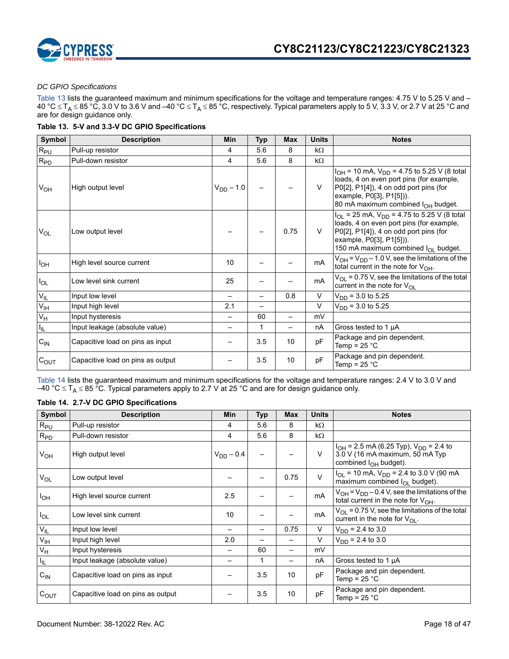



### *DC GPIO Specifications*

Table 13 lists the guaranteed maximum and minimum specifications for the voltage and temperature ranges: 4.75 V to 5.25 V and – 40 °C  $\le$  T<sub>A</sub>  $\le$  85 °C, 3.0 V to 3.6 V and –40 °C  $\le$  T<sub>A</sub>  $\le$  85 °C, respectively. Typical parameters apply to 5 V, 3.3 V, or 2.7 V at 25 °C and are for design guidance only.

### **Table 13. 5-V and 3.3-V DC GPIO Specifications**

| Symbol                    | <b>Description</b>                | Min                      | <b>Typ</b>               | <b>Max</b> | <b>Units</b> | <b>Notes</b>                                                                                                                                                                                                              |
|---------------------------|-----------------------------------|--------------------------|--------------------------|------------|--------------|---------------------------------------------------------------------------------------------------------------------------------------------------------------------------------------------------------------------------|
| $R_{PU}$                  | Pull-up resistor                  | 4                        | 5.6                      | 8          | $k\Omega$    |                                                                                                                                                                                                                           |
| $R_{PD}$                  | Pull-down resistor                | 4                        | 5.6                      | 8          | $k\Omega$    |                                                                                                                                                                                                                           |
| $V_{OH}$                  | High output level                 | $V_{DD} - 1.0$           |                          |            | $\vee$       | $I_{OH}$ = 10 mA, $V_{DD}$ = 4.75 to 5.25 V (8 total<br>loads, 4 on even port pins (for example,<br>P0[2], P1[4]), 4 on odd port pins (for<br>example, P0[3], P1[5])).<br>80 mA maximum combined I <sub>OH</sub> budget.  |
| V <sub>OL</sub>           | Low output level                  |                          |                          | 0.75       | $\vee$       | $I_{OL}$ = 25 mA, $V_{DD}$ = 4.75 to 5.25 V (8 total<br>loads, 4 on even port pins (for example,<br>P0[2], P1[4]), 4 on odd port pins (for<br>example, P0[3], P1[5])).<br>150 mA maximum combined I <sub>OL</sub> budget. |
| l <sub>OH</sub>           | High level source current         | 10                       |                          |            | mA           | $V_{OH}$ = $V_{DD}$ – 1.0 V, see the limitations of the<br>total current in the note for $V_{OH}$ .                                                                                                                       |
| $I_{OL}$                  | Low level sink current            | 25                       |                          |            | mA           | $V_{OL}$ = 0.75 V, see the limitations of the total<br>current in the note for $V_{\Omega}$                                                                                                                               |
| $V_{IL}$                  | Input low level                   | $\overline{\phantom{0}}$ |                          | 0.8        | $\vee$       | $V_{DD}$ = 3.0 to 5.25                                                                                                                                                                                                    |
| $V_{\text{IH}}$           | Input high level                  | 2.1                      | $\overline{\phantom{0}}$ |            | $\vee$       | $V_{DD}$ = 3.0 to 5.25                                                                                                                                                                                                    |
| $\mathsf{V}_{\mathsf{H}}$ | Input hysteresis                  | $\equiv$                 | 60                       |            | mV           |                                                                                                                                                                                                                           |
| $I_{\rm IL}$              | Input leakage (absolute value)    | -                        | $\mathbf 1$              |            | nA           | Gross tested to 1 µA                                                                                                                                                                                                      |
| $C_{IN}$                  | Capacitive load on pins as input  |                          | 3.5                      | 10         | pF           | Package and pin dependent.<br>Temp = $25 °C$                                                                                                                                                                              |
| $C_{OUT}$                 | Capacitive load on pins as output |                          | 3.5                      | 10         | pF           | Package and pin dependent.<br>Temp = $25 °C$                                                                                                                                                                              |

Table 14 lists the guaranteed maximum and minimum specifications for the voltage and temperature ranges: 2.4 V to 3.0 V and –40 °C  $\leq$  T<sub>A</sub>  $\leq$  85 °C. Typical parameters apply to 2.7 V at 25 °C and are for design guidance only.

### **Table 14. 2.7-V DC GPIO Specifications**

| Symbol            | <b>Description</b>                | <b>Min</b>               | Typ | <b>Max</b> | <b>Units</b> | <b>Notes</b>                                                                                                     |
|-------------------|-----------------------------------|--------------------------|-----|------------|--------------|------------------------------------------------------------------------------------------------------------------|
| $R_{PU}$          | Pull-up resistor                  | 4                        | 5.6 | 8          | kΩ           |                                                                                                                  |
| $R_{PD}$          | Pull-down resistor                | 4                        | 5.6 | 8          | kΩ           |                                                                                                                  |
| V <sub>OH</sub>   | High output level                 | $V_{DD} - 0.4$           |     |            | $\vee$       | $I_{OH}$ = 2.5 mA (6.25 Typ), $V_{DD}$ = 2.4 to<br>3.0 V (16 mA maximum, 50 mA Typ<br>combined $I_{OH}$ budget). |
| V <sub>OL</sub>   | Low output level                  |                          |     | 0.75       | $\vee$       | $I_{OL}$ = 10 mA, $V_{DD}$ = 2.4 to 3.0 V (90 mA<br>maximum combined $I_{OI}$ budget).                           |
| I <sub>OH</sub>   | High level source current         | 2.5                      |     |            | mA           | $V_{OH} = V_{DD} - 0.4 V$ , see the limitations of the<br>total current in the note for $V_{OH}$ .               |
| $I_{OL}$          | Low level sink current            | 10                       |     |            | mA           | $V_{OL}$ = 0.75 V, see the limitations of the total<br>current in the note for $V_{\Omega}$ .                    |
| $\rm V_{\rm IL}$  | Input low level                   | $\overline{\phantom{0}}$ |     | 0.75       | V            | $V_{DD}$ = 2.4 to 3.0                                                                                            |
| $V_{\text{IH}}$   | Input high level                  | 2.0                      |     |            | $\vee$       | $V_{DD}$ = 2.4 to 3.0                                                                                            |
| $V_H$             | Input hysteresis                  |                          | 60  |            | mV           |                                                                                                                  |
| $I_{\parallel L}$ | Input leakage (absolute value)    |                          | 1   |            | nA           | Gross tested to 1 µA                                                                                             |
| $C_{IN}$          | Capacitive load on pins as input  |                          | 3.5 | 10         | pF           | Package and pin dependent.<br>Temp = $25 \degree C$                                                              |
| $C_{OUT}$         | Capacitive load on pins as output |                          | 3.5 | 10         | pF           | Package and pin dependent.<br>Temp = $25 °C$                                                                     |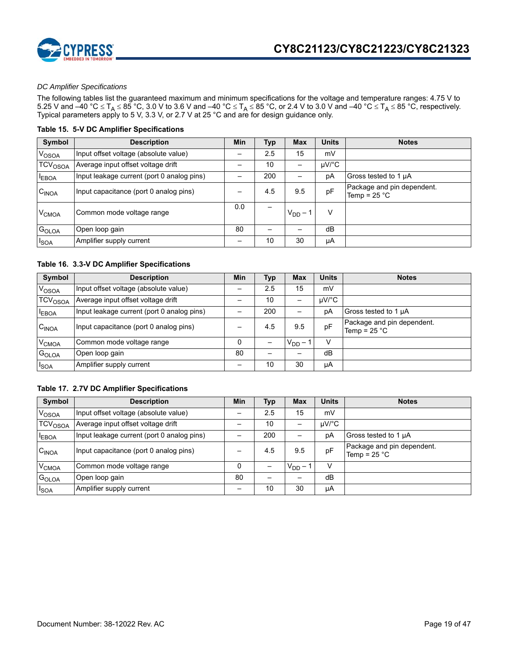

### *DC Amplifier Specifications*

The following tables list the guaranteed maximum and minimum specifications for the voltage and temperature ranges: 4.75 V to 5.25 V and –40 °C  $\leq$  T<sub>A</sub>  $\leq$  85 °C, 3.0 V to 3.6 V and –40 °C  $\leq$  T<sub>A</sub>  $\leq$  85 °C, or 2.4 V to 3.0 V and –40 °C  $\leq$  T<sub>A</sub>  $\leq$  85 °C, respectively. Typical parameters apply to 5 V, 3.3 V, or 2.7 V at 25 °C and are for design guidance only.

### **Table 15. 5-V DC Amplifier Specifications**

| Symbol              | <b>Description</b>                         | <b>Min</b> | Typ | <b>Max</b> | <b>Units</b> | <b>Notes</b>                                 |
|---------------------|--------------------------------------------|------------|-----|------------|--------------|----------------------------------------------|
| V <sub>OSOA</sub>   | Input offset voltage (absolute value)      |            | 2.5 | 15         | mV           |                                              |
| TCV <sub>OSOA</sub> | Average input offset voltage drift         |            | 10  | -          | $\mu$ V/°C   |                                              |
| <b>EBOA</b>         | Input leakage current (port 0 analog pins) |            | 200 |            | рA           | Gross tested to 1 µA                         |
| C <sub>INOA</sub>   | Input capacitance (port 0 analog pins)     |            | 4.5 | 9.5        | pF           | Package and pin dependent.<br>Temp = $25 °C$ |
| V <sub>CMOA</sub>   | Common mode voltage range                  | 0.0        |     | $V_{DD}$ – | v            |                                              |
| G <sub>OLOA</sub>   | Open loop gain                             | 80         |     |            | dB           |                                              |
| $I_{\text{SOA}}$    | Amplifier supply current                   |            | 10  | 30         | μA           |                                              |

### **Table 16. 3.3-V DC Amplifier Specifications**

| Symbol              | <b>Description</b>                         | Min | Тур | <b>Max</b> | <b>Units</b> | <b>Notes</b>                                 |
|---------------------|--------------------------------------------|-----|-----|------------|--------------|----------------------------------------------|
| V <sub>OSOA</sub>   | Input offset voltage (absolute value)      |     | 2.5 | 15         | mV           |                                              |
| TCV <sub>OSOA</sub> | Average input offset voltage drift         |     | 10  | -          | $\mu$ V/°C   |                                              |
| <b>EBOA</b>         | Input leakage current (port 0 analog pins) |     | 200 |            | рA           | Gross tested to 1 µA                         |
| C <sub>INOA</sub>   | Input capacitance (port 0 analog pins)     |     | 4.5 | 9.5        | pF           | Package and pin dependent.<br>Temp = $25 °C$ |
| V <sub>CMOA</sub>   | Common mode voltage range                  |     |     | $V_{DD}$ – | V            |                                              |
| G <sub>OLOA</sub>   | Open loop gain                             | 80  |     |            | dB           |                                              |
| <sup>I</sup> SOA    | Amplifier supply current                   | -   | 10  | 30         | μA           |                                              |

### **Table 17. 2.7V DC Amplifier Specifications**

| Symbol                    | <b>Description</b>                         | Min | Typ | <b>Max</b> | <b>Units</b> | <b>Notes</b>                                 |
|---------------------------|--------------------------------------------|-----|-----|------------|--------------|----------------------------------------------|
| VOSOA                     | Input offset voltage (absolute value)      |     | 2.5 | 15         | mV           |                                              |
| <b>TCV<sub>OSOA</sub></b> | Average input offset voltage drift         |     | 10  | -          | $\mu$ V/°C   |                                              |
| <b>EBOA</b>               | Input leakage current (port 0 analog pins) |     | 200 |            | рA           | Gross tested to 1 µA                         |
| C <sub>INOA</sub>         | Input capacitance (port 0 analog pins)     |     | 4.5 | 9.5        | pF           | Package and pin dependent.<br>Temp = $25 °C$ |
| V <sub>CMOA</sub>         | Common mode voltage range                  |     |     | $V_{DD}$ – | V            |                                              |
| GOLOA                     | Open loop gain                             | 80  |     |            | dB           |                                              |
| <b>I</b> SOA              | Amplifier supply current                   | -   | 10  | 30         | μA           |                                              |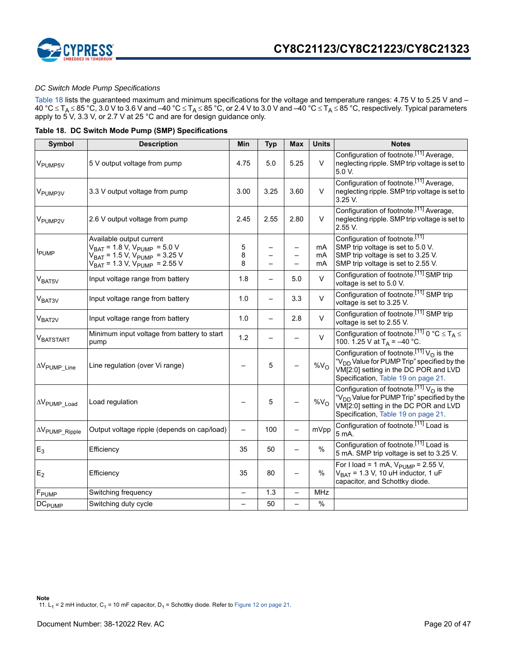



### *DC Switch Mode Pump Specifications*

Table 18 lists the guaranteed maximum and minimum specifications for the voltage and temperature ranges: 4.75 V to 5.25 V and – 40 °C  $\le$  T<sub>A</sub>  $\le$  85 °C, 3.0 V to 3.6 V and –40 °C  $\le$  T<sub>A</sub>  $\le$  85 °C, or 2.4 V to 3.0 V and –40 °C  $\le$  T<sub>A</sub>  $\le$  85 °C, respectively. Typical parameters apply to 5 V, 3.3 V, or 2.7 V at 25 °C and are for design guidance only.

|  |  |  |  | Table 18. DC Switch Mode Pump (SMP) Specifications |
|--|--|--|--|----------------------------------------------------|
|--|--|--|--|----------------------------------------------------|

| Symbol                           | <b>Description</b>                                                                                                                                                | Min                      | <b>Typ</b> | <b>Max</b> | <b>Units</b>    | <b>Notes</b>                                                                                                                                                                                               |
|----------------------------------|-------------------------------------------------------------------------------------------------------------------------------------------------------------------|--------------------------|------------|------------|-----------------|------------------------------------------------------------------------------------------------------------------------------------------------------------------------------------------------------------|
| V <sub>PUMP5V</sub>              | 5 V output voltage from pump                                                                                                                                      | 4.75                     | 5.0        | 5.25       | $\vee$          | Configuration of footnote. <sup>[11]</sup> Average,<br>neglecting ripple. SMP trip voltage is set to<br>5.0 V.                                                                                             |
| V <sub>PUMP3V</sub>              | 3.3 V output voltage from pump                                                                                                                                    | 3.00                     | 3.25       | 3.60       | V               | Configuration of footnote. <sup>[11]</sup> Average,<br>neglecting ripple. SMP trip voltage is set to<br>3.25 V.                                                                                            |
| V <sub>PUMP2V</sub>              | 2.6 V output voltage from pump                                                                                                                                    | 2.45                     | 2.55       | 2.80       | $\vee$          | Configuration of footnote. <sup>[11]</sup> Average,<br>neglecting ripple. SMP trip voltage is set to<br>$2.55V$ .                                                                                          |
| <b>I</b> PUMP                    | Available output current<br>$V_{BAT} = 1.8 V, V_{PUMP} = 5.0 V$<br>V <sub>BAT</sub> = 1.5 V, V <sub>PUMP</sub> = 3.25 V<br>$V_{BAT}$ = 1.3 V, $V_{PUMP}$ = 2.55 V | 5<br>8<br>8              |            |            | mA<br>mA<br>mA  | Configuration of footnote. <sup>[11]</sup><br>SMP trip voltage is set to 5.0 V.<br>SMP trip voltage is set to 3.25 V.<br>SMP trip voltage is set to 2.55 V.                                                |
| V <sub>BAT5V</sub>               | Input voltage range from battery                                                                                                                                  | 1.8                      |            | 5.0        | $\vee$          | Configuration of footnote. <sup>[11]</sup> SMP trip<br>voltage is set to 5.0 V.                                                                                                                            |
| V <sub>BAT3V</sub>               | Input voltage range from battery                                                                                                                                  | 1.0                      |            | 3.3        | $\vee$          | Configuration of footnote. <sup>[11]</sup> SMP trip<br>voltage is set to 3.25 V.                                                                                                                           |
| V <sub>BAT2V</sub>               | Input voltage range from battery                                                                                                                                  | 1.0                      |            | 2.8        | $\vee$          | Configuration of footnote. <sup>[11]</sup> SMP trip<br>voltage is set to 2.55 V.                                                                                                                           |
| VBATSTART                        | Minimum input voltage from battery to start<br>pump                                                                                                               | 1.2                      |            |            | $\vee$          | Configuration of footnote. <sup>[11]</sup> 0 °C $\leq$ T <sub>A</sub> $\leq$<br>100. 1.25 V at $T_A = -40$ °C.                                                                                             |
| $\Delta V$ PUMP Line             | Line regulation (over Vi range)                                                                                                                                   |                          | 5          |            | %V <sub>O</sub> | Configuration of footnote. <sup>[11]</sup> $VO$ is the<br>"V <sub>DD</sub> Value for PUMP Trip" specified by the<br>VM[2:0] setting in the DC POR and LVD<br>Specification, Table 19 on page 21.           |
| $\Delta V$ PUMP_Load             | Load regulation                                                                                                                                                   |                          | 5          |            | %V <sub>O</sub> | Configuration of footnote. <sup>[11]</sup> V <sub>O</sub> is the<br>"V <sub>DD</sub> Value for PUMP Trip" specified by the<br>VM[2:0] setting in the DC POR and LVD<br>Specification, Table 19 on page 21. |
| $\Delta V_{\text{PUMP\_Ripple}}$ | Output voltage ripple (depends on cap/load)                                                                                                                       |                          | 100        |            | mVpp            | Configuration of footnote. <sup>[11]</sup> Load is<br>5 mA.                                                                                                                                                |
| $E_3$                            | Efficiency                                                                                                                                                        | 35                       | 50         |            | $\frac{0}{0}$   | Configuration of footnote. <sup>[11]</sup> Load is<br>5 mA. SMP trip voltage is set to 3.25 V.                                                                                                             |
| E <sub>2</sub>                   | Efficiency                                                                                                                                                        | 35                       | 80         |            | $\frac{0}{0}$   | For I load = 1 mA, $V_{\text{PUMP}}$ = 2.55 V,<br>$V_{BAT}$ = 1.3 V, 10 uH inductor, 1 uF<br>capacitor, and Schottky diode.                                                                                |
| $\mathsf{F}_{\mathsf{PUMP}}$     | Switching frequency                                                                                                                                               |                          | 1.3        |            | <b>MHz</b>      |                                                                                                                                                                                                            |
| <b>DC<sub>PUMP</sub></b>         | Switching duty cycle                                                                                                                                              | $\overline{\phantom{0}}$ | 50         |            | $\%$            |                                                                                                                                                                                                            |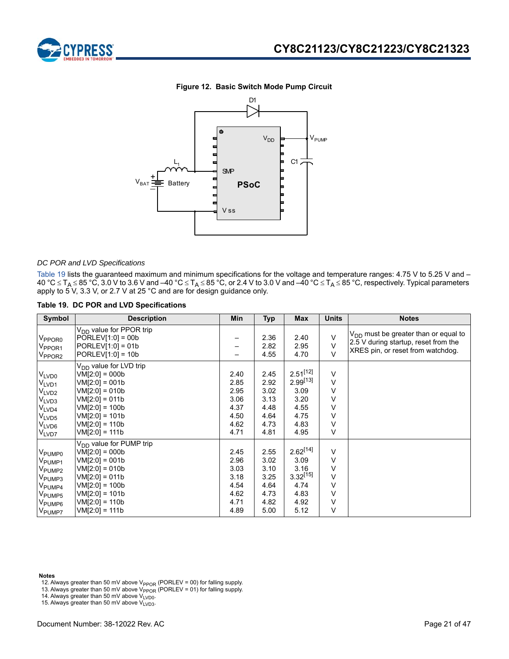

### **Figure 12. Basic Switch Mode Pump Circuit**



### *DC POR and LVD Specifications*

Table 19 lists the guaranteed maximum and minimum specifications for the voltage and temperature ranges: 4.75 V to 5.25 V and – 40 °C  $\le$  T<sub>A</sub>  $\le$  85 °C, 3.0 V to 3.6 V and –40 °C  $\le$  T<sub>A</sub>  $\le$  85 °C, or 2.4 V to 3.0 V and –40 °C  $\le$  T<sub>A</sub>  $\le$  85 °C, respectively. Typical parameters apply to 5 V, 3.3 V, or 2.7 V at 25 °C and are for design guidance only.

#### **Table 19. DC POR and LVD Specifications**

| Symbol                                                                                                                                                                       | <b>Description</b>                                                                                                                                                                                  | <b>Min</b>                                                   | <b>Typ</b>                                                   | <b>Max</b>                                                                     | <b>Units</b>                              | <b>Notes</b>                                                                                                           |
|------------------------------------------------------------------------------------------------------------------------------------------------------------------------------|-----------------------------------------------------------------------------------------------------------------------------------------------------------------------------------------------------|--------------------------------------------------------------|--------------------------------------------------------------|--------------------------------------------------------------------------------|-------------------------------------------|------------------------------------------------------------------------------------------------------------------------|
| V <sub>PPOR0</sub><br>V <sub>PPOR1</sub><br>$\rm V_{PPOR2}$                                                                                                                  | V <sub>DD</sub> value for PPOR trip<br>$PORLEV[1:0] = 00b$<br>$PORLEV[1:0] = 01b$<br>$PORLEV[1:0] = 10b$                                                                                            | -<br>-                                                       | 2.36<br>2.82<br>4.55                                         | 2.40<br>2.95<br>4.70                                                           | $\vee$<br>$\vee$<br>$\vee$                | $V_{DD}$ must be greater than or equal to<br>2.5 V during startup, reset from the<br>XRES pin, or reset from watchdog. |
| VLVD <sub>0</sub><br>V <sub>LVD1</sub><br>V <sub>LVD2</sub><br>V <sub>LVD3</sub><br>$V_{LVD4}$<br>V <sub>LVD5</sub><br>$V_{LVD6}$<br>V <sub>LVD7</sub>                       | V <sub>DD</sub> value for LVD trip<br>$VM[2:0] = 000b$<br>$VM[2:0] = 001b$<br>$VM[2:0] = 010b$<br>$VM[2:0] = 011b$<br>$VM[2:0] = 100b$<br>$VM[2:0] = 101b$<br>$VM[2:0] = 110b$<br>$VM[2:0] = 111b$  | 2.40<br>2.85<br>2.95<br>3.06<br>4.37<br>4.50<br>4.62<br>4.71 | 2.45<br>2.92<br>3.02<br>3.13<br>4.48<br>4.64<br>4.73<br>4.81 | $2.51^{[12]}$<br>$2.99^{[13]}$<br>3.09<br>3.20<br>4.55<br>4.75<br>4.83<br>4.95 | V<br>$\vee$<br>v<br>V<br>V<br>V<br>V<br>V |                                                                                                                        |
| V <sub>PUMP0</sub><br>V <sub>PUMP1</sub><br>V <sub>PUMP2</sub><br>V <sub>PUMP3</sub><br>V <sub>PUMP4</sub><br>V <sub>PUMP5</sub><br>V <sub>PUMP6</sub><br>V <sub>PUMP7</sub> | V <sub>DD</sub> value for PUMP trip<br>$VM[2:0] = 000b$<br>$VM[2:0] = 001b$<br>$VM[2:0] = 010b$<br>$VM[2:0] = 011b$<br>$VM[2:0] = 100b$<br>$VM[2:0] = 101b$<br>$VM[2:0] = 110b$<br>$VM[2:0] = 111b$ | 2.45<br>2.96<br>3.03<br>3.18<br>4.54<br>4.62<br>4.71<br>4.89 | 2.55<br>3.02<br>3.10<br>3.25<br>4.64<br>4.73<br>4.82<br>5.00 | $2.62^{[14]}$<br>3.09<br>3.16<br>$3.32^{[15]}$<br>4.74<br>4.83<br>4.92<br>5.12 | V<br>V<br>V<br>$\vee$<br>v<br>v<br>V<br>V |                                                                                                                        |

**Notes**

- 12. Always greater than 50 mV above  $V_{PPOR}$  (PORLEV = 00) for falling supply.
- 13. Always greater than 50 mV above V<sub>PPOR</sub> (PORLEV = 01) for falling supply.<br>14. Always greater than 50 mV above V<sub>LVD0</sub>.
- 

15. Always greater than 50 mV above  $V_{LVD3}^{UUD}$ .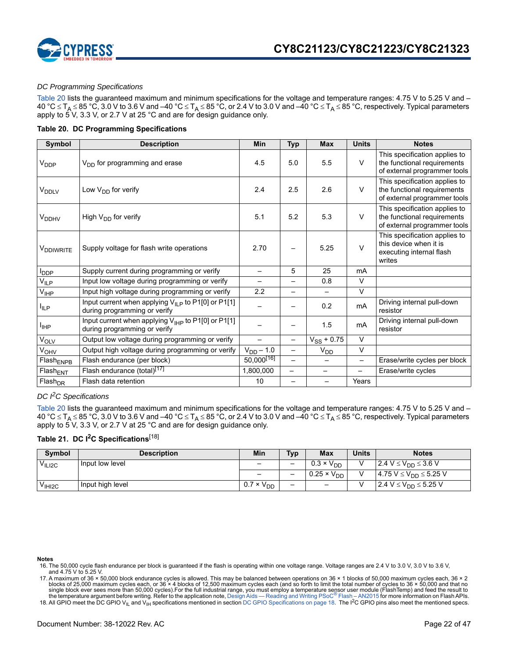

### *DC Programming Specifications*

Table 20 lists the guaranteed maximum and minimum specifications for the voltage and temperature ranges: 4.75 V to 5.25 V and – 40 °C  $\leq$  T<sub>A</sub>  $\leq$  85 °C, 3.0 V to 3.6 V and –40 °C  $\leq$  T<sub>A</sub>  $\leq$  85 °C, or 2.4 V to 3.0 V and –40 °C  $\leq$  T<sub>A</sub>  $\leq$  85 °C, respectively. Typical parameters apply to  $5^\circ$ V, 3.3 V, or 2.7 V at 25 °C and are for design guidance only.

### **Table 20. DC Programming Specifications**

| Symbol                          | <b>Description</b>                                                                             | Min                      | <b>Typ</b>               | <b>Max</b>      | <b>Units</b>             | <b>Notes</b>                                                                                  |
|---------------------------------|------------------------------------------------------------------------------------------------|--------------------------|--------------------------|-----------------|--------------------------|-----------------------------------------------------------------------------------------------|
| V <sub>DDP</sub>                | $V_{DD}$ for programming and erase                                                             | 4.5                      | 5.0                      | 5.5             | $\vee$                   | This specification applies to<br>the functional requirements<br>of external programmer tools  |
| V <sub>DDLV</sub>               | Low V <sub>DD</sub> for verify                                                                 | 2.4                      | 2.5                      | 2.6             | $\vee$                   | This specification applies to<br>the functional requirements<br>of external programmer tools  |
| <b>V<sub>DDHV</sub></b>         | High $V_{DD}$ for verify                                                                       | 5.1                      | 5.2                      | 5.3             | $\vee$                   | This specification applies to<br>the functional requirements<br>of external programmer tools  |
| <b>VDDIWRITE</b>                | Supply voltage for flash write operations                                                      | 2.70                     |                          | 5.25            | $\vee$                   | This specification applies to<br>this device when it is<br>executing internal flash<br>writes |
| <b>I</b> <sub>DDP</sub>         | Supply current during programming or verify                                                    | $\overline{\phantom{0}}$ | 5                        | 25              | mA                       |                                                                                               |
| $V_{ILP}$                       | Input low voltage during programming or verify                                                 |                          | $\overline{\phantom{0}}$ | 0.8             | $\vee$                   |                                                                                               |
| $V_{\text{IHP}}$                | Input high voltage during programming or verify                                                | 2.2                      | —                        |                 | $\vee$                   |                                                                                               |
| $I_{\text{ILP}}$                | Input current when applying $V_{II}$ p to P1[0] or P1[1]<br>during programming or verify       |                          |                          | 0.2             | <b>mA</b>                | Driving internal pull-down<br>resistor                                                        |
| <b>I<sub>IHP</sub></b>          | Input current when applying V <sub>IHP</sub> to P1[0] or P1[1]<br>during programming or verify |                          |                          | 1.5             | mA                       | Driving internal pull-down<br>resistor                                                        |
| $V_{OLV}$                       | Output low voltage during programming or verify                                                | $\overline{\phantom{0}}$ | $\overline{\phantom{0}}$ | $V_{SS}$ + 0.75 | $\vee$                   |                                                                                               |
| V <sub>OHV</sub>                | Output high voltage during programming or verify                                               | $V_{DD} - 1.0$           | -                        | $V_{DD}$        | $\vee$                   |                                                                                               |
| $Flash_{ENPB}$                  | Flash endurance (per block)                                                                    | $50,000^{[16]}$          | $\overline{\phantom{0}}$ |                 | $\overline{\phantom{0}}$ | Erase/write cycles per block                                                                  |
| $\mathsf{Flash}_{\mathsf{ENT}}$ | Flash endurance (total) <sup>[17]</sup>                                                        | 1,800,000                | -                        |                 | -                        | Erase/write cycles                                                                            |
| $Flash_{DR}$                    | Flash data retention                                                                           | 10                       |                          |                 | Years                    |                                                                                               |

### *DC I2C Specifications*

Table 20 lists the guaranteed maximum and minimum specifications for the voltage and temperature ranges: 4.75 V to 5.25 V and – 40 °C  $\leq$  T<sub>A</sub>  $\leq$  85 °C, 3.0 V to 3.6 V and –40 °C  $\leq$  T<sub>A</sub>  $\leq$  85 °C, or 2.4 V to 3.0 V and –40 °C  $\leq$  T<sub>A</sub>  $\leq$  85 °C, respectively. Typical parameters apply to  $5V$ , 3.3 V, or 2.7 V at 25 °C and are for design guidance only.

### Table 21. DC I<sup>2</sup>C Specifications<sup>[18]</sup>

| Symbol             | <b>Description</b> | Min                 | Typ                      | <b>Max</b>           | Units | <b>Notes</b>                       |
|--------------------|--------------------|---------------------|--------------------------|----------------------|-------|------------------------------------|
| V <sub>ILIZC</sub> | Input low level    | $\qquad \qquad -$   | $\overline{\phantom{0}}$ | $0.3 \times V_{DD}$  |       | $2.4 V \leq VDD \leq 3.6 V$        |
|                    |                    | $\qquad \qquad -$   | -                        | $0.25 \times V_{DD}$ |       | 14.75 V ≤ V <sub>DD</sub> ≤ 5.25 V |
| V <sub>IHI2C</sub> | Input high level   | $0.7 \times V_{DD}$ | -                        | -                    |       | 2.4 V ≤ V <sub>DD</sub> ≤ 5.25 V   |

#### **Notes**

16. The 50,000 cycle flash endurance per block is guaranteed if the flash is operating within one voltage range. Voltage ranges are 2.4 V to 3.0 V, 3.0 V to 3.6 V, and 4.75 V to 5.25 V.

17. A maximum of 36 × 50,000 block endurance cycles is allowed. This may be balanced between operations on 36 × 1 blocks of 50,000 maximum cycles each, 36 × 2 blocks of 25,000 maximum cycles each, or 36 × 4 blocks of 12,500 maximum cycles each (and so forth to limit the total number of cycles to 36 × 50,000 and that no<br>single block ever sees more than 50,000 cycles).For the ful

18. All GPIO meet the DC GPIO V<sub>IL</sub> and V<sub>IH</sub> specifications mentioned in section DC GPIO Specifications on page 18. The I<sup>2</sup>C GPIO pins also meet the mentioned specs.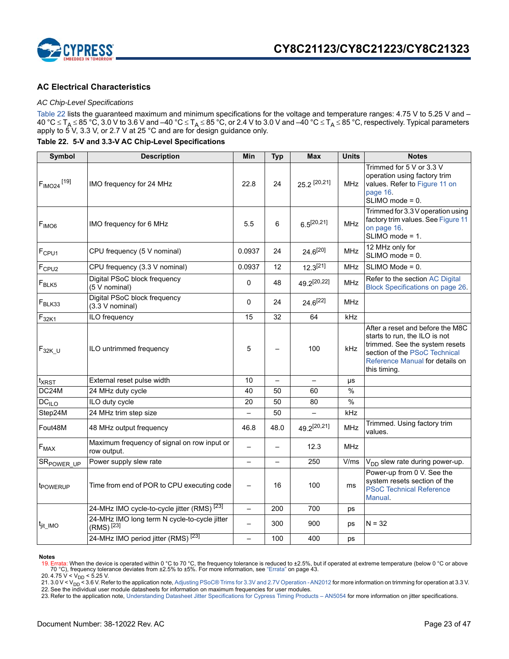

### **AC Electrical Characteristics**

### *AC Chip-Level Specifications*

Table 22 lists the guaranteed maximum and minimum specifications for the voltage and temperature ranges: 4.75 V to 5.25 V and – 40 °C  $\le$  T<sub>A</sub>  $\le$  85 °C, 3.0 V to 3.6 V and –40 °C  $\le$  T<sub>A</sub>  $\le$  85 °C, or 2.4 V to 3.0 V and –40 °C  $\le$  T<sub>A</sub>  $\le$  85 °C, respectively. Typical parameters apply to 5 V, 3.3 V, or 2.7 V at 25 °C and are for design guidance only.

**Table 22. 5-V and 3.3-V AC Chip-Level Specifications**

| Symbol                             | <b>Description</b>                                                    | Min                      | <b>Typ</b>               | <b>Max</b>      | <b>Units</b> | <b>Notes</b>                                                                                                                                                                            |
|------------------------------------|-----------------------------------------------------------------------|--------------------------|--------------------------|-----------------|--------------|-----------------------------------------------------------------------------------------------------------------------------------------------------------------------------------------|
| F <sub>IMO24</sub> <sup>[19]</sup> | IMO frequency for 24 MHz                                              | 22.8                     | 24                       | 25.2 [20,21]    | <b>MHz</b>   | Trimmed for 5 V or 3.3 V<br>operation using factory trim<br>values. Refer to Figure 11 on<br>page 16.<br>SLIMO mode = 0.                                                                |
| F <sub>IMOG</sub>                  | IMO frequency for 6 MHz                                               | 5.5                      | 6                        | $6.5^{[20,21]}$ | MHz          | Trimmed for 3.3 V operation using<br>factory trim values. See Figure 11<br>on page 16.<br>SLIMO mode = 1.                                                                               |
| F <sub>CPU1</sub>                  | CPU frequency (5 V nominal)                                           | 0.0937                   | 24                       | $24.6^{[20]}$   | MHz          | 12 MHz only for<br>SLIMO mode = 0.                                                                                                                                                      |
| F <sub>CPU2</sub>                  | CPU frequency (3.3 V nominal)                                         | 0.0937                   | 12                       | $12.3^{[21]}$   | <b>MHz</b>   | SLIMO Mode = 0.                                                                                                                                                                         |
| $F_{BLK5}$                         | Digital PSoC block frequency<br>(5 V nominal)                         | $\mathbf 0$              | 48                       | 49.2[20,22]     | MHz          | Refer to the section AC Digital<br><b>Block Specifications on page 26.</b>                                                                                                              |
| $F_{BLK33}$                        | Digital PSoC block frequency<br>(3.3 V nominal)                       | $\mathbf 0$              | 24                       | $24.6^{[22]}$   | <b>MHz</b>   |                                                                                                                                                                                         |
| $F_{32\underline{K1}}$             | ILO frequency                                                         | 15                       | 32                       | 64              | kHz          |                                                                                                                                                                                         |
| $F_{32K_U}$                        | ILO untrimmed frequency                                               | 5                        |                          | 100             | kHz          | After a reset and before the M8C<br>starts to run, the ILO is not<br>trimmed. See the system resets<br>section of the PSoC Technical<br>Reference Manual for details on<br>this timing. |
| t <sub>XRST</sub>                  | External reset pulse width                                            | 10                       | $\overline{\phantom{0}}$ |                 | μs           |                                                                                                                                                                                         |
| DC24M                              | 24 MHz duty cycle                                                     | 40                       | 50                       | 60              | $\%$         |                                                                                                                                                                                         |
| DC <sub>ILO</sub>                  | ILO duty cycle                                                        | 20                       | 50                       | 80              | $\%$         |                                                                                                                                                                                         |
| Step24M                            | 24 MHz trim step size                                                 |                          | 50                       |                 | kHz          |                                                                                                                                                                                         |
| Fout48M                            | 48 MHz output frequency                                               | 46.8                     | 48.0                     | 49.2[20,21]     | <b>MHz</b>   | Trimmed. Using factory trim<br>values.                                                                                                                                                  |
| $F_{MAX}$                          | Maximum frequency of signal on row input or<br>row output.            |                          |                          | 12.3            | MHz          |                                                                                                                                                                                         |
| SR <sub>POWER_UP</sub>             | Power supply slew rate                                                | $\qquad \qquad -$        | $\overline{\phantom{0}}$ | 250             | V/ms         | V <sub>DD</sub> slew rate during power-up.                                                                                                                                              |
| t <sub>POWERUP</sub>               | Time from end of POR to CPU executing code                            | $\overline{\phantom{0}}$ | 16                       | 100             | ms           | Power-up from 0 V. See the<br>system resets section of the<br><b>PSoC Technical Reference</b><br>Manual.                                                                                |
|                                    | 24-MHz IMO cycle-to-cycle jitter (RMS) <sup>[23]</sup>                | $\equiv$                 | 200                      | 700             | ps           |                                                                                                                                                                                         |
| t <sub>jit_IMO</sub>               | 24-MHz IMO long term N cycle-to-cycle jitter<br>(RMS) <sup>[23]</sup> | $\overline{\phantom{0}}$ | 300                      | 900             | ps           | $N = 32$                                                                                                                                                                                |
|                                    | 24-MHz IMO period jitter (RMS) <sup>[23]</sup>                        |                          | 100                      | 400             | ps           |                                                                                                                                                                                         |

#### **Notes**

<sup>19.</sup> Errata: When the device is operated within 0 °C to 70 °C, the frequency tolerance is reduced to ±2.5%, but if operated at extreme temperature (below 0 °C or above<br>20.4.75 V < V<sub>DD</sub> < 5.25 V.<br>21.3.0 V < V<sub>DD</sub> < 5.25 V.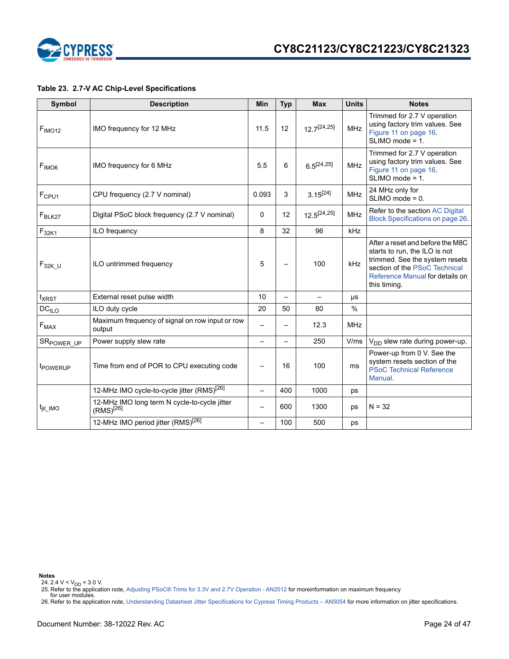

### **Table 23. 2.7-V AC Chip-Level Specifications**

| <b>Symbol</b>          | <b>Description</b>                                             | Min                      | <b>Typ</b> | <b>Max</b>       | <b>Units</b>  | <b>Notes</b>                                                                                                                                                                            |
|------------------------|----------------------------------------------------------------|--------------------------|------------|------------------|---------------|-----------------------------------------------------------------------------------------------------------------------------------------------------------------------------------------|
| F <sub>IMO12</sub>     | IMO frequency for 12 MHz                                       | 11.5                     | 12         | $12.7^{[24,25]}$ | <b>MHz</b>    | Trimmed for 2.7 V operation<br>using factory trim values. See<br>Figure 11 on page 16.<br>$SLIMO mode = 1.$                                                                             |
| F <sub>IMO6</sub>      | IMO frequency for 6 MHz                                        | 5.5                      | 6          | $6.5^{[24,25]}$  | <b>MHz</b>    | Trimmed for 2.7 V operation<br>using factory trim values. See<br>Figure 11 on page 16.<br>$SLIMO mode = 1.$                                                                             |
| F <sub>CPU1</sub>      | CPU frequency (2.7 V nominal)                                  | 0.093                    | 3          | $3.15^{[24]}$    | <b>MHz</b>    | 24 MHz only for<br>$SLIMO mode = 0.$                                                                                                                                                    |
| $F_{BLK27}$            | Digital PSoC block frequency (2.7 V nominal)                   | 0                        | 12         | $12.5^{[24,25]}$ | <b>MHz</b>    | Refer to the section AC Digital<br>Block Specifications on page 26.                                                                                                                     |
| $F_{32K1}$             | ILO frequency                                                  | 8                        | 32         | 96               | kHz           |                                                                                                                                                                                         |
| $F_{32K_U}$            | ILO untrimmed frequency                                        | 5                        |            | 100              | kHz           | After a reset and before the M8C<br>starts to run, the ILO is not<br>trimmed. See the system resets<br>section of the PSoC Technical<br>Reference Manual for details on<br>this timing. |
| $t_{XRST}$             | External reset pulse width                                     | 10                       |            |                  | μs            |                                                                                                                                                                                         |
| DC <sub>ILO</sub>      | ILO duty cycle                                                 | 20                       | 50         | 80               | $\frac{0}{0}$ |                                                                                                                                                                                         |
| $F_{MAX}$              | Maximum frequency of signal on row input or row<br>output      |                          |            | 12.3             | <b>MHz</b>    |                                                                                                                                                                                         |
| SR <sub>POWER_UP</sub> | Power supply slew rate                                         |                          |            | 250              | V/ms          | $V_{DD}$ slew rate during power-up.                                                                                                                                                     |
| t <sub>POWERUP</sub>   | Time from end of POR to CPU executing code                     |                          | 16         | 100              | ms            | Power-up from 0 V. See the<br>system resets section of the<br><b>PSoC Technical Reference</b><br>Manual.                                                                                |
|                        | 12-MHz IMO cycle-to-cycle jitter (RMS) <sup>[26]</sup>         |                          | 400        | 1000             | ps            |                                                                                                                                                                                         |
| <sup>t</sup> jit_IMO   | 12-MHz IMO long term N cycle-to-cycle jitter<br>$(RMS)^{[26]}$ | $\overline{\phantom{0}}$ | 600        | 1300             | ps            | $N = 32$                                                                                                                                                                                |
|                        | 12-MHz IMO period jitter (RMS) <sup>[26]</sup>                 |                          | 100        | 500              | ps            |                                                                                                                                                                                         |

**Notes**

24. 2.4 V < V<sub>DD</sub> < 3.0 V.<br>25. Refer to the application note, Adjusting PSoC® Trims for 3.3V and 2.7V Operation - AN2012 for moreinformation on maximum frequency<br>for user modules.

26. Refer to the application note, Understanding Datasheet Jitter Specifications for Cypress Timing Products – AN5054 for more information on jitter specifications.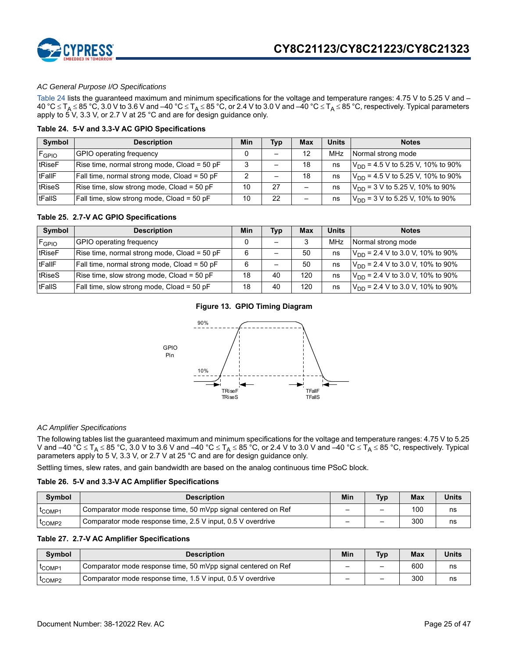

### *AC General Purpose I/O Specifications*

Table 24 lists the guaranteed maximum and minimum specifications for the voltage and temperature ranges: 4.75 V to 5.25 V and –  $40 °C \leq T_A \leq 85 °C$ , 3.0 V to 3.6 V and –40 °C  $\leq T_A \leq 85 °C$ , or 2.4 V to 3.0 V and –40 °C  $\leq T_A \leq 85 °C$ , respectively. Typical parameters apply to  $5^\circ$ V, 3.3 V, or 2.7 V at 25 °C and are for design guidance only.

#### **Table 24. 5-V and 3.3-V AC GPIO Specifications**

| Symbol     | <b>Description</b>                           | Min | Typ | Max                      | <b>Units</b> | <b>Notes</b>                           |
|------------|----------------------------------------------|-----|-----|--------------------------|--------------|----------------------------------------|
| $F_{GPIO}$ | GPIO operating frequency                     |     |     | 12                       | <b>MHz</b>   | Normal strong mode                     |
| tRiseF     | Rise time, normal strong mode, Cload = 50 pF | 3   |     | 18                       | ns           | $V_{DD}$ = 4.5 V to 5.25 V, 10% to 90% |
| tFallF     | Fall time, normal strong mode, Cload = 50 pF | ◠   |     | 18                       | ns           | $V_{DD}$ = 4.5 V to 5.25 V, 10% to 90% |
| tRiseS     | Rise time, slow strong mode, Cload = 50 pF   | 10  | 27  | -                        | ns           | $V_{DD}$ = 3 V to 5.25 V, 10% to 90%   |
| tFallS     | Fall time, slow strong mode, Cload = 50 pF   | 10  | 22  | $\overline{\phantom{0}}$ | ns           | $V_{DD}$ = 3 V to 5.25 V, 10% to 90%   |

### **Table 25. 2.7-V AC GPIO Specifications**

| Symbol              | <b>Description</b>                           | Min | <b>Typ</b>               | Max | Units | <b>Notes</b>                                 |
|---------------------|----------------------------------------------|-----|--------------------------|-----|-------|----------------------------------------------|
| $F$ <sub>GPIO</sub> | GPIO operating frequency                     |     | $\overline{\phantom{0}}$ |     | MHz   | Normal strong mode                           |
| tRiseF              | Rise time, normal strong mode, Cload = 50 pF | 6   | -                        | 50  | ns    | $V_{\text{DD}}$ = 2.4 V to 3.0 V, 10% to 90% |
| tFallF              | Fall time, normal strong mode, Cload = 50 pF | 6   | —                        | 50  | ns    | $V_{DD}$ = 2.4 V to 3.0 V, 10% to 90%        |
| tRiseS              | Rise time, slow strong mode, Cload = 50 pF   | 18  | 40                       | 120 | ns    | $V_{DD}$ = 2.4 V to 3.0 V, 10% to 90%        |
| tFallS              | Fall time, slow strong mode, Cload = 50 pF   | 18  | 40                       | 120 | ns    | $V_{DD}$ = 2.4 V to 3.0 V, 10% to 90%        |

### **Figure 13. GPIO Timing Diagram**



### *AC Amplifier Specifications*

The following tables list the guaranteed maximum and minimum specifications for the voltage and temperature ranges: 4.75 V to 5.25 V and –40 °C  $\le$  T<sub>A</sub>  $\le$  85 °C, 3.0 V to 3.6 V and –40 °C  $\le$  T<sub>A</sub>  $\le$  85 °C, or 2.4 V to 3.0 V and –40 °C  $\le$  T<sub>A</sub>  $\le$  85 °C, respectively. Typical parameters apply to 5 V, 3.3 V, or 2.7 V at 25 °C and are for design guidance only.

Settling times, slew rates, and gain bandwidth are based on the analog continuous time PSoC block.

#### **Table 26. 5-V and 3.3-V AC Amplifier Specifications**

| Symbol                         | <b>Description</b>                                            | Min | <b>Typ</b> | <b>Max</b> | <b>Units</b> |
|--------------------------------|---------------------------------------------------------------|-----|------------|------------|--------------|
| <sup>I</sup> COMP1             | Comparator mode response time, 50 mVpp signal centered on Ref | -   | -          | 100        | ns           |
| <sup>I</sup> COMP <sub>2</sub> | Comparator mode response time, 2.5 V input, 0.5 V overdrive   | -   | -          | 300        | ns           |

### **Table 27. 2.7-V AC Amplifier Specifications**

| <b>Symbol</b>                  | <b>Description</b>                                            | Min | <b>Typ</b> | <b>Max</b> | <b>Units</b> |
|--------------------------------|---------------------------------------------------------------|-----|------------|------------|--------------|
| <sup>I</sup> COMP1             | Comparator mode response time, 50 mVpp signal centered on Ref | -   | -          | 600        | ns           |
| <sup>L</sup> COMP <sub>2</sub> | Comparator mode response time, 1.5 V input, 0.5 V overdrive   | -   | -          | 300        | ns           |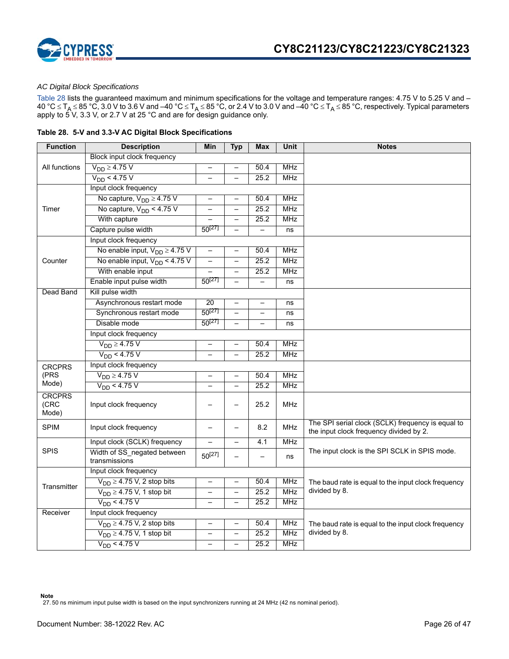

### *AC Digital Block Specifications*

Table 28 lists the guaranteed maximum and minimum specifications for the voltage and temperature ranges: 4.75 V to 5.25 V and – 40 °C  $\le$  T<sub>A</sub>  $\le$  85 °C, 3.0 V to 3.6 V and –40 °C  $\le$  T<sub>A</sub>  $\le$  85 °C, or 2.4 V to 3.0 V and –40 °C  $\le$  T<sub>A</sub>  $\le$  85 °C, respectively. Typical parameters apply to 5 V, 3.3 V, or 2.7 V at 25 °C and are for design guidance only.

|  |  |  | Table 28. 5-V and 3.3-V AC Digital Block Specifications |  |
|--|--|--|---------------------------------------------------------|--|
|--|--|--|---------------------------------------------------------|--|

| <b>Function</b>                | <b>Description</b>                           | Min                      | <b>Typ</b>               | Max                      | <b>Unit</b> | <b>Notes</b>                                                                                 |  |  |  |  |
|--------------------------------|----------------------------------------------|--------------------------|--------------------------|--------------------------|-------------|----------------------------------------------------------------------------------------------|--|--|--|--|
|                                | Block input clock frequency                  |                          |                          |                          |             |                                                                                              |  |  |  |  |
| All functions                  | $V_{DD} \geq 4.75$ V                         | $\overline{\phantom{0}}$ | $\overline{\phantom{0}}$ | 50.4                     | <b>MHz</b>  |                                                                                              |  |  |  |  |
|                                | $V_{DD}$ < 4.75 V                            | $\equiv$                 | $\overline{\phantom{0}}$ | 25.2                     | <b>MHz</b>  |                                                                                              |  |  |  |  |
|                                | Input clock frequency                        |                          |                          |                          |             |                                                                                              |  |  |  |  |
|                                | No capture, $V_{DD} \geq 4.75$ V             | $\rightarrow$            | $\overline{\phantom{0}}$ | 50.4                     | <b>MHz</b>  |                                                                                              |  |  |  |  |
| Timer                          | No capture, $V_{DD}$ < 4.75 V                |                          | $\overline{\phantom{0}}$ | 25.2                     | <b>MHz</b>  |                                                                                              |  |  |  |  |
|                                | With capture                                 |                          | $\overline{\phantom{0}}$ | 25.2                     | <b>MHz</b>  |                                                                                              |  |  |  |  |
|                                | Capture pulse width                          | $50^{[27]}$              | $\overline{\phantom{0}}$ | $\overline{a}$           | ns          |                                                                                              |  |  |  |  |
|                                | Input clock frequency                        |                          |                          |                          |             |                                                                                              |  |  |  |  |
|                                | No enable input, $V_{DD} \geq 4.75$ V        | -                        | $\overline{\phantom{0}}$ | 50.4                     | <b>MHz</b>  |                                                                                              |  |  |  |  |
| Counter                        | No enable input, $V_{DD}$ < 4.75 V           | $\overline{\phantom{0}}$ | $\overline{\phantom{0}}$ | 25.2                     | <b>MHz</b>  |                                                                                              |  |  |  |  |
|                                | With enable input                            |                          | $\overline{\phantom{0}}$ | 25.2                     | <b>MHz</b>  |                                                                                              |  |  |  |  |
|                                | Enable input pulse width                     | $50^{[27]}$              | $\overline{\phantom{0}}$ |                          | ns          |                                                                                              |  |  |  |  |
| Dead Band                      | Kill pulse width                             |                          |                          |                          |             |                                                                                              |  |  |  |  |
|                                | Asynchronous restart mode                    | 20                       | $\overline{\phantom{0}}$ |                          | ns          |                                                                                              |  |  |  |  |
|                                | Synchronous restart mode                     | $50^{[27]}$              | -                        | -                        | ns          |                                                                                              |  |  |  |  |
|                                | Disable mode                                 | $50^{[27]}$              | $\overline{\phantom{0}}$ | $\overline{\phantom{0}}$ | ns          |                                                                                              |  |  |  |  |
|                                | Input clock frequency                        |                          |                          |                          |             |                                                                                              |  |  |  |  |
|                                | $V_{DD} \geq 4.75$ V                         |                          | $\overline{\phantom{0}}$ | 50.4                     | <b>MHz</b>  |                                                                                              |  |  |  |  |
|                                | $V_{DD}$ < 4.75 V                            |                          | $\overline{\phantom{0}}$ | 25.2                     | <b>MHz</b>  |                                                                                              |  |  |  |  |
| <b>CRCPRS</b>                  | Input clock frequency                        |                          |                          |                          |             |                                                                                              |  |  |  |  |
| (PRS                           | $V_{DD} \geq 4.75$ V                         |                          |                          | 50.4                     | <b>MHz</b>  |                                                                                              |  |  |  |  |
| Mode)                          | $V_{DD}$ < 4.75 V                            | $\equiv$                 | $\overline{\phantom{0}}$ | 25.2                     | <b>MHz</b>  |                                                                                              |  |  |  |  |
| <b>CRCPRS</b><br>(CRC<br>Mode) | Input clock frequency                        |                          |                          | 25.2                     | <b>MHz</b>  |                                                                                              |  |  |  |  |
| <b>SPIM</b>                    | Input clock frequency                        |                          |                          | 8.2                      | <b>MHz</b>  | The SPI serial clock (SCLK) frequency is equal to<br>the input clock frequency divided by 2. |  |  |  |  |
|                                | Input clock (SCLK) frequency                 | $\overline{\phantom{0}}$ | $\overline{\phantom{0}}$ | 4.1                      | <b>MHz</b>  |                                                                                              |  |  |  |  |
| <b>SPIS</b>                    | Width of SS negated between<br>transmissions | $50^{[27]}$              | $\overline{\phantom{0}}$ | $\equiv$                 | ns          | The input clock is the SPI SCLK in SPIS mode.                                                |  |  |  |  |
|                                | Input clock frequency                        |                          |                          |                          |             |                                                                                              |  |  |  |  |
| Transmitter                    | $V_{DD} \geq 4.75$ V, 2 stop bits            | -                        | $\overline{\phantom{0}}$ | 50.4                     | MHz         | The baud rate is equal to the input clock frequency                                          |  |  |  |  |
|                                | $V_{DD} \geq 4.75$ V, 1 stop bit             | $\overline{\phantom{0}}$ | $\overline{\phantom{0}}$ | 25.2                     | <b>MHz</b>  | divided by 8.                                                                                |  |  |  |  |
|                                | $V_{DD}$ < 4.75 V                            |                          |                          | 25.2                     | <b>MHz</b>  |                                                                                              |  |  |  |  |
| Receiver                       | Input clock frequency                        |                          |                          |                          |             |                                                                                              |  |  |  |  |
|                                | $V_{DD} \geq 4.75$ V, 2 stop bits            | $\overline{\phantom{0}}$ | $\qquad \qquad -$        | 50.4                     | <b>MHz</b>  | The baud rate is equal to the input clock frequency                                          |  |  |  |  |
|                                | $V_{DD} \geq 4.75$ V, 1 stop bit             |                          | $\overline{\phantom{0}}$ | 25.2                     | <b>MHz</b>  | divided by 8.                                                                                |  |  |  |  |
|                                | $V_{DD}$ < 4.75 V                            |                          |                          | 25.2                     | <b>MHz</b>  |                                                                                              |  |  |  |  |

**Note** 27. 50 ns minimum input pulse width is based on the input synchronizers running at 24 MHz (42 ns nominal period).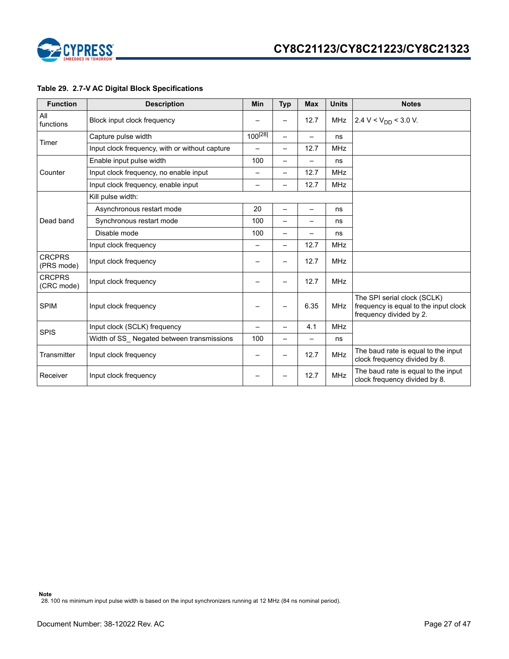

### **Table 29. 2.7-V AC Digital Block Specifications**

| <b>Function</b>             | <b>Description</b>                             | <b>Min</b>   | <b>Typ</b>               | <b>Max</b>               | <b>Units</b> | <b>Notes</b>                                                                                    |
|-----------------------------|------------------------------------------------|--------------|--------------------------|--------------------------|--------------|-------------------------------------------------------------------------------------------------|
| All<br>functions            | Block input clock frequency                    |              |                          | 12.7                     | <b>MHz</b>   | 2.4 V < $V_{DD}$ < 3.0 V.                                                                       |
|                             | Capture pulse width                            | $100^{[28]}$ |                          |                          | ns           |                                                                                                 |
| Timer                       | Input clock frequency, with or without capture | -            | $\overline{\phantom{0}}$ | 12.7                     | <b>MHz</b>   |                                                                                                 |
|                             | Enable input pulse width                       | 100          | —                        | -                        | ns           |                                                                                                 |
| Counter                     | Input clock frequency, no enable input         | -            | -                        | 12.7                     | <b>MHz</b>   |                                                                                                 |
|                             | Input clock frequency, enable input            | -            | —                        | 12.7                     | <b>MHz</b>   |                                                                                                 |
|                             | Kill pulse width:                              |              |                          |                          |              |                                                                                                 |
|                             | Asynchronous restart mode                      | 20           | -                        | $\overline{\phantom{0}}$ | ns           |                                                                                                 |
| Dead band                   | Synchronous restart mode                       | 100          |                          |                          | ns           |                                                                                                 |
|                             | Disable mode                                   | 100          |                          |                          | ns           |                                                                                                 |
|                             | Input clock frequency                          | -            | —                        | 12.7                     | <b>MHz</b>   |                                                                                                 |
| <b>CRCPRS</b><br>(PRS mode) | Input clock frequency                          |              |                          | 12.7                     | <b>MHz</b>   |                                                                                                 |
| <b>CRCPRS</b><br>(CRC mode) | Input clock frequency                          |              |                          | 12.7                     | <b>MHz</b>   |                                                                                                 |
| <b>SPIM</b>                 | Input clock frequency                          |              |                          | 6.35                     | <b>MHz</b>   | The SPI serial clock (SCLK)<br>frequency is equal to the input clock<br>frequency divided by 2. |
| <b>SPIS</b>                 | Input clock (SCLK) frequency                   | —            | -                        | 4.1                      | <b>MHz</b>   |                                                                                                 |
|                             | Width of SS Negated between transmissions      | 100          | —                        | -                        | ns           |                                                                                                 |
| Transmitter                 | Input clock frequency                          |              | -                        | 12.7                     | <b>MHz</b>   | The baud rate is equal to the input<br>clock frequency divided by 8.                            |
| Receiver                    | Input clock frequency                          |              |                          | 12.7                     | <b>MHz</b>   | The baud rate is equal to the input<br>clock frequency divided by 8.                            |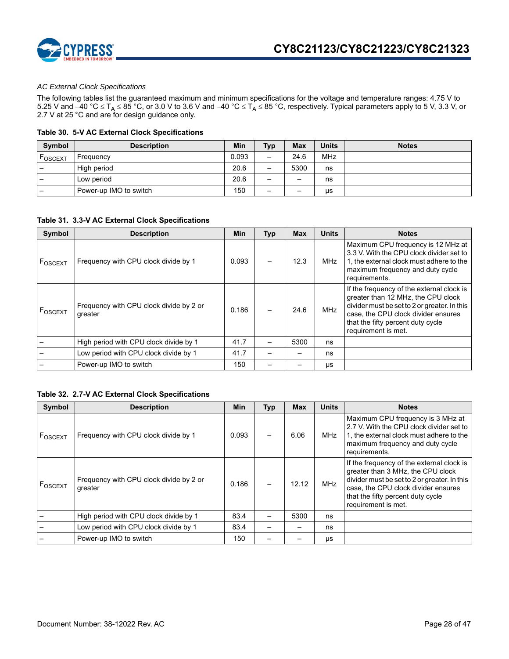

### *AC External Clock Specifications*

The following tables list the guaranteed maximum and minimum specifications for the voltage and temperature ranges: 4.75 V to 5.25 V and –40 °C  $\le$  T<sub>A</sub>  $\le$  85 °C, or 3.0 V to 3.6 V and –40 °C  $\le$  T<sub>A</sub>  $\le$  85 °C, respectively. Typical parameters apply to 5 V, 3.3 V, or 2.7 V at 25 °C and are for design guidance only.

### **Table 30. 5-V AC External Clock Specifications**

| Symbol                   | <b>Description</b>     | Min   | <b>Typ</b>               | <b>Max</b> | <b>Units</b> | <b>Notes</b> |
|--------------------------|------------------------|-------|--------------------------|------------|--------------|--------------|
| FOSCEXT                  | Frequency              | 0.093 | $\overline{\phantom{0}}$ | 24.6       | <b>MHz</b>   |              |
| -                        | High period            | 20.6  | -                        | 5300       | ns           |              |
| $\overline{\phantom{0}}$ | Low period             | 20.6  | -                        | -          | ns           |              |
| $\qquad \qquad$          | Power-up IMO to switch | 150   | -                        | -          | μs           |              |

### **Table 31. 3.3-V AC External Clock Specifications**

| Symbol              | <b>Description</b>                                 | Min   | <b>Typ</b> | <b>Max</b> | <b>Units</b> | <b>Notes</b>                                                                                                                                                                                                                       |
|---------------------|----------------------------------------------------|-------|------------|------------|--------------|------------------------------------------------------------------------------------------------------------------------------------------------------------------------------------------------------------------------------------|
| F <sub>OSCEXT</sub> | Frequency with CPU clock divide by 1               | 0.093 |            | 12.3       | MHz          | Maximum CPU frequency is 12 MHz at<br>3.3 V. With the CPU clock divider set to<br>1, the external clock must adhere to the<br>maximum frequency and duty cycle<br>requirements.                                                    |
| F <sub>OSCEXT</sub> | Frequency with CPU clock divide by 2 or<br>greater | 0.186 |            | 24.6       | <b>MHz</b>   | If the frequency of the external clock is<br>greater than 12 MHz, the CPU clock<br>divider must be set to 2 or greater. In this<br>case, the CPU clock divider ensures<br>that the fifty percent duty cycle<br>requirement is met. |
|                     | High period with CPU clock divide by 1             | 41.7  |            | 5300       | ns           |                                                                                                                                                                                                                                    |
|                     | Low period with CPU clock divide by 1              | 41.7  |            |            | ns           |                                                                                                                                                                                                                                    |
|                     | Power-up IMO to switch                             | 150   |            |            | μs           |                                                                                                                                                                                                                                    |

### **Table 32. 2.7-V AC External Clock Specifications**

| <b>Symbol</b>       | <b>Description</b>                                 | <b>Min</b> | <b>Typ</b> | <b>Max</b> | <b>Units</b> | <b>Notes</b>                                                                                                                                                                                                                      |
|---------------------|----------------------------------------------------|------------|------------|------------|--------------|-----------------------------------------------------------------------------------------------------------------------------------------------------------------------------------------------------------------------------------|
| F <sub>OSCEXT</sub> | Frequency with CPU clock divide by 1               | 0.093      |            | 6.06       | <b>MHz</b>   | Maximum CPU frequency is 3 MHz at<br>2.7 V. With the CPU clock divider set to<br>1, the external clock must adhere to the<br>maximum frequency and duty cycle<br>requirements.                                                    |
| F <sub>OSCEXT</sub> | Frequency with CPU clock divide by 2 or<br>greater | 0.186      |            | 12.12      | <b>MHz</b>   | If the frequency of the external clock is<br>greater than 3 MHz, the CPU clock<br>divider must be set to 2 or greater. In this<br>case, the CPU clock divider ensures<br>that the fifty percent duty cycle<br>requirement is met. |
|                     | High period with CPU clock divide by 1             | 83.4       |            | 5300       | ns           |                                                                                                                                                                                                                                   |
|                     | Low period with CPU clock divide by 1              | 83.4       |            |            | ns           |                                                                                                                                                                                                                                   |
|                     | Power-up IMO to switch                             | 150        |            |            | μs           |                                                                                                                                                                                                                                   |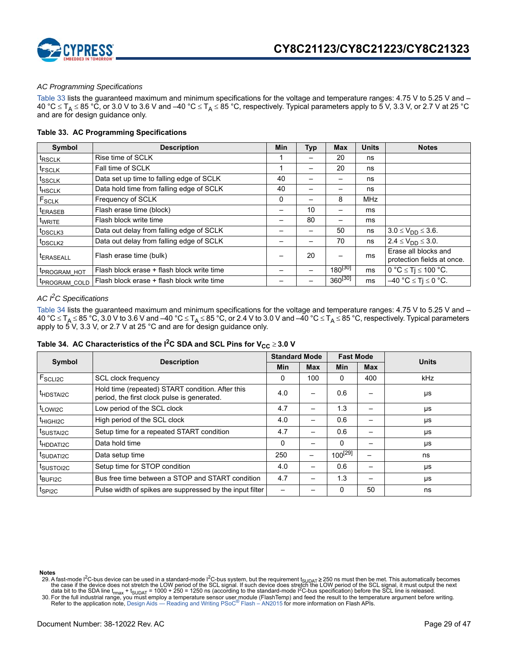

### *AC Programming Specifications*

Table 33 lists the guaranteed maximum and minimum specifications for the voltage and temperature ranges: 4.75 V to 5.25 V and – 40 °C  $\leq$  T<sub>A</sub>  $\leq$  85 °C, or 3.0 V to 3.6 V and –40 °C  $\leq$  T<sub>A</sub>  $\leq$  85 °C, respectively. Typical parameters apply to 5 V, 3.3 V, or 2.7 V at 25 °C and are for design guidance only.

### **Table 33. AC Programming Specifications**

| Symbol                | <b>Description</b>                         | <b>Min</b> | Typ | <b>Max</b>   | <b>Units</b> | <b>Notes</b>                                       |
|-----------------------|--------------------------------------------|------------|-----|--------------|--------------|----------------------------------------------------|
| <sup>t</sup> RSCLK    | Rise time of SCLK                          |            | -   | 20           | ns           |                                                    |
| <sup>t</sup> FSCLK    | Fall time of SCLK                          |            |     | 20           | ns           |                                                    |
| <sup>t</sup> ssclk    | Data set up time to falling edge of SCLK   | 40         |     |              | ns           |                                                    |
| <sup>t</sup> HSCLK    | Data hold time from falling edge of SCLK   | 40         | -   |              | ns           |                                                    |
| $F_{SCLK}$            | Frequency of SCLK                          | 0          |     | 8            | <b>MHz</b>   |                                                    |
| <sup>t</sup> ERASEB   | Flash erase time (block)                   |            | 10  |              | ms           |                                                    |
| <sup>I</sup> WRITE    | Flash block write time                     |            | 80  | -            | ms           |                                                    |
| t <sub>DSCLK3</sub>   | Data out delay from falling edge of SCLK   |            |     | 50           | ns           | $3.0 \le V_{DD} \le 3.6$ .                         |
| <sup>I</sup> DSCLK2   | Data out delay from falling edge of SCLK   |            |     | 70           | ns           | $2.4 \leq V_{DD} \leq 3.0$ .                       |
| <sup>t</sup> ERASEALL | Flash erase time (bulk)                    |            | 20  |              | ms           | Erase all blocks and<br>protection fields at once. |
| <b>IPROGRAM HOT</b>   | Flash block erase + flash block write time |            |     | $180^{[30]}$ | ms           | $\overline{0^{\circ}C} \le Tj \le 100^{\circ}C$ .  |
| <b>IPROGRAM COLD</b>  | Flash block erase + flash block write time |            |     | $360^{[30]}$ | ms           | $\overline{-40 °C} \leq Tj \leq 0 °C$ .            |

### *AC I2C Specifications*

Table 34 lists the guaranteed maximum and minimum specifications for the voltage and temperature ranges: 4.75 V to 5.25 V and – 40 °C  $\leq$  T<sub>A</sub>  $\leq$  85 °C, 3.0 V to 3.6 V and –40 °C  $\leq$  T<sub>A</sub>  $\leq$  85 °C, or 2.4 V to 3.0 V and –40 °C  $\leq$  T<sub>A</sub>  $\leq$  85 °C, respectively. Typical parameters apply to 5 V, 3.3 V, or 2.7 V at 25 °C and are for design guidance only.

|  |  | Table 34. AC Characteristics of the $1^2C$ SDA and SCL Pins for $V_{CC} \ge 3.0 V$ |  |  |  |  |  |  |
|--|--|------------------------------------------------------------------------------------|--|--|--|--|--|--|
|--|--|------------------------------------------------------------------------------------|--|--|--|--|--|--|

| Symbol                |                                                                                                 | <b>Standard Mode</b> |            | <b>Fast Mode</b> |     | <b>Units</b> |  |
|-----------------------|-------------------------------------------------------------------------------------------------|----------------------|------------|------------------|-----|--------------|--|
|                       | <b>Description</b>                                                                              | Min                  | <b>Max</b> | Min              | Max |              |  |
| $F_{\text{SCLI2C}}$   | <b>SCL clock frequency</b>                                                                      | 0                    | 100        | 0                | 400 | <b>kHz</b>   |  |
| <sup>t</sup> HDSTAI2C | Hold time (repeated) START condition. After this<br>period, the first clock pulse is generated. |                      | -          | 0.6              |     | μs           |  |
| t <sub>LOWI2C</sub>   | Low period of the SCL clock                                                                     | 4.7                  | —          | 1.3              | -   | μs           |  |
| <sup>t</sup> HIGHI2C  | High period of the SCL clock                                                                    | 4.0                  | -          | 0.6              |     | μs           |  |
| <sup>t</sup> SUSTAI2C | Setup time for a repeated START condition                                                       | 4.7                  | —          | 0.6              | -   | μs           |  |
| <sup>t</sup> HDDATI2C | Data hold time                                                                                  | 0                    | -          | 0                |     | μs           |  |
| <sup>I</sup> SUDATI2C | Data setup time                                                                                 | 250                  |            | $100^{[29]}$     |     | ns           |  |
| t <sub>SUSTOI2C</sub> | Setup time for STOP condition                                                                   | 4.0                  | -          | 0.6              |     | μs           |  |
| <sup>t</sup> BUFI2C   | Bus free time between a STOP and START condition                                                | 4.7                  |            | 1.3              |     | μs           |  |
| t <sub>SPI2C</sub>    | Pulse width of spikes are suppressed by the input filter                                        |                      |            | 0                | 50  | ns           |  |

#### **Notes**

29. A fast-mode I<sup>2</sup>C-bus device can be used in a standard-mode I<sup>2</sup>C-bus system, but the requirement t<sub>SUDAT</sub> ≥ 250 ns must then be met. This automatically becomes<br>the case if the device does not stretch the LOW period o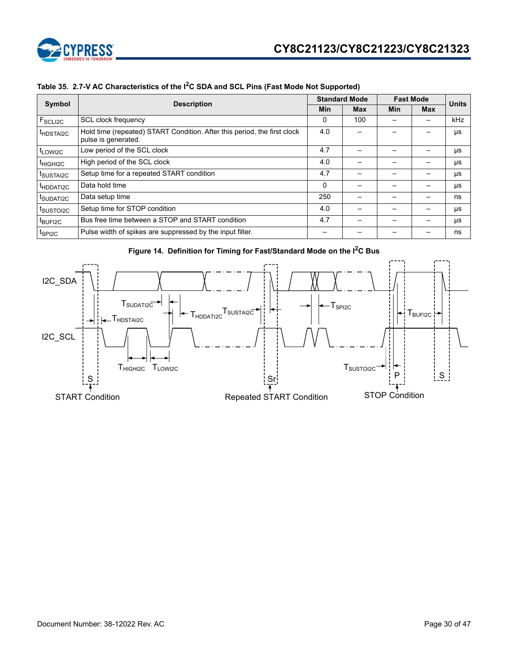

|  |  |  |  |  |  | Table 35. 2.7-V AC Characteristics of the I <sup>2</sup> C SDA and SCL Pins (Fast Mode Not Supported) |
|--|--|--|--|--|--|-------------------------------------------------------------------------------------------------------|
|--|--|--|--|--|--|-------------------------------------------------------------------------------------------------------|

|                              | Symbol<br><b>Description</b>                                                                    |     | <b>Standard Mode</b> | <b>Fast Mode</b> | <b>Units</b> |     |
|------------------------------|-------------------------------------------------------------------------------------------------|-----|----------------------|------------------|--------------|-----|
|                              |                                                                                                 |     | <b>Max</b>           | <b>Min</b>       | Max          |     |
| $F_{\scriptstyle\rm SCLI2C}$ | SCL clock frequency                                                                             | 0   | 100                  |                  |              | kHz |
| <sup>t</sup> HDSTAI2C        | Hold time (repeated) START Condition. After this period, the first clock<br>pulse is generated. |     |                      |                  |              | μs  |
| t <sub>LOWI2C</sub>          | Low period of the SCL clock                                                                     | 4.7 |                      |                  |              | μs  |
| <sup>t</sup> HIGHI2C         | High period of the SCL clock                                                                    | 4.0 |                      |                  |              | μs  |
| t <sub>SUSTAI2C</sub>        | Setup time for a repeated START condition                                                       | 4.7 |                      |                  |              | μs  |
| <sup>t</sup> HDDATI2C        | Data hold time                                                                                  | 0   |                      |                  |              | μs  |
| t <sub>SUDATI2C</sub>        | Data setup time                                                                                 | 250 |                      |                  |              | ns  |
| t <sub>SUSTOI2C</sub>        | Setup time for STOP condition                                                                   | 4.0 |                      |                  |              | μs  |
| t <sub>BUFI2C</sub>          | Bus free time between a STOP and START condition                                                | 4.7 |                      |                  |              | μs  |
| t <sub>SPI2C</sub>           | Pulse width of spikes are suppressed by the input filter.                                       |     |                      |                  |              | ns  |



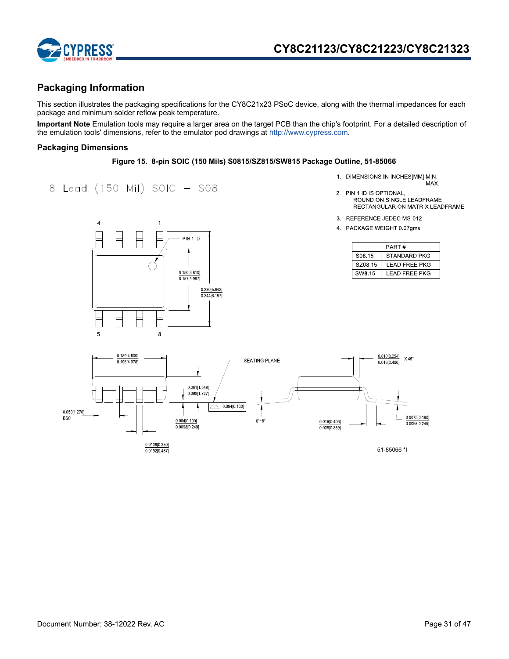

## **Packaging Information**

This section illustrates the packaging specifications for the CY8C21x23 PSoC device, along with the thermal impedances for each package and minimum solder reflow peak temperature.

**Important Note** Emulation tools may require a larger area on the target PCB than the chip's footprint. For a detailed description of the emulation tools' dimensions, refer to the emulator pod drawings at http://www.cypress.com.

### **Packaging Dimensions**

### **Figure 15. 8-pin SOIC (150 Mils) S0815/SZ815/SW815 Package Outline, 51-85066**

8 Lead (150 Mil) SOIC - S08

- 1. DIMENSIONS IN INCHES[MM] MIN.<br>MAX.
- 2. PIN 1 ID IS OPTIONAL, ROUND ON SINGLE LEADFRAME RECTANGULAR ON MATRIX LEADFRAME
- 3 REFERENCE JEDEC MS-012
- 4 PACKAGE WEIGHT 0 07gms

| PART#              |                |  |  |  |  |
|--------------------|----------------|--|--|--|--|
| S <sub>08.15</sub> | STANDARD PKG   |  |  |  |  |
| SZ08 15            | I FAD FRFF PKG |  |  |  |  |
| SW8.15             | LEAD FREE PKG  |  |  |  |  |



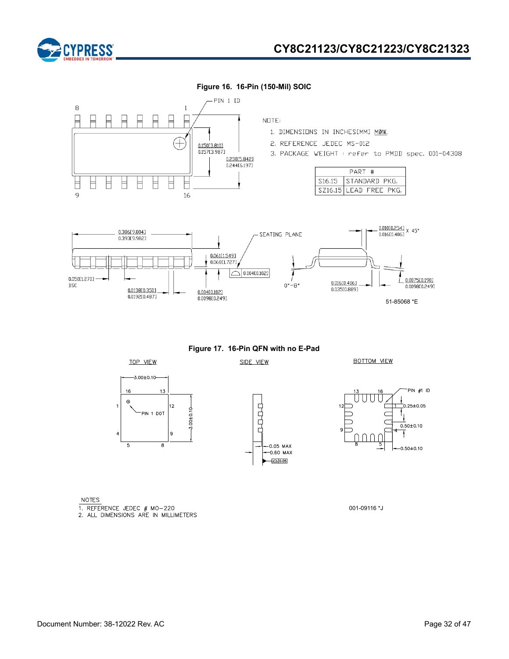



**Figure 16. 16-Pin (150-Mil) SOIC**

**Figure 17. 16-Pin QFN with no E-Pad**  SIDE VIEW

00000

 $-0.05$  MAX

 $-0.60$  MAX  $\sqrt{20.05}$ 

**BOTTOM VIEW** 



**NOTES** 

1. REFERENCE JEDEC # MO-220<br>2. ALL DIMENSIONS ARE IN MILLIMETERS

TOP VIEW

 $-3.00 \pm 0.10$ 

PIN 1 DOT

12

 $\alpha$ 

 $\mathbf{R}$ 

 $3.00 + 0.10$ 

 $16$ 

 $\omega$ 

5

001-09116 \*J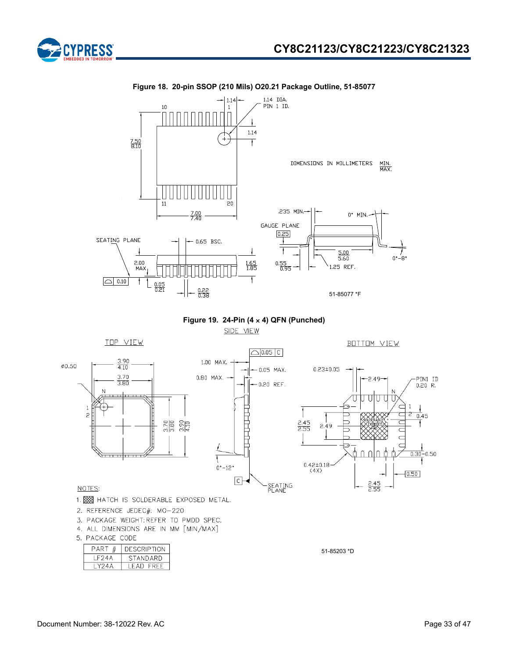





**Figure 18. 20-pin SSOP (210 Mils) O20.21 Package Outline, 51-85077** 

**Figure 19. 24-Pin (4 4) QFN (Punched)**

SIDE VIEW



سياب

ستلبيت







### NOTES:

 $\mathbf{1}$ 

 $\overline{c}$ 

Ø0.50

- 1. XXX HATCH IS SOLDERABLE EXPOSED METAL.
- 2. REFERENCE JEDEC#: MO-220
- 3. PACKAGE WEIGHT: REFER TO PMDD SPEC.
- 4. ALL DIMENSIONS ARE IN MM [MIN/MAX]
- 5. PACKAGE CODE

| PART   | DESCRIPTION |
|--------|-------------|
| I F24A | STANDARD    |
| Y24A   | LEAD FREE   |

51-85203 \*D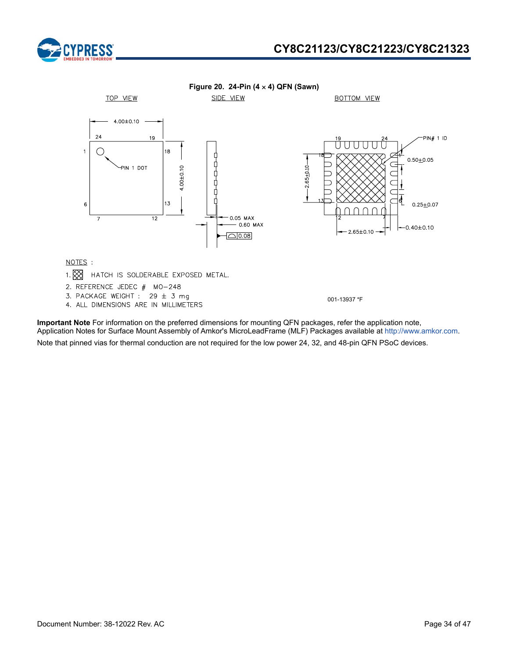



**Important Note** For information on the preferred dimensions for mounting QFN packages, refer the application note, Application Notes for Surface Mount Assembly of Amkor's MicroLeadFrame (MLF) Packages available at http://www.amkor.com. Note that pinned vias for thermal conduction are not required for the low power 24, 32, and 48-pin QFN PSoC devices.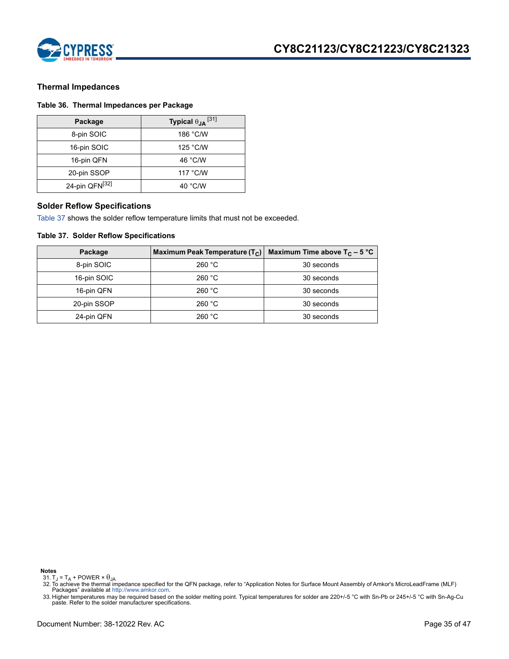

### **Thermal Impedances**

### **Table 36. Thermal Impedances per Package**

| Package        | Typical $\theta_{JA}$ <sup>[31]</sup> |
|----------------|---------------------------------------|
| 8-pin SOIC     | 186 °C/W                              |
| 16-pin SOIC    | 125 °C/W                              |
| 16-pin QFN     | 46 °C/W                               |
| 20-pin SSOP    | 117 °C/W                              |
| 24-pin QFN[32] | 40 $\degree$ C/W                      |

### **Solder Reflow Specifications**

Table 37 shows the solder reflow temperature limits that must not be exceeded.

### **Table 37. Solder Reflow Specifications**

| Package     | Maximum Peak Temperature $(T_c)$ | Maximum Time above $T_c$ – 5 °C |
|-------------|----------------------------------|---------------------------------|
| 8-pin SOIC  | 260 °C                           | 30 seconds                      |
| 16-pin SOIC | 260 °C                           | 30 seconds                      |
| 16-pin QFN  | 260 °C                           | 30 seconds                      |
| 20-pin SSOP | 260 °C                           | 30 seconds                      |
| 24-pin QFN  | 260 °C                           | 30 seconds                      |

**Notes**

31. T<sub>J</sub> = T<sub>A</sub> + POWER  $\times$   $\theta$ <sub>JA</sub>

<sup>32.</sup> To achieve the thermal impedance specified for the QFN package, refer to "Application Notes for Surface Mount Assembly of Amkor's MicroLeadFrame (MLF) Packages" available at http://www.amkor.com.

<sup>33.</sup> Higher temperatures may be required based on the solder melting point. Typical temperatures for solder are 220+/-5 °C with Sn-Pb or 245+/-5 °C with Sn-Ag-Cu paste. Refer to the solder manufacturer specifications.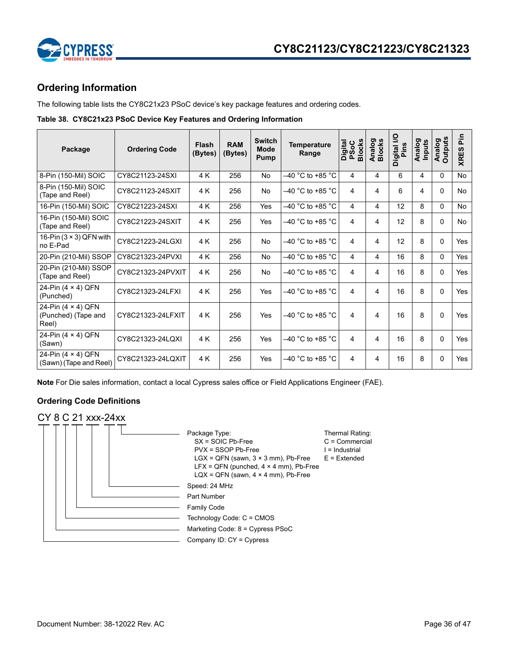

## **Ordering Information**

The following table lists the CY8C21x23 PSoC device's key package features and ordering codes.

### **Table 38. CY8C21x23 PSoC Device Key Features and Ordering Information**

| Package                                             | <b>Ordering Code</b> | Flash<br>(Bytes) | <b>RAM</b><br>(Bytes) | <b>Switch</b><br><b>Mode</b><br>Pump | <b>Temperature</b><br>Range | <b>Blocks</b><br>Digital<br>PSoC | Analog<br>Blocks        | Digital I/O<br>Pins | Analog<br>Inputs | <b>Analog</b><br>Outputs | in<br><b>SC</b><br><b>XRES</b> |
|-----------------------------------------------------|----------------------|------------------|-----------------------|--------------------------------------|-----------------------------|----------------------------------|-------------------------|---------------------|------------------|--------------------------|--------------------------------|
| 8-Pin (150-Mil) SOIC                                | CY8C21123-24SXI      | 4 K              | 256                   | <b>No</b>                            | $-40$ °C to +85 °C          | 4                                | 4                       | 6                   | 4                | $\Omega$                 | No                             |
| 8-Pin (150-Mil) SOIC<br>(Tape and Reel)             | CY8C21123-24SXIT     | 4K               | 256                   | <b>No</b>                            | $-40$ °C to +85 °C          | 4                                | $\overline{\mathbf{4}}$ | 6                   | 4                | $\Omega$                 | <b>No</b>                      |
| 16-Pin (150-Mil) SOIC                               | CY8C21223-24SXI      | 4K               | 256                   | Yes                                  | $-40$ °C to +85 °C          | $\overline{4}$                   | 4                       | 12                  | 8                | $\Omega$                 | <b>No</b>                      |
| 16-Pin (150-Mil) SOIC<br>(Tape and Reel)            | CY8C21223-24SXIT     | 4K               | 256                   | Yes                                  | $-40$ °C to +85 °C          | 4                                | 4                       | 12                  | 8                | $\Omega$                 | <b>No</b>                      |
| 16-Pin $(3 \times 3)$ QFN with<br>no E-Pad          | CY8C21223-24LGXI     | 4 K              | 256                   | <b>No</b>                            | $-40$ °C to +85 °C          | 4                                | 4                       | 12                  | 8                | $\Omega$                 | <b>Yes</b>                     |
| 20-Pin (210-Mil) SSOP                               | CY8C21323-24PVXI     | 4 K              | 256                   | No                                   | $-40$ °C to +85 °C          | 4                                | 4                       | 16                  | 8                | $\Omega$                 | <b>Yes</b>                     |
| 20-Pin (210-Mil) SSOP<br>(Tape and Reel)            | CY8C21323-24PVXIT    | 4 K              | 256                   | No                                   | $-40$ °C to +85 °C          | 4                                | 4                       | 16                  | 8                | $\Omega$                 | Yes                            |
| 24-Pin (4 × 4) QFN<br>(Punched)                     | CY8C21323-24LFXI     | 4 K              | 256                   | Yes                                  | $-40$ °C to +85 °C          | 4                                | 4                       | 16                  | 8                | $\Omega$                 | <b>Yes</b>                     |
| 24-Pin (4 × 4) QFN<br>(Punched) (Tape and<br>Reel)  | CY8C21323-24LFXIT    | 4 K              | 256                   | Yes                                  | $-40$ °C to +85 °C          | 4                                | 4                       | 16                  | 8                | $\Omega$                 | <b>Yes</b>                     |
| 24-Pin (4 × 4) QFN<br>(Sawn)                        | CY8C21323-24LQXI     | 4 K              | 256                   | Yes                                  | $-40$ °C to +85 °C          | 4                                | 4                       | 16                  | 8                | 0                        | <b>Yes</b>                     |
| 24-Pin $(4 \times 4)$ QFN<br>(Sawn) (Tape and Reel) | CY8C21323-24LQXIT    | 4 K              | 256                   | Yes                                  | $-40$ °C to +85 °C          | 4                                | 4                       | 16                  | 8                | $\Omega$                 | Yes                            |

**Note** For Die sales information, contact a local Cypress sales office or Field Applications Engineer (FAE).

## **Ordering Code Definitions**

## CY 8 C 21 xxx-24xx

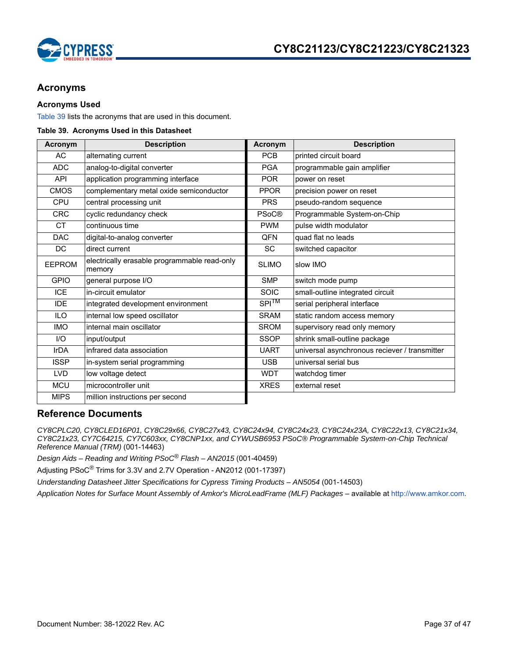

## **Acronyms**

### **Acronyms Used**

Table 39 lists the acronyms that are used in this document.

### **Table 39. Acronyms Used in this Datasheet**

| Acronym       | <b>Description</b>                                     | Acronym      | <b>Description</b>                            |
|---------------|--------------------------------------------------------|--------------|-----------------------------------------------|
| <b>AC</b>     | alternating current                                    | <b>PCB</b>   | printed circuit board                         |
| <b>ADC</b>    | analog-to-digital converter                            | <b>PGA</b>   | programmable gain amplifier                   |
| <b>API</b>    | application programming interface                      | <b>POR</b>   | power on reset                                |
| <b>CMOS</b>   | complementary metal oxide semiconductor                | <b>PPOR</b>  | precision power on reset                      |
| <b>CPU</b>    | central processing unit                                | <b>PRS</b>   | pseudo-random sequence                        |
| <b>CRC</b>    | cyclic redundancy check                                | <b>PSoC®</b> | Programmable System-on-Chip                   |
| <b>CT</b>     | continuous time                                        | <b>PWM</b>   | pulse width modulator                         |
| <b>DAC</b>    | digital-to-analog converter                            | <b>QFN</b>   | quad flat no leads                            |
| DC            | direct current                                         | <b>SC</b>    | switched capacitor                            |
| <b>EEPROM</b> | electrically erasable programmable read-only<br>memory | <b>SLIMO</b> | slow IMO                                      |
| <b>GPIO</b>   | general purpose I/O                                    | <b>SMP</b>   | switch mode pump                              |
| ICE           | in-circuit emulator                                    | <b>SOIC</b>  | small-outline integrated circuit              |
| <b>IDE</b>    | integrated development environment                     | $SPI^{TM}$   | serial peripheral interface                   |
| <b>ILO</b>    | internal low speed oscillator                          | <b>SRAM</b>  | static random access memory                   |
| <b>IMO</b>    | internal main oscillator                               | <b>SROM</b>  | supervisory read only memory                  |
| 1/O           | input/output                                           | <b>SSOP</b>  | shrink small-outline package                  |
| <b>IrDA</b>   | infrared data association                              | <b>UART</b>  | universal asynchronous reciever / transmitter |
| <b>ISSP</b>   | in-system serial programming                           | <b>USB</b>   | universal serial bus                          |
| LVD           | low voltage detect                                     | <b>WDT</b>   | watchdog timer                                |
| <b>MCU</b>    | microcontroller unit                                   | <b>XRES</b>  | external reset                                |
| <b>MIPS</b>   | million instructions per second                        |              |                                               |

### **Reference Documents**

*CY8CPLC20, CY8CLED16P01, CY8C29x66, CY8C27x43, CY8C24x94, CY8C24x23, CY8C24x23A, CY8C22x13, CY8C21x34, CY8C21x23, CY7C64215, CY7C603xx, CY8CNP1xx, and CYWUSB6953 PSoC® Programmable System-on-Chip Technical Reference Manual (TRM)* (001-14463)

*Design Aids – Reading and Writing PSoC® Flash – AN2015* (001-40459)

Adjusting PSoC*®* Trims for 3.3V and 2.7V Operation - AN2012 (001-17397)

*Understanding Datasheet Jitter Specifications for Cypress Timing Products – AN5054* (001-14503)

*Application Notes for Surface Mount Assembly of Amkor's MicroLeadFrame (MLF) Packages* – available at http://www.amkor.com.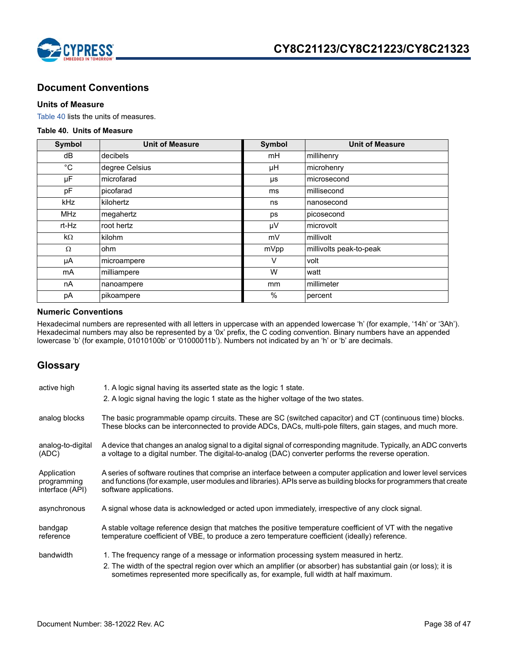

## **Document Conventions**

### **Units of Measure**

Table 40 lists the units of measures.

### **Table 40. Units of Measure**

| <b>Symbol</b> | <b>Unit of Measure</b> | <b>Symbol</b> | <b>Unit of Measure</b>  |
|---------------|------------------------|---------------|-------------------------|
| dB            | decibels               | mH            | millihenry              |
| $^{\circ}$ C  | degree Celsius         | μH            | microhenry              |
| μF            | microfarad             | μs            | microsecond             |
| pF            | picofarad              | ms            | millisecond             |
| <b>kHz</b>    | kilohertz              | ns            | nanosecond              |
| <b>MHz</b>    | megahertz              | ps            | picosecond              |
| rt-Hz         | root hertz             | μV            | microvolt               |
| $k\Omega$     | kilohm                 | mV            | millivolt               |
| $\Omega$      | ohm                    | mVpp          | millivolts peak-to-peak |
| μA            | microampere            | v             | volt                    |
| mA            | milliampere            | W             | watt                    |
| nA            | nanoampere             | mm            | millimeter              |
| рA            | pikoampere             | $\%$          | percent                 |

### **Numeric Conventions**

Hexadecimal numbers are represented with all letters in uppercase with an appended lowercase 'h' (for example, '14h' or '3Ah'). Hexadecimal numbers may also be represented by a '0x' prefix, the C coding convention. Binary numbers have an appended lowercase 'b' (for example, 01010100b' or '01000011b'). Numbers not indicated by an 'h' or 'b' are decimals.

## **Glossary**

| active high                                   | 1. A logic signal having its asserted state as the logic 1 state.<br>2. A logic signal having the logic 1 state as the higher voltage of the two states.                                                                                                                                           |
|-----------------------------------------------|----------------------------------------------------------------------------------------------------------------------------------------------------------------------------------------------------------------------------------------------------------------------------------------------------|
| analog blocks                                 | The basic programmable opamp circuits. These are SC (switched capacitor) and CT (continuous time) blocks.<br>These blocks can be interconnected to provide ADCs, DACs, multi-pole filters, gain stages, and much more.                                                                             |
| analog-to-digital<br>(ADC)                    | A device that changes an analog signal to a digital signal of corresponding magnitude. Typically, an ADC converts<br>a voltage to a digital number. The digital-to-analog (DAC) converter performs the reverse operation.                                                                          |
| Application<br>programming<br>interface (API) | A series of software routines that comprise an interface between a computer application and lower level services<br>and functions (for example, user modules and libraries). APIs serve as building blocks for programmers that create<br>software applications.                                   |
| asynchronous                                  | A signal whose data is acknowledged or acted upon immediately, irrespective of any clock signal.                                                                                                                                                                                                   |
| bandgap<br>reference                          | A stable voltage reference design that matches the positive temperature coefficient of VT with the negative<br>temperature coefficient of VBE, to produce a zero temperature coefficient (ideally) reference.                                                                                      |
| bandwidth                                     | 1. The frequency range of a message or information processing system measured in hertz.<br>2. The width of the spectral region over which an amplifier (or absorber) has substantial gain (or loss); it is<br>sometimes represented more specifically as, for example, full width at half maximum. |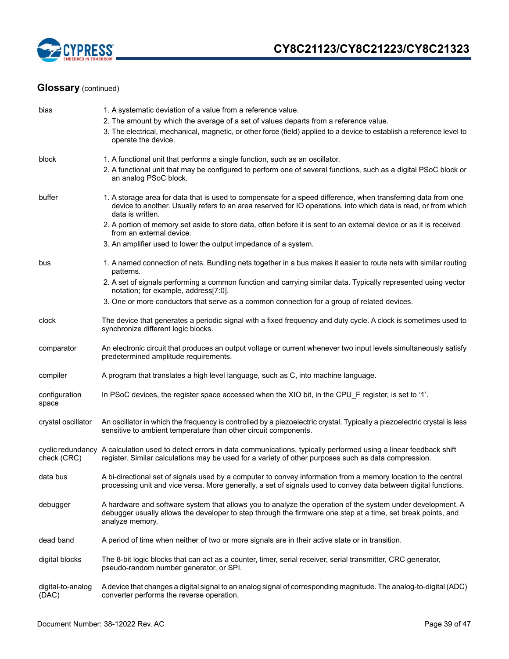

| bias                       | 1. A systematic deviation of a value from a reference value.<br>2. The amount by which the average of a set of values departs from a reference value.<br>3. The electrical, mechanical, magnetic, or other force (field) applied to a device to establish a reference level to<br>operate the device. |
|----------------------------|-------------------------------------------------------------------------------------------------------------------------------------------------------------------------------------------------------------------------------------------------------------------------------------------------------|
| block                      | 1. A functional unit that performs a single function, such as an oscillator.<br>2. A functional unit that may be configured to perform one of several functions, such as a digital PSoC block or<br>an analog PSoC block.                                                                             |
| buffer                     | 1. A storage area for data that is used to compensate for a speed difference, when transferring data from one<br>device to another. Usually refers to an area reserved for IO operations, into which data is read, or from which<br>data is written.                                                  |
|                            | 2. A portion of memory set aside to store data, often before it is sent to an external device or as it is received<br>from an external device.                                                                                                                                                        |
|                            | 3. An amplifier used to lower the output impedance of a system.                                                                                                                                                                                                                                       |
| bus                        | 1. A named connection of nets. Bundling nets together in a bus makes it easier to route nets with similar routing<br>patterns.                                                                                                                                                                        |
|                            | 2. A set of signals performing a common function and carrying similar data. Typically represented using vector<br>notation; for example, address[7:0].                                                                                                                                                |
|                            | 3. One or more conductors that serve as a common connection for a group of related devices.                                                                                                                                                                                                           |
| clock                      | The device that generates a periodic signal with a fixed frequency and duty cycle. A clock is sometimes used to<br>synchronize different logic blocks.                                                                                                                                                |
| comparator                 | An electronic circuit that produces an output voltage or current whenever two input levels simultaneously satisfy<br>predetermined amplitude requirements.                                                                                                                                            |
| compiler                   | A program that translates a high level language, such as C, into machine language.                                                                                                                                                                                                                    |
| configuration<br>space     | In PSoC devices, the register space accessed when the XIO bit, in the CPU_F register, is set to '1'.                                                                                                                                                                                                  |
| crystal oscillator         | An oscillator in which the frequency is controlled by a piezoelectric crystal. Typically a piezoelectric crystal is less<br>sensitive to ambient temperature than other circuit components.                                                                                                           |
| check (CRC)                | cyclic redundancy A calculation used to detect errors in data communications, typically performed using a linear feedback shift<br>register. Similar calculations may be used for a variety of other purposes such as data compression.                                                               |
| data bus                   | A bi-directional set of signals used by a computer to convey information from a memory location to the central<br>processing unit and vice versa. More generally, a set of signals used to convey data between digital functions.                                                                     |
| debugger                   | A hardware and software system that allows you to analyze the operation of the system under development. A<br>debugger usually allows the developer to step through the firmware one step at a time, set break points, and<br>analyze memory.                                                         |
| dead band                  | A period of time when neither of two or more signals are in their active state or in transition.                                                                                                                                                                                                      |
| digital blocks             | The 8-bit logic blocks that can act as a counter, timer, serial receiver, serial transmitter, CRC generator,<br>pseudo-random number generator, or SPI.                                                                                                                                               |
| digital-to-analog<br>(DAC) | A device that changes a digital signal to an analog signal of corresponding magnitude. The analog-to-digital (ADC)<br>converter performs the reverse operation.                                                                                                                                       |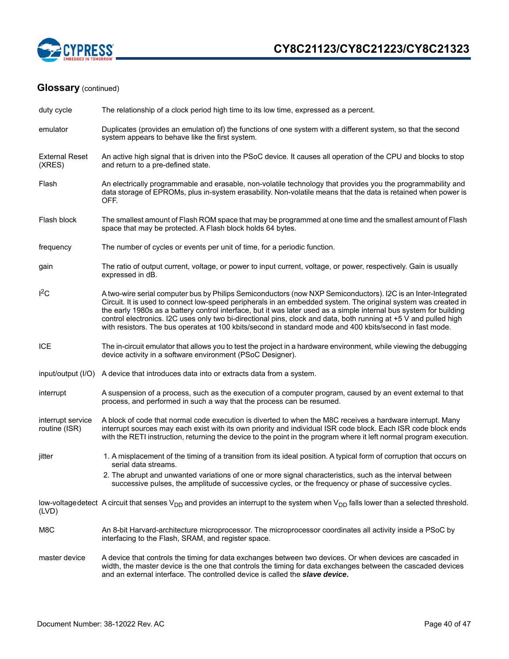

| duty cycle                         | The relationship of a clock period high time to its low time, expressed as a percent.                                                                                                                                                                                                                                                                                                                                                                                                                                                                                                 |
|------------------------------------|---------------------------------------------------------------------------------------------------------------------------------------------------------------------------------------------------------------------------------------------------------------------------------------------------------------------------------------------------------------------------------------------------------------------------------------------------------------------------------------------------------------------------------------------------------------------------------------|
| emulator                           | Duplicates (provides an emulation of) the functions of one system with a different system, so that the second<br>system appears to behave like the first system.                                                                                                                                                                                                                                                                                                                                                                                                                      |
| <b>External Reset</b><br>(XRES)    | An active high signal that is driven into the PSoC device. It causes all operation of the CPU and blocks to stop<br>and return to a pre-defined state.                                                                                                                                                                                                                                                                                                                                                                                                                                |
| Flash                              | An electrically programmable and erasable, non-volatile technology that provides you the programmability and<br>data storage of EPROMs, plus in-system erasability. Non-volatile means that the data is retained when power is<br>OFF.                                                                                                                                                                                                                                                                                                                                                |
| Flash block                        | The smallest amount of Flash ROM space that may be programmed at one time and the smallest amount of Flash<br>space that may be protected. A Flash block holds 64 bytes.                                                                                                                                                                                                                                                                                                                                                                                                              |
| frequency                          | The number of cycles or events per unit of time, for a periodic function.                                                                                                                                                                                                                                                                                                                                                                                                                                                                                                             |
| gain                               | The ratio of output current, voltage, or power to input current, voltage, or power, respectively. Gain is usually<br>expressed in dB.                                                                                                                                                                                                                                                                                                                                                                                                                                                 |
| $I^2C$                             | A two-wire serial computer bus by Philips Semiconductors (now NXP Semiconductors). I2C is an Inter-Integrated<br>Circuit. It is used to connect low-speed peripherals in an embedded system. The original system was created in<br>the early 1980s as a battery control interface, but it was later used as a simple internal bus system for building<br>control electronics. I2C uses only two bi-directional pins, clock and data, both running at +5 V and pulled high<br>with resistors. The bus operates at 100 kbits/second in standard mode and 400 kbits/second in fast mode. |
| ICE                                | The in-circuit emulator that allows you to test the project in a hardware environment, while viewing the debugging<br>device activity in a software environment (PSoC Designer).                                                                                                                                                                                                                                                                                                                                                                                                      |
|                                    | input/output (I/O) A device that introduces data into or extracts data from a system.                                                                                                                                                                                                                                                                                                                                                                                                                                                                                                 |
| interrupt                          | A suspension of a process, such as the execution of a computer program, caused by an event external to that<br>process, and performed in such a way that the process can be resumed.                                                                                                                                                                                                                                                                                                                                                                                                  |
| interrupt service<br>routine (ISR) | A block of code that normal code execution is diverted to when the M8C receives a hardware interrupt. Many<br>interrupt sources may each exist with its own priority and individual ISR code block. Each ISR code block ends<br>with the RETI instruction, returning the device to the point in the program where it left normal program execution.                                                                                                                                                                                                                                   |
| jitter                             | 1. A misplacement of the timing of a transition from its ideal position. A typical form of corruption that occurs on<br>serial data streams.                                                                                                                                                                                                                                                                                                                                                                                                                                          |
|                                    | 2. The abrupt and unwanted variations of one or more signal characteristics, such as the interval between<br>successive pulses, the amplitude of successive cycles, or the frequency or phase of successive cycles.                                                                                                                                                                                                                                                                                                                                                                   |
| (LVD)                              | low-voltage detect A circuit that senses $V_{DD}$ and provides an interrupt to the system when $V_{DD}$ falls lower than a selected threshold.                                                                                                                                                                                                                                                                                                                                                                                                                                        |
| M8C                                | An 8-bit Harvard-architecture microprocessor. The microprocessor coordinates all activity inside a PSoC by<br>interfacing to the Flash, SRAM, and register space.                                                                                                                                                                                                                                                                                                                                                                                                                     |
| master device                      | A device that controls the timing for data exchanges between two devices. Or when devices are cascaded in<br>width, the master device is the one that controls the timing for data exchanges between the cascaded devices<br>and an external interface. The controlled device is called the slave device.                                                                                                                                                                                                                                                                             |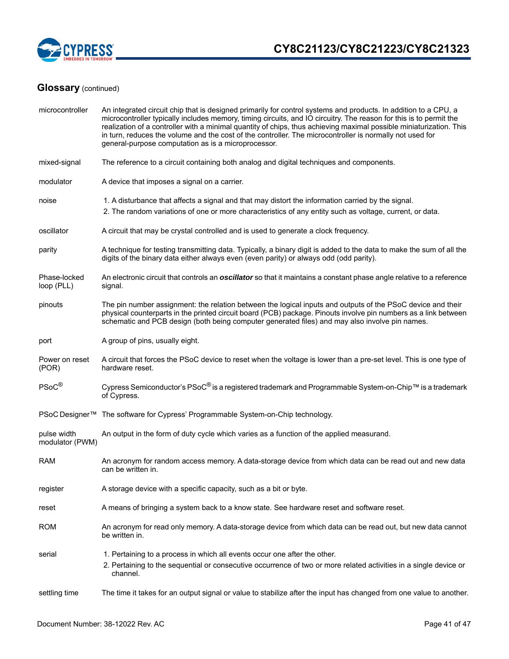

| microcontroller                | An integrated circuit chip that is designed primarily for control systems and products. In addition to a CPU, a<br>microcontroller typically includes memory, timing circuits, and IO circuitry. The reason for this is to permit the<br>realization of a controller with a minimal quantity of chips, thus achieving maximal possible miniaturization. This<br>in turn, reduces the volume and the cost of the controller. The microcontroller is normally not used for<br>general-purpose computation as is a microprocessor. |  |  |
|--------------------------------|---------------------------------------------------------------------------------------------------------------------------------------------------------------------------------------------------------------------------------------------------------------------------------------------------------------------------------------------------------------------------------------------------------------------------------------------------------------------------------------------------------------------------------|--|--|
| mixed-signal                   | The reference to a circuit containing both analog and digital techniques and components.                                                                                                                                                                                                                                                                                                                                                                                                                                        |  |  |
| modulator                      | A device that imposes a signal on a carrier.                                                                                                                                                                                                                                                                                                                                                                                                                                                                                    |  |  |
| noise                          | 1. A disturbance that affects a signal and that may distort the information carried by the signal.<br>2. The random variations of one or more characteristics of any entity such as voltage, current, or data.                                                                                                                                                                                                                                                                                                                  |  |  |
| oscillator                     | A circuit that may be crystal controlled and is used to generate a clock frequency.                                                                                                                                                                                                                                                                                                                                                                                                                                             |  |  |
| parity                         | A technique for testing transmitting data. Typically, a binary digit is added to the data to make the sum of all the<br>digits of the binary data either always even (even parity) or always odd (odd parity).                                                                                                                                                                                                                                                                                                                  |  |  |
| Phase-locked<br>loop (PLL)     | An electronic circuit that controls an <i>oscillator</i> so that it maintains a constant phase angle relative to a reference<br>signal.                                                                                                                                                                                                                                                                                                                                                                                         |  |  |
| pinouts                        | The pin number assignment: the relation between the logical inputs and outputs of the PSoC device and their<br>physical counterparts in the printed circuit board (PCB) package. Pinouts involve pin numbers as a link between<br>schematic and PCB design (both being computer generated files) and may also involve pin names.                                                                                                                                                                                                |  |  |
| port                           | A group of pins, usually eight.                                                                                                                                                                                                                                                                                                                                                                                                                                                                                                 |  |  |
| Power on reset<br>(POR)        | A circuit that forces the PSoC device to reset when the voltage is lower than a pre-set level. This is one type of<br>hardware reset.                                                                                                                                                                                                                                                                                                                                                                                           |  |  |
| PSoC <sup>®</sup>              | Cypress Semiconductor's PSoC <sup>®</sup> is a registered trademark and Programmable System-on-Chip™ is a trademark<br>of Cypress.                                                                                                                                                                                                                                                                                                                                                                                              |  |  |
|                                | PSoC Designer™ The software for Cypress' Programmable System-on-Chip technology.                                                                                                                                                                                                                                                                                                                                                                                                                                                |  |  |
| pulse width<br>modulator (PWM) | An output in the form of duty cycle which varies as a function of the applied measurand.                                                                                                                                                                                                                                                                                                                                                                                                                                        |  |  |
| <b>RAM</b>                     | An acronym for random access memory. A data-storage device from which data can be read out and new data<br>can be written in.                                                                                                                                                                                                                                                                                                                                                                                                   |  |  |
| register                       | A storage device with a specific capacity, such as a bit or byte.                                                                                                                                                                                                                                                                                                                                                                                                                                                               |  |  |
| reset                          | A means of bringing a system back to a know state. See hardware reset and software reset.                                                                                                                                                                                                                                                                                                                                                                                                                                       |  |  |
| <b>ROM</b>                     | An acronym for read only memory. A data-storage device from which data can be read out, but new data cannot<br>be written in.                                                                                                                                                                                                                                                                                                                                                                                                   |  |  |
| serial                         | 1. Pertaining to a process in which all events occur one after the other.                                                                                                                                                                                                                                                                                                                                                                                                                                                       |  |  |
|                                | 2. Pertaining to the sequential or consecutive occurrence of two or more related activities in a single device or<br>channel.                                                                                                                                                                                                                                                                                                                                                                                                   |  |  |
| settling time                  | The time it takes for an output signal or value to stabilize after the input has changed from one value to another.                                                                                                                                                                                                                                                                                                                                                                                                             |  |  |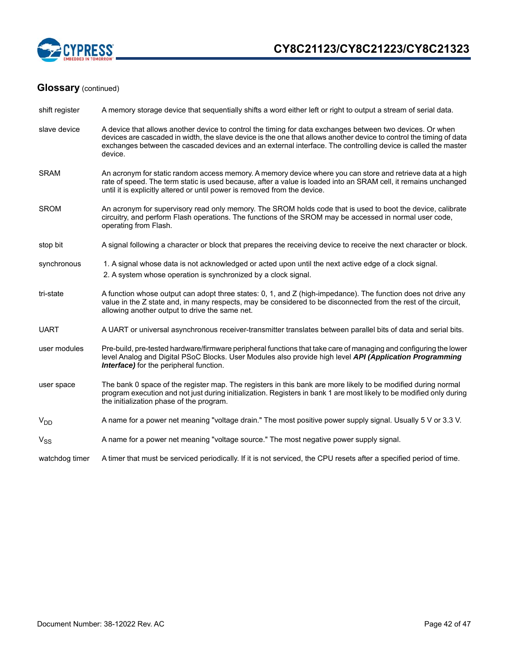

| shift register  | A memory storage device that sequentially shifts a word either left or right to output a stream of serial data.                                                                                                                                                                                                                                              |
|-----------------|--------------------------------------------------------------------------------------------------------------------------------------------------------------------------------------------------------------------------------------------------------------------------------------------------------------------------------------------------------------|
| slave device    | A device that allows another device to control the timing for data exchanges between two devices. Or when<br>devices are cascaded in width, the slave device is the one that allows another device to control the timing of data<br>exchanges between the cascaded devices and an external interface. The controlling device is called the master<br>device. |
| <b>SRAM</b>     | An acronym for static random access memory. A memory device where you can store and retrieve data at a high<br>rate of speed. The term static is used because, after a value is loaded into an SRAM cell, it remains unchanged<br>until it is explicitly altered or until power is removed from the device.                                                  |
| <b>SROM</b>     | An acronym for supervisory read only memory. The SROM holds code that is used to boot the device, calibrate<br>circuitry, and perform Flash operations. The functions of the SROM may be accessed in normal user code,<br>operating from Flash.                                                                                                              |
| stop bit        | A signal following a character or block that prepares the receiving device to receive the next character or block.                                                                                                                                                                                                                                           |
| synchronous     | 1. A signal whose data is not acknowledged or acted upon until the next active edge of a clock signal.<br>2. A system whose operation is synchronized by a clock signal.                                                                                                                                                                                     |
| tri-state       | A function whose output can adopt three states: 0, 1, and Z (high-impedance). The function does not drive any<br>value in the Z state and, in many respects, may be considered to be disconnected from the rest of the circuit,<br>allowing another output to drive the same net.                                                                            |
| <b>UART</b>     | A UART or universal asynchronous receiver-transmitter translates between parallel bits of data and serial bits.                                                                                                                                                                                                                                              |
| user modules    | Pre-build, pre-tested hardware/firmware peripheral functions that take care of managing and configuring the lower<br>level Analog and Digital PSoC Blocks. User Modules also provide high level API (Application Programming<br><b>Interface)</b> for the peripheral function.                                                                               |
| user space      | The bank 0 space of the register map. The registers in this bank are more likely to be modified during normal<br>program execution and not just during initialization. Registers in bank 1 are most likely to be modified only during<br>the initialization phase of the program.                                                                            |
| V <sub>DD</sub> | A name for a power net meaning "voltage drain." The most positive power supply signal. Usually 5 V or 3.3 V.                                                                                                                                                                                                                                                 |
| $V_{SS}$        | A name for a power net meaning "voltage source." The most negative power supply signal.                                                                                                                                                                                                                                                                      |
| watchdog timer  | A timer that must be serviced periodically. If it is not serviced, the CPU resets after a specified period of time.                                                                                                                                                                                                                                          |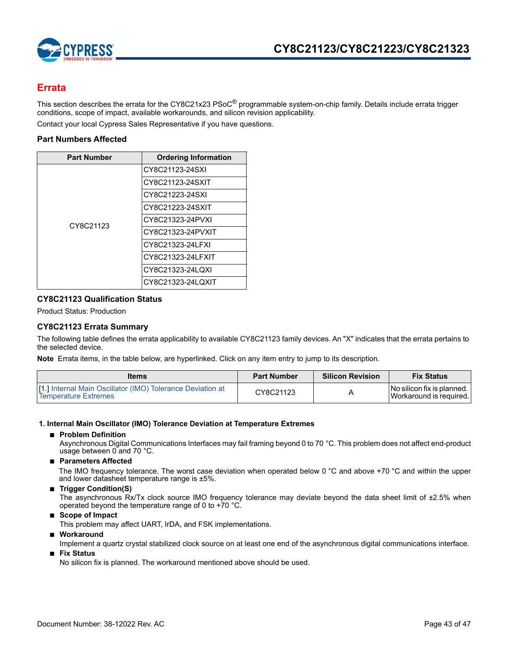

## **Errata**

This section describes the errata for the CY8C21x23 PSoC<sup>®</sup> programmable system-on-chip family. Details include errata trigger conditions, scope of impact, available workarounds, and silicon revision applicability.

Contact your local Cypress Sales Representative if you have questions.

### **Part Numbers Affected**

| <b>Part Number</b> | <b>Ordering Information</b> |
|--------------------|-----------------------------|
|                    | CY8C21123-24SXI             |
|                    | CY8C21123-24SXIT            |
|                    | CY8C21223-24SXI             |
|                    | CY8C21223-24SXIT            |
| CY8C21123          | CY8C21323-24PVXI            |
|                    | CY8C21323-24PVXIT           |
|                    | CY8C21323-24LFXI            |
|                    | CY8C21323-24LFXIT           |
|                    | CY8C21323-24LQXI            |
|                    | CY8C21323-24LQXIT           |

### **CY8C21123 Qualification Status**

Product Status: Production

### **CY8C21123 Errata Summary**

The following table defines the errata applicability to available CY8C21123 family devices. An "X" indicates that the errata pertains to the selected device.

**Note** Errata items, in the table below, are hyperlinked. Click on any item entry to jump to its description.

| <b>Items</b>                                                                                       | <b>Part Number</b> | <b>Silicon Revision</b> | <b>Fix Status</b>                                         |
|----------------------------------------------------------------------------------------------------|--------------------|-------------------------|-----------------------------------------------------------|
| <b>If 1.1 Internal Main Oscillator (IMO) Tolerance Deviation at</b><br><b>Temperature Extremes</b> | CY8C21123          |                         | I No silicon fix is planned. I<br>Workaround is required. |

### **1. Internal Main Oscillator (IMO) Tolerance Deviation at Temperature Extremes**

### ■ **Problem Definition**

Asynchronous Digital Communications Interfaces may fail framing beyond 0 to 70 °C. This problem does not affect end-product usage between 0 and 70 °C.

### ■ **Parameters Affected**

The IMO frequency tolerance. The worst case deviation when operated below 0 °C and above +70 °C and within the upper and lower datasheet temperature range is ±5%.

### ■ **Trigger Condition(S)**

The asynchronous Rx/Tx clock source IMO frequency tolerance may deviate beyond the data sheet limit of ±2.5% when operated beyond the temperature range of 0 to  $+70$  °C.

■ **Scope of Impact** 

This problem may affect UART, IrDA, and FSK implementations.

■ **Workaround** 

Implement a quartz crystal stabilized clock source on at least one end of the asynchronous digital communications interface.

■ **Fix Status**

No silicon fix is planned. The workaround mentioned above should be used.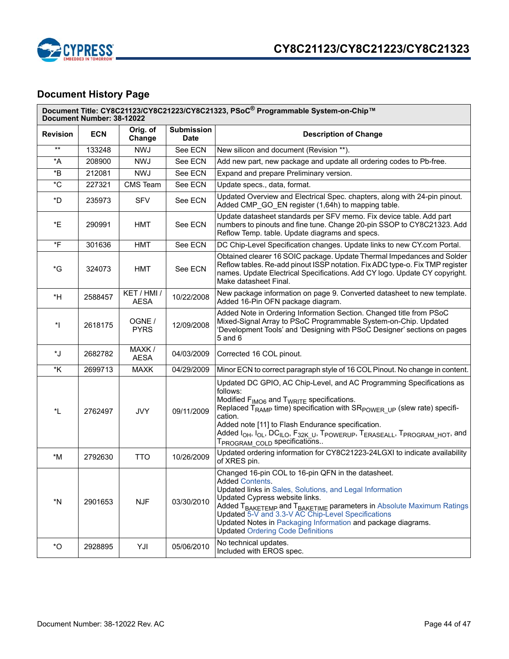

# **Document History Page**

|                   | Document Title: CY8C21123/CY8C21223/CY8C21323, PSoC® Programmable System-on-Chip™<br>Document Number: 38-12022 |                            |                                  |                                                                                                                                                                                                                                                                                                                                                                                                                                                                                                                                                 |  |
|-------------------|----------------------------------------------------------------------------------------------------------------|----------------------------|----------------------------------|-------------------------------------------------------------------------------------------------------------------------------------------------------------------------------------------------------------------------------------------------------------------------------------------------------------------------------------------------------------------------------------------------------------------------------------------------------------------------------------------------------------------------------------------------|--|
| <b>Revision</b>   | <b>ECN</b>                                                                                                     | Orig. of<br>Change         | <b>Submission</b><br><b>Date</b> | <b>Description of Change</b>                                                                                                                                                                                                                                                                                                                                                                                                                                                                                                                    |  |
| $***$             | 133248                                                                                                         | <b>NWJ</b>                 | See ECN                          | New silicon and document (Revision **).                                                                                                                                                                                                                                                                                                                                                                                                                                                                                                         |  |
| *A                | 208900                                                                                                         | <b>NWJ</b>                 | See ECN                          | Add new part, new package and update all ordering codes to Pb-free.                                                                                                                                                                                                                                                                                                                                                                                                                                                                             |  |
| *B                | 212081                                                                                                         | <b>NWJ</b>                 | See ECN                          | Expand and prepare Preliminary version.                                                                                                                                                                                                                                                                                                                                                                                                                                                                                                         |  |
| $^{\star}$ C      | 227321                                                                                                         | <b>CMS</b> Team            | See ECN                          | Update specs., data, format.                                                                                                                                                                                                                                                                                                                                                                                                                                                                                                                    |  |
| *D                | 235973                                                                                                         | <b>SFV</b>                 | See ECN                          | Updated Overview and Electrical Spec. chapters, along with 24-pin pinout.<br>Added CMP GO EN register (1,64h) to mapping table.                                                                                                                                                                                                                                                                                                                                                                                                                 |  |
| *E                | 290991                                                                                                         | HMT                        | See ECN                          | Update datasheet standards per SFV memo. Fix device table. Add part<br>numbers to pinouts and fine tune. Change 20-pin SSOP to CY8C21323. Add<br>Reflow Temp. table. Update diagrams and specs.                                                                                                                                                                                                                                                                                                                                                 |  |
| $\overline{F}$    | 301636                                                                                                         | <b>HMT</b>                 | See ECN                          | DC Chip-Level Specification changes. Update links to new CY.com Portal.                                                                                                                                                                                                                                                                                                                                                                                                                                                                         |  |
| *G                | 324073                                                                                                         | <b>HMT</b>                 | See ECN                          | Obtained clearer 16 SOIC package. Update Thermal Impedances and Solder<br>Reflow tables. Re-add pinout ISSP notation. Fix ADC type-o. Fix TMP register<br>names. Update Electrical Specifications. Add CY logo. Update CY copyright.<br>Make datasheet Final.                                                                                                                                                                                                                                                                                   |  |
| *H                | 2588457                                                                                                        | KET / HMI /<br><b>AESA</b> | 10/22/2008                       | New package information on page 9. Converted datasheet to new template.<br>Added 16-Pin OFN package diagram.                                                                                                                                                                                                                                                                                                                                                                                                                                    |  |
| $^*$              | 2618175                                                                                                        | OGNE /<br><b>PYRS</b>      | 12/09/2008                       | Added Note in Ordering Information Section. Changed title from PSoC<br>Mixed-Signal Array to PSoC Programmable System-on-Chip. Updated<br>'Development Tools' and 'Designing with PSoC Designer' sections on pages<br>$5$ and $6$                                                                                                                                                                                                                                                                                                               |  |
| *J                | 2682782                                                                                                        | MAXK /<br><b>AESA</b>      | 04/03/2009                       | Corrected 16 COL pinout.                                                                                                                                                                                                                                                                                                                                                                                                                                                                                                                        |  |
| *K                | 2699713                                                                                                        | <b>MAXK</b>                | 04/29/2009                       | Minor ECN to correct paragraph style of 16 COL Pinout. No change in content.                                                                                                                                                                                                                                                                                                                                                                                                                                                                    |  |
| *L                | 2762497                                                                                                        | <b>JVY</b>                 | 09/11/2009                       | Updated DC GPIO, AC Chip-Level, and AC Programming Specifications as<br>follows:<br>Modified F <sub>IMO6</sub> and T <sub>WRITE</sub> specifications.<br>Replaced $T_{RAMP}$ time) specification with $SR_{POWER}$ <sub>UP</sub> (slew rate) specifi-<br>cation.<br>Added note [11] to Flash Endurance specification.<br>Added I <sub>OH</sub> , I <sub>OL</sub> , DC <sub>ILO</sub> , F <sub>32K U</sub> , T <sub>POWERUP</sub> , T <sub>ERASEALL</sub> , T <sub>PROGRAM</sub> HOT, and<br>T <sub>PROGRAM</sub> <sub>COLD</sub> specifications |  |
| $*M$              | 2792630                                                                                                        | <b>TTO</b>                 | 10/26/2009                       | Updated ordering information for CY8C21223-24LGXI to indicate availability<br>of XRES pin.                                                                                                                                                                                                                                                                                                                                                                                                                                                      |  |
| *N                | 2901653                                                                                                        | <b>NJF</b>                 | 03/30/2010                       | Changed 16-pin COL to 16-pin QFN in the datasheet.<br>Added Contents.<br>Updated links in Sales, Solutions, and Legal Information<br>Updated Cypress website links.<br>Added T <sub>BAKETEMP</sub> and T <sub>BAKETIME</sub> parameters in Absolute Maximum Ratings<br>Updated 5-V and 3.3-V AC Chip-Level Specifications<br>Updated Notes in Packaging Information and package diagrams.<br><b>Updated Ordering Code Definitions</b>                                                                                                           |  |
| $^\star \text{O}$ | 2928895                                                                                                        | YJI                        | 05/06/2010                       | No technical updates.<br>Included with EROS spec.                                                                                                                                                                                                                                                                                                                                                                                                                                                                                               |  |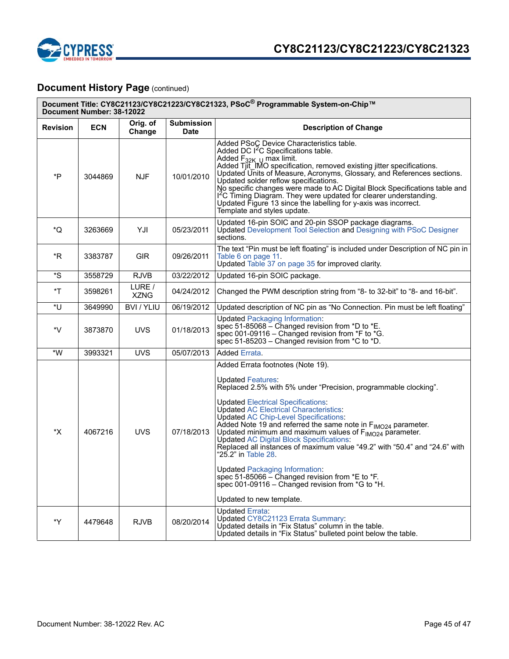

## **Document History Page (continued)**

| Document Title: CY8C21123/CY8C21223/CY8C21323, PSoC® Programmable System-on-Chip™<br>Document Number: 38-12022 |            |                       |                                  |                                                                                                                                                                                                                                                                                                                                                                                                                                                                                                                                                                                                                                                                                                                                                                         |  |  |
|----------------------------------------------------------------------------------------------------------------|------------|-----------------------|----------------------------------|-------------------------------------------------------------------------------------------------------------------------------------------------------------------------------------------------------------------------------------------------------------------------------------------------------------------------------------------------------------------------------------------------------------------------------------------------------------------------------------------------------------------------------------------------------------------------------------------------------------------------------------------------------------------------------------------------------------------------------------------------------------------------|--|--|
| <b>Revision</b>                                                                                                | <b>ECN</b> | Orig. of<br>Change    | <b>Submission</b><br><b>Date</b> | <b>Description of Change</b>                                                                                                                                                                                                                                                                                                                                                                                                                                                                                                                                                                                                                                                                                                                                            |  |  |
| *P                                                                                                             | 3044869    | <b>NJF</b>            | 10/01/2010                       | Added PSoC Device Characteristics table.<br>Added DC I <sup>2</sup> C Specifications table.<br>Added $F_{32K,U}$ max limit.<br>Added Tjit_IMO specification, removed existing jitter specifications.<br>Updated Units of Measure, Acronyms, Glossary, and References sections.<br>Updated solder reflow specifications.<br>No specific changes were made to AC Digital Block Specifications table and<br>I <sup>2</sup> C Timing Diagram. They were updated for clearer understanding.<br>Updated Figure 13 since the labelling for y-axis was incorrect.<br>Template and styles update.                                                                                                                                                                                |  |  |
| *Q                                                                                                             | 3263669    | YJI                   | 05/23/2011                       | Updated 16-pin SOIC and 20-pin SSOP package diagrams.<br><b>Updated Development Tool Selection and Designing with PSoC Designer</b><br>sections.                                                                                                                                                                                                                                                                                                                                                                                                                                                                                                                                                                                                                        |  |  |
| *R                                                                                                             | 3383787    | <b>GIR</b>            | 09/26/2011                       | The text "Pin must be left floating" is included under Description of NC pin in<br>Table 6 on page 11.<br>Updated Table 37 on page 35 for improved clarity.                                                                                                                                                                                                                                                                                                                                                                                                                                                                                                                                                                                                             |  |  |
| *S                                                                                                             | 3558729    | <b>RJVB</b>           | 03/22/2012                       | Updated 16-pin SOIC package.                                                                                                                                                                                                                                                                                                                                                                                                                                                                                                                                                                                                                                                                                                                                            |  |  |
| *T                                                                                                             | 3598261    | LURE /<br><b>XZNG</b> | 04/24/2012                       | Changed the PWM description string from "8- to 32-bit" to "8- and 16-bit".                                                                                                                                                                                                                                                                                                                                                                                                                                                                                                                                                                                                                                                                                              |  |  |
| *U                                                                                                             | 3649990    | BVI / YLIU            | 06/19/2012                       | Updated description of NC pin as "No Connection. Pin must be left floating"                                                                                                                                                                                                                                                                                                                                                                                                                                                                                                                                                                                                                                                                                             |  |  |
| *V                                                                                                             | 3873870    | <b>UVS</b>            | 01/18/2013                       | <b>Updated Packaging Information:</b><br>spec 51-85068 – Changed revision from $*D$ to $*E$ .<br>spec 001-09116 – Changed revision from $*F$ to $*G$ .<br>spec 51-85203 - Changed revision from *C to *D.                                                                                                                                                                                                                                                                                                                                                                                                                                                                                                                                                               |  |  |
| $^{\star}{\rm W}$                                                                                              | 3993321    | <b>UVS</b>            | 05/07/2013                       | Added Errata.                                                                                                                                                                                                                                                                                                                                                                                                                                                                                                                                                                                                                                                                                                                                                           |  |  |
| *X                                                                                                             | 4067216    | <b>UVS</b>            | 07/18/2013                       | Added Errata footnotes (Note 19).<br><b>Updated Features:</b><br>Replaced 2.5% with 5% under "Precision, programmable clocking".<br><b>Updated Electrical Specifications:</b><br><b>Updated AC Electrical Characteristics:</b><br><b>Updated AC Chip-Level Specifications:</b><br>Added Note 19 and referred the same note in F <sub>IMO24</sub> parameter.<br>Updated minimum and maximum values of $F_{IMO24}$ parameter.<br><b>Updated AC Digital Block Specifications:</b><br>Replaced all instances of maximum value "49.2" with "50.4" and "24.6" with<br>"25.2" in Table 28.<br><b>Updated Packaging Information:</b><br>spec 51-85066 – Changed revision from $E$ to $E$ .<br>spec 001-09116 – Changed revision from $*G$ to $*H$ .<br>Updated to new template. |  |  |
| *Y                                                                                                             | 4479648    | <b>RJVB</b>           | 08/20/2014                       | <b>Updated Errata:</b><br>Updated CY8C21123 Errata Summary:<br>Updated details in "Fix Status" column in the table.<br>Updated details in "Fix Status" bulleted point below the table.                                                                                                                                                                                                                                                                                                                                                                                                                                                                                                                                                                                  |  |  |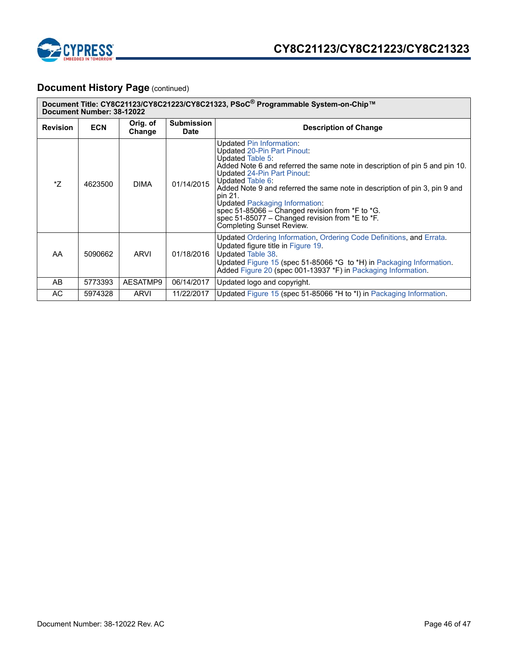

## **Document History Page (continued)**

| Document Title: CY8C21123/CY8C21223/CY8C21323, PSoC® Programmable System-on-Chip™<br>Document Number: 38-12022 |            |                    |                                  |                                                                                                                                                                                                                                                                                                                                                                                                                                                                                    |  |  |  |
|----------------------------------------------------------------------------------------------------------------|------------|--------------------|----------------------------------|------------------------------------------------------------------------------------------------------------------------------------------------------------------------------------------------------------------------------------------------------------------------------------------------------------------------------------------------------------------------------------------------------------------------------------------------------------------------------------|--|--|--|
| <b>Revision</b>                                                                                                | <b>ECN</b> | Orig. of<br>Change | <b>Submission</b><br><b>Date</b> | <b>Description of Change</b>                                                                                                                                                                                                                                                                                                                                                                                                                                                       |  |  |  |
| *7                                                                                                             | 4623500    | <b>DIMA</b>        | 01/14/2015                       | Updated Pin Information:<br>Updated 20-Pin Part Pinout:<br>Updated Table 5:<br>Added Note 6 and referred the same note in description of pin 5 and pin 10.<br>Updated 24-Pin Part Pinout:<br>Updated Table 6:<br>Added Note 9 and referred the same note in description of pin 3, pin 9 and<br>pin 21.<br><b>Updated Packaging Information:</b><br>spec 51-85066 - Changed revision from *F to *G.<br>spec 51-85077 – Changed revision from *E to *F.<br>Completing Sunset Review. |  |  |  |
| AA                                                                                                             | 5090662    | <b>ARVI</b>        | 01/18/2016                       | Updated Ordering Information, Ordering Code Definitions, and Errata.<br>Updated figure title in Figure 19.<br>Updated Table 38.<br>Updated Figure 15 (spec 51-85066 *G to *H) in Packaging Information.<br>Added Figure 20 (spec 001-13937 *F) in Packaging Information.                                                                                                                                                                                                           |  |  |  |
| AB                                                                                                             | 5773393    | AESATMP9           | 06/14/2017                       | Updated logo and copyright.                                                                                                                                                                                                                                                                                                                                                                                                                                                        |  |  |  |
| AC                                                                                                             | 5974328    | <b>ARVI</b>        | 11/22/2017                       | Updated Figure 15 (spec 51-85066 *H to *I) in Packaging Information.                                                                                                                                                                                                                                                                                                                                                                                                               |  |  |  |